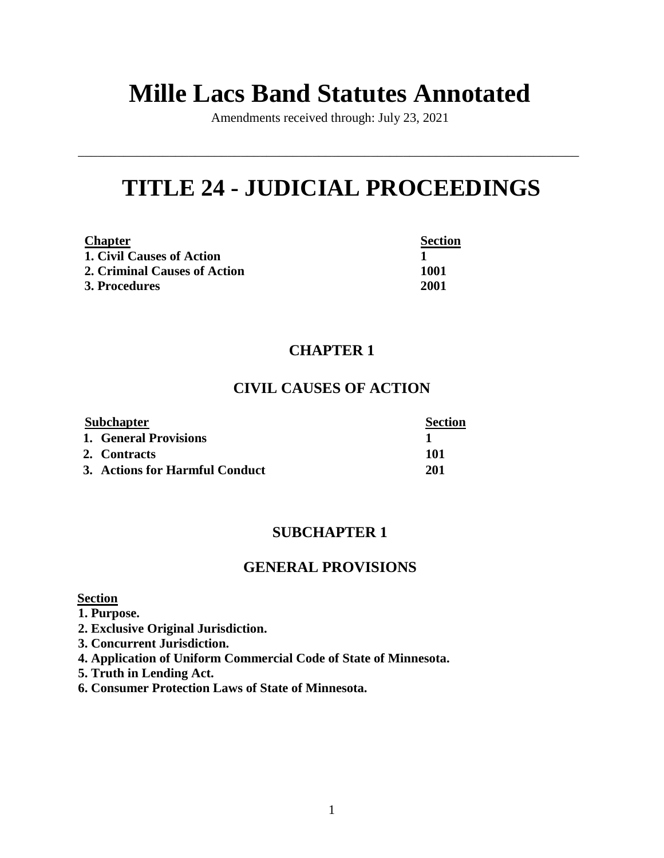# **Mille Lacs Band Statutes Annotated**

Amendments received through: July 23, 2021

\_\_\_\_\_\_\_\_\_\_\_\_\_\_\_\_\_\_\_\_\_\_\_\_\_\_\_\_\_\_\_\_\_\_\_\_\_\_\_\_\_\_\_\_\_\_\_\_\_\_\_\_\_\_\_\_\_\_\_\_\_\_\_\_\_\_\_\_\_\_\_\_\_\_\_\_\_

# **TITLE 24 - JUDICIAL PROCEEDINGS**

| <b>Chapter</b>               | <b>Section</b> |
|------------------------------|----------------|
| 1. Civil Causes of Action    |                |
| 2. Criminal Causes of Action | 1001           |
| <b>3. Procedures</b>         | 2001           |

# **CHAPTER 1**

# **CIVIL CAUSES OF ACTION**

| <b>Subchapter</b> |                                | <b>Section</b> |
|-------------------|--------------------------------|----------------|
|                   | 1. General Provisions          |                |
|                   | 2. Contracts                   | 101            |
|                   | 3. Actions for Harmful Conduct | 201            |

# **SUBCHAPTER 1**

# **GENERAL PROVISIONS**

### **Section**

- **1. Purpose.**
- **2. Exclusive Original Jurisdiction.**
- **3. Concurrent Jurisdiction.**
- **4. Application of Uniform Commercial Code of State of Minnesota.**
- **5. Truth in Lending Act.**
- **6. Consumer Protection Laws of State of Minnesota.**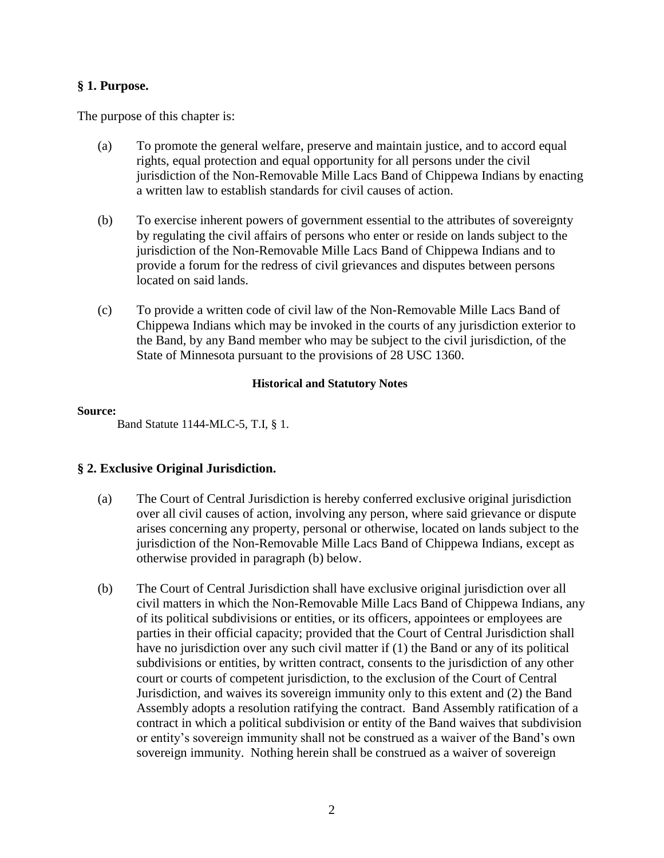### **§ 1. Purpose.**

The purpose of this chapter is:

- (a) To promote the general welfare, preserve and maintain justice, and to accord equal rights, equal protection and equal opportunity for all persons under the civil jurisdiction of the Non-Removable Mille Lacs Band of Chippewa Indians by enacting a written law to establish standards for civil causes of action.
- (b) To exercise inherent powers of government essential to the attributes of sovereignty by regulating the civil affairs of persons who enter or reside on lands subject to the jurisdiction of the Non-Removable Mille Lacs Band of Chippewa Indians and to provide a forum for the redress of civil grievances and disputes between persons located on said lands.
- (c) To provide a written code of civil law of the Non-Removable Mille Lacs Band of Chippewa Indians which may be invoked in the courts of any jurisdiction exterior to the Band, by any Band member who may be subject to the civil jurisdiction, of the State of Minnesota pursuant to the provisions of 28 USC 1360.

### **Historical and Statutory Notes**

### **Source:**

Band Statute 1144-MLC-5, T.I, § 1.

### **§ 2. Exclusive Original Jurisdiction.**

- (a) The Court of Central Jurisdiction is hereby conferred exclusive original jurisdiction over all civil causes of action, involving any person, where said grievance or dispute arises concerning any property, personal or otherwise, located on lands subject to the jurisdiction of the Non-Removable Mille Lacs Band of Chippewa Indians, except as otherwise provided in paragraph (b) below.
- (b) The Court of Central Jurisdiction shall have exclusive original jurisdiction over all civil matters in which the Non-Removable Mille Lacs Band of Chippewa Indians, any of its political subdivisions or entities, or its officers, appointees or employees are parties in their official capacity; provided that the Court of Central Jurisdiction shall have no jurisdiction over any such civil matter if (1) the Band or any of its political subdivisions or entities, by written contract, consents to the jurisdiction of any other court or courts of competent jurisdiction, to the exclusion of the Court of Central Jurisdiction, and waives its sovereign immunity only to this extent and (2) the Band Assembly adopts a resolution ratifying the contract. Band Assembly ratification of a contract in which a political subdivision or entity of the Band waives that subdivision or entity's sovereign immunity shall not be construed as a waiver of the Band's own sovereign immunity. Nothing herein shall be construed as a waiver of sovereign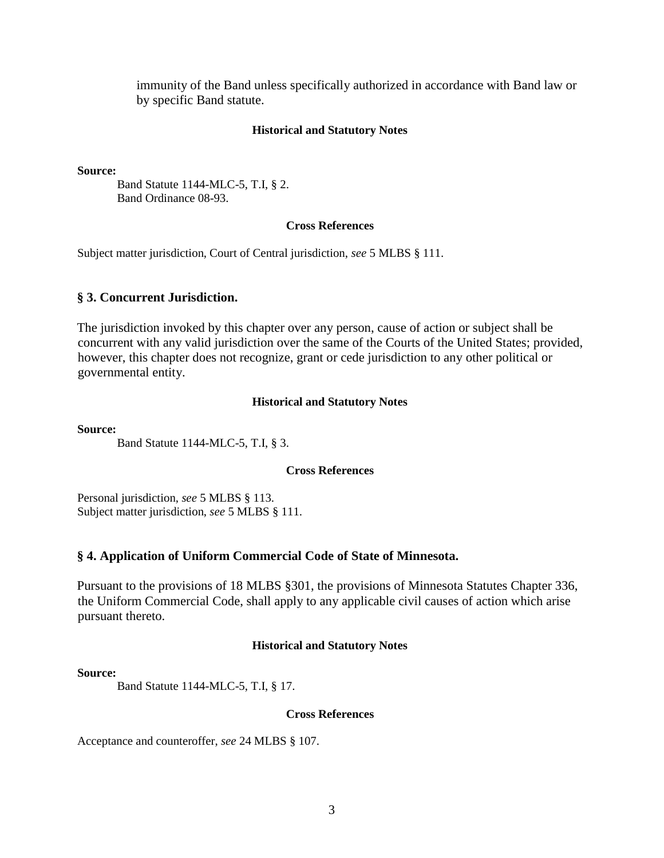immunity of the Band unless specifically authorized in accordance with Band law or by specific Band statute.

### **Historical and Statutory Notes**

**Source:** 

Band Statute 1144-MLC-5, T.I, § 2. Band Ordinance 08-93.

### **Cross References**

Subject matter jurisdiction, Court of Central jurisdiction, *see* 5 MLBS § 111.

### **§ 3. Concurrent Jurisdiction.**

The jurisdiction invoked by this chapter over any person, cause of action or subject shall be concurrent with any valid jurisdiction over the same of the Courts of the United States; provided, however, this chapter does not recognize, grant or cede jurisdiction to any other political or governmental entity.

### **Historical and Statutory Notes**

**Source:** 

Band Statute 1144-MLC-5, T.I, § 3.

**Cross References**

Personal jurisdiction, *see* 5 MLBS § 113. Subject matter jurisdiction, *see* 5 MLBS § 111.

### **§ 4. Application of Uniform Commercial Code of State of Minnesota.**

Pursuant to the provisions of 18 MLBS §301, the provisions of Minnesota Statutes Chapter 336, the Uniform Commercial Code, shall apply to any applicable civil causes of action which arise pursuant thereto.

### **Historical and Statutory Notes**

### **Source:**

Band Statute 1144-MLC-5, T.I, § 17.

### **Cross References**

Acceptance and counteroffer, *see* 24 MLBS § 107.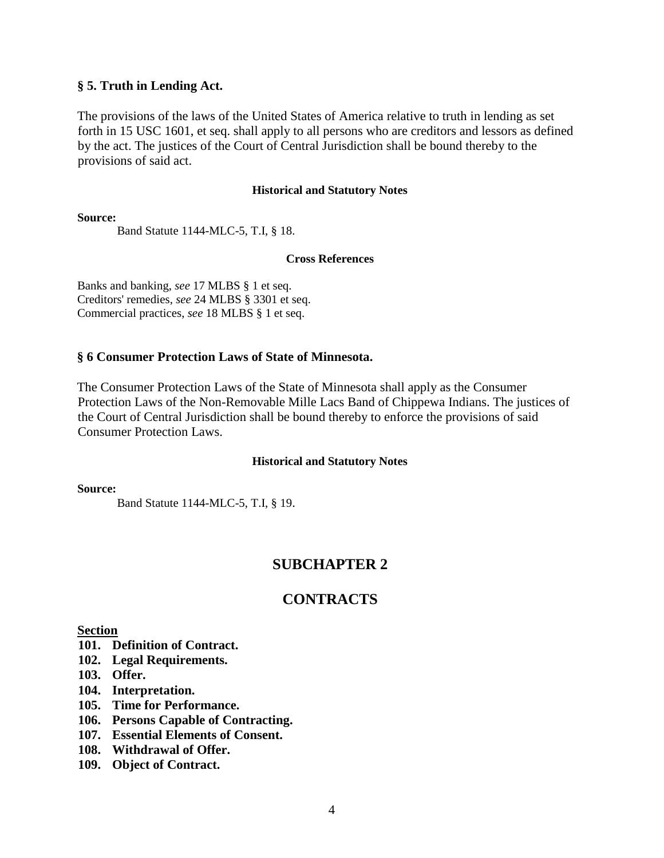### **§ 5. Truth in Lending Act.**

The provisions of the laws of the United States of America relative to truth in lending as set forth in 15 USC 1601, et seq. shall apply to all persons who are creditors and lessors as defined by the act. The justices of the Court of Central Jurisdiction shall be bound thereby to the provisions of said act.

#### **Historical and Statutory Notes**

**Source:** 

Band Statute 1144-MLC-5, T.I, § 18.

#### **Cross References**

Banks and banking, *see* 17 MLBS § 1 et seq. Creditors' remedies, *see* 24 MLBS § 3301 et seq. Commercial practices, *see* 18 MLBS § 1 et seq.

### **§ 6 Consumer Protection Laws of State of Minnesota.**

The Consumer Protection Laws of the State of Minnesota shall apply as the Consumer Protection Laws of the Non-Removable Mille Lacs Band of Chippewa Indians. The justices of the Court of Central Jurisdiction shall be bound thereby to enforce the provisions of said Consumer Protection Laws.

### **Historical and Statutory Notes**

**Source:** 

Band Statute 1144-MLC-5, T.I, § 19.

# **SUBCHAPTER 2**

### **CONTRACTS**

### **Section**

- **101. Definition of Contract.**
- **102. Legal Requirements.**
- **103. Offer.**
- **104. Interpretation.**
- **105. Time for Performance.**
- **106. Persons Capable of Contracting.**
- **107. Essential Elements of Consent.**
- **108. Withdrawal of Offer.**
- **109. Object of Contract.**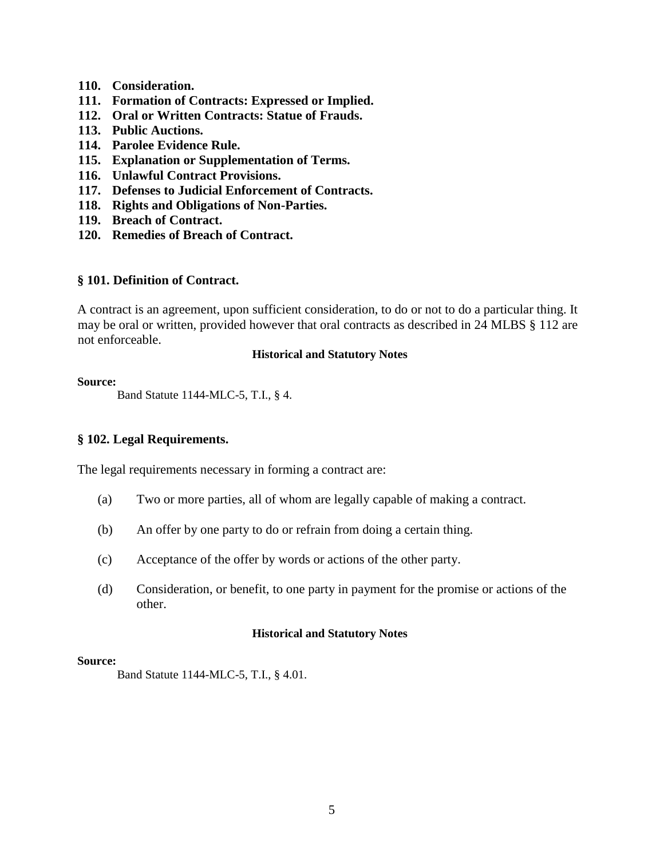- **110. Consideration.**
- **111. Formation of Contracts: Expressed or Implied.**
- **112. Oral or Written Contracts: Statue of Frauds.**
- **113. Public Auctions.**
- **114. Parolee Evidence Rule.**
- **115. Explanation or Supplementation of Terms.**
- **116. Unlawful Contract Provisions.**
- **117. Defenses to Judicial Enforcement of Contracts.**
- **118. Rights and Obligations of Non-Parties.**
- **119. Breach of Contract.**
- **120. Remedies of Breach of Contract.**

### **§ 101. Definition of Contract.**

A contract is an agreement, upon sufficient consideration, to do or not to do a particular thing. It may be oral or written, provided however that oral contracts as described in 24 MLBS § 112 are not enforceable.

### **Historical and Statutory Notes**

#### **Source:**

Band Statute 1144-MLC-5, T.I., § 4.

### **§ 102. Legal Requirements.**

The legal requirements necessary in forming a contract are:

- (a) Two or more parties, all of whom are legally capable of making a contract.
- (b) An offer by one party to do or refrain from doing a certain thing.
- (c) Acceptance of the offer by words or actions of the other party.
- (d) Consideration, or benefit, to one party in payment for the promise or actions of the other.

### **Historical and Statutory Notes**

#### **Source:**

Band Statute 1144-MLC-5, T.I., § 4.01.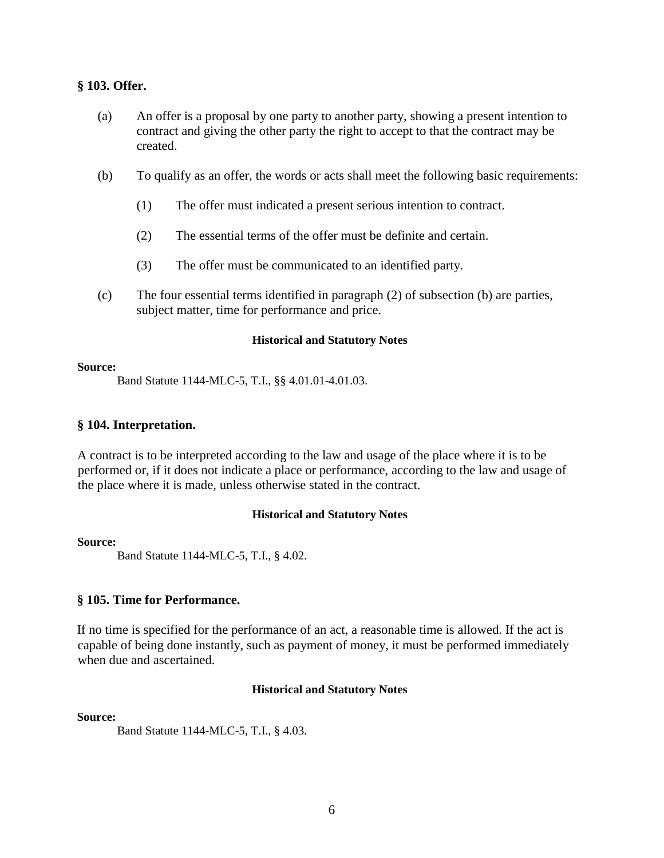### **§ 103. Offer.**

- (a) An offer is a proposal by one party to another party, showing a present intention to contract and giving the other party the right to accept to that the contract may be created.
- (b) To qualify as an offer, the words or acts shall meet the following basic requirements:
	- (1) The offer must indicated a present serious intention to contract.
	- (2) The essential terms of the offer must be definite and certain.
	- (3) The offer must be communicated to an identified party.
- (c) The four essential terms identified in paragraph (2) of subsection (b) are parties, subject matter, time for performance and price.

### **Historical and Statutory Notes**

#### **Source:**

Band Statute 1144-MLC-5, T.I., §§ 4.01.01-4.01.03.

### **§ 104. Interpretation.**

A contract is to be interpreted according to the law and usage of the place where it is to be performed or, if it does not indicate a place or performance, according to the law and usage of the place where it is made, unless otherwise stated in the contract.

### **Historical and Statutory Notes**

#### **Source:**

Band Statute 1144-MLC-5, T.I., § 4.02.

### **§ 105. Time for Performance.**

If no time is specified for the performance of an act, a reasonable time is allowed. If the act is capable of being done instantly, such as payment of money, it must be performed immediately when due and ascertained.

### **Historical and Statutory Notes**

**Source:**

Band Statute 1144-MLC-5, T.I., § 4.03.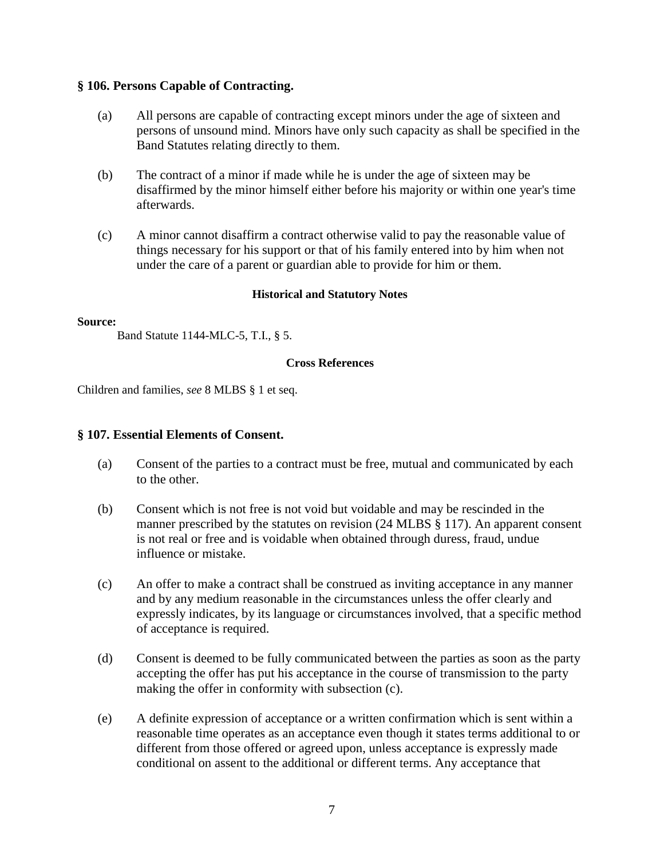### **§ 106. Persons Capable of Contracting.**

- (a) All persons are capable of contracting except minors under the age of sixteen and persons of unsound mind. Minors have only such capacity as shall be specified in the Band Statutes relating directly to them.
- (b) The contract of a minor if made while he is under the age of sixteen may be disaffirmed by the minor himself either before his majority or within one year's time afterwards.
- (c) A minor cannot disaffirm a contract otherwise valid to pay the reasonable value of things necessary for his support or that of his family entered into by him when not under the care of a parent or guardian able to provide for him or them.

### **Historical and Statutory Notes**

### **Source:**

Band Statute 1144-MLC-5, T.I., § 5.

### **Cross References**

Children and families, *see* 8 MLBS § 1 et seq.

### **§ 107. Essential Elements of Consent.**

- (a) Consent of the parties to a contract must be free, mutual and communicated by each to the other.
- (b) Consent which is not free is not void but voidable and may be rescinded in the manner prescribed by the statutes on revision (24 MLBS § 117). An apparent consent is not real or free and is voidable when obtained through duress, fraud, undue influence or mistake.
- (c) An offer to make a contract shall be construed as inviting acceptance in any manner and by any medium reasonable in the circumstances unless the offer clearly and expressly indicates, by its language or circumstances involved, that a specific method of acceptance is required.
- (d) Consent is deemed to be fully communicated between the parties as soon as the party accepting the offer has put his acceptance in the course of transmission to the party making the offer in conformity with subsection (c).
- (e) A definite expression of acceptance or a written confirmation which is sent within a reasonable time operates as an acceptance even though it states terms additional to or different from those offered or agreed upon, unless acceptance is expressly made conditional on assent to the additional or different terms. Any acceptance that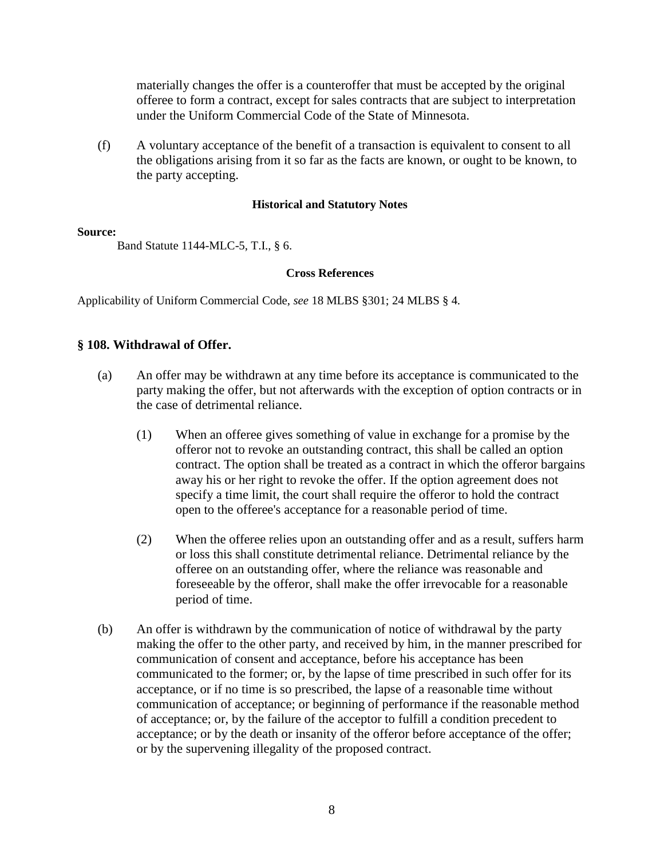materially changes the offer is a counteroffer that must be accepted by the original offeree to form a contract, except for sales contracts that are subject to interpretation under the Uniform Commercial Code of the State of Minnesota.

(f) A voluntary acceptance of the benefit of a transaction is equivalent to consent to all the obligations arising from it so far as the facts are known, or ought to be known, to the party accepting.

### **Historical and Statutory Notes**

### **Source:**

Band Statute 1144-MLC-5, T.I., § 6.

### **Cross References**

Applicability of Uniform Commercial Code, *see* 18 MLBS §301; 24 MLBS § 4.

### **§ 108. Withdrawal of Offer.**

- (a) An offer may be withdrawn at any time before its acceptance is communicated to the party making the offer, but not afterwards with the exception of option contracts or in the case of detrimental reliance.
	- (1) When an offeree gives something of value in exchange for a promise by the offeror not to revoke an outstanding contract, this shall be called an option contract. The option shall be treated as a contract in which the offeror bargains away his or her right to revoke the offer. If the option agreement does not specify a time limit, the court shall require the offeror to hold the contract open to the offeree's acceptance for a reasonable period of time.
	- (2) When the offeree relies upon an outstanding offer and as a result, suffers harm or loss this shall constitute detrimental reliance. Detrimental reliance by the offeree on an outstanding offer, where the reliance was reasonable and foreseeable by the offeror, shall make the offer irrevocable for a reasonable period of time.
- (b) An offer is withdrawn by the communication of notice of withdrawal by the party making the offer to the other party, and received by him, in the manner prescribed for communication of consent and acceptance, before his acceptance has been communicated to the former; or, by the lapse of time prescribed in such offer for its acceptance, or if no time is so prescribed, the lapse of a reasonable time without communication of acceptance; or beginning of performance if the reasonable method of acceptance; or, by the failure of the acceptor to fulfill a condition precedent to acceptance; or by the death or insanity of the offeror before acceptance of the offer; or by the supervening illegality of the proposed contract.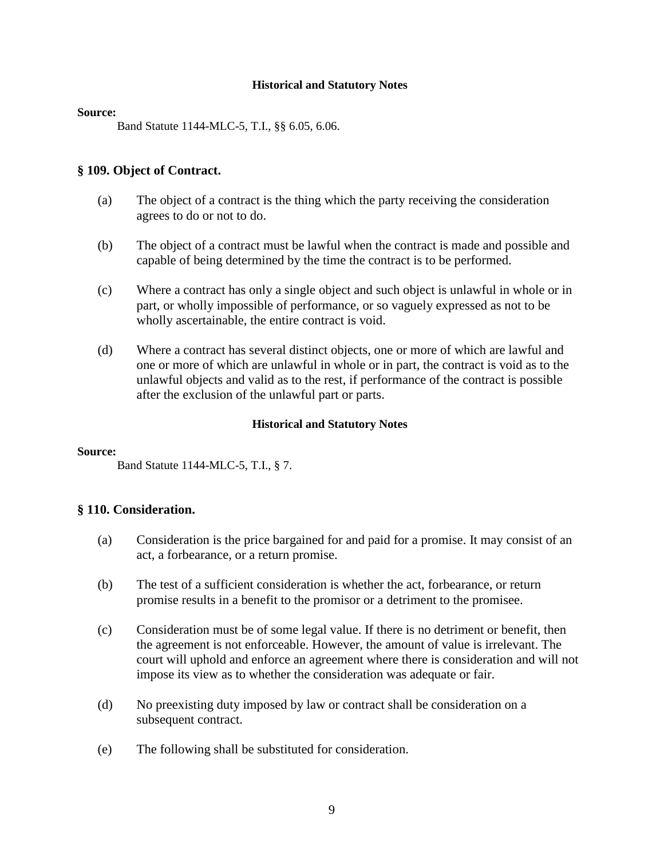#### **Source:**

Band Statute 1144-MLC-5, T.I., §§ 6.05, 6.06.

### **§ 109. Object of Contract.**

- (a) The object of a contract is the thing which the party receiving the consideration agrees to do or not to do.
- (b) The object of a contract must be lawful when the contract is made and possible and capable of being determined by the time the contract is to be performed.
- (c) Where a contract has only a single object and such object is unlawful in whole or in part, or wholly impossible of performance, or so vaguely expressed as not to be wholly ascertainable, the entire contract is void.
- (d) Where a contract has several distinct objects, one or more of which are lawful and one or more of which are unlawful in whole or in part, the contract is void as to the unlawful objects and valid as to the rest, if performance of the contract is possible after the exclusion of the unlawful part or parts.

### **Historical and Statutory Notes**

### **Source:**

Band Statute 1144-MLC-5, T.I., § 7.

### **§ 110. Consideration.**

- (a) Consideration is the price bargained for and paid for a promise. It may consist of an act, a forbearance, or a return promise.
- (b) The test of a sufficient consideration is whether the act, forbearance, or return promise results in a benefit to the promisor or a detriment to the promisee.
- (c) Consideration must be of some legal value. If there is no detriment or benefit, then the agreement is not enforceable. However, the amount of value is irrelevant. The court will uphold and enforce an agreement where there is consideration and will not impose its view as to whether the consideration was adequate or fair.
- (d) No preexisting duty imposed by law or contract shall be consideration on a subsequent contract.
- (e) The following shall be substituted for consideration.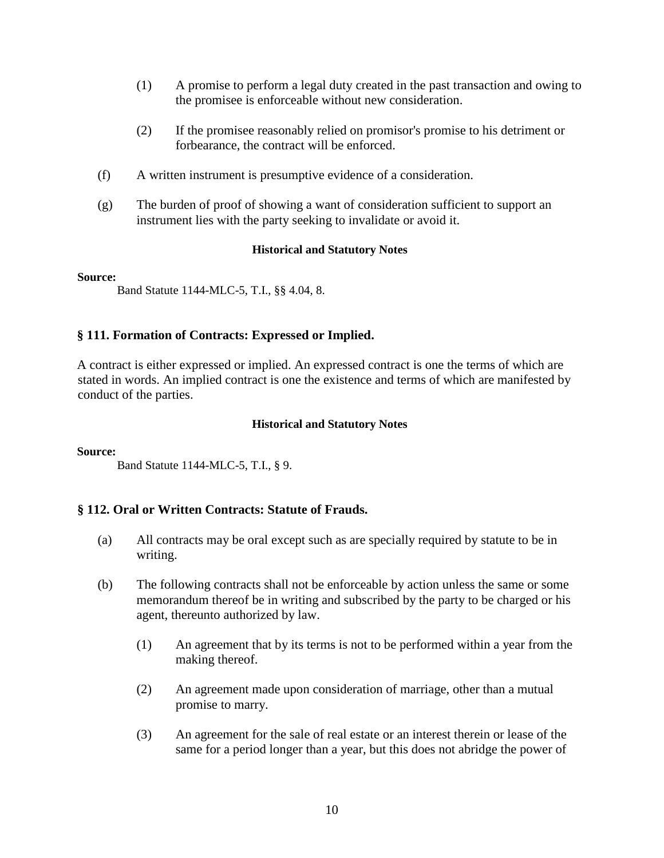- (1) A promise to perform a legal duty created in the past transaction and owing to the promisee is enforceable without new consideration.
- (2) If the promisee reasonably relied on promisor's promise to his detriment or forbearance, the contract will be enforced.
- (f) A written instrument is presumptive evidence of a consideration.
- (g) The burden of proof of showing a want of consideration sufficient to support an instrument lies with the party seeking to invalidate or avoid it.

#### **Source:**

Band Statute 1144-MLC-5, T.I., §§ 4.04, 8.

### **§ 111. Formation of Contracts: Expressed or Implied.**

A contract is either expressed or implied. An expressed contract is one the terms of which are stated in words. An implied contract is one the existence and terms of which are manifested by conduct of the parties.

#### **Historical and Statutory Notes**

#### **Source:**

Band Statute 1144-MLC-5, T.I., § 9.

### **§ 112. Oral or Written Contracts: Statute of Frauds.**

- (a) All contracts may be oral except such as are specially required by statute to be in writing.
- (b) The following contracts shall not be enforceable by action unless the same or some memorandum thereof be in writing and subscribed by the party to be charged or his agent, thereunto authorized by law.
	- (1) An agreement that by its terms is not to be performed within a year from the making thereof.
	- (2) An agreement made upon consideration of marriage, other than a mutual promise to marry.
	- (3) An agreement for the sale of real estate or an interest therein or lease of the same for a period longer than a year, but this does not abridge the power of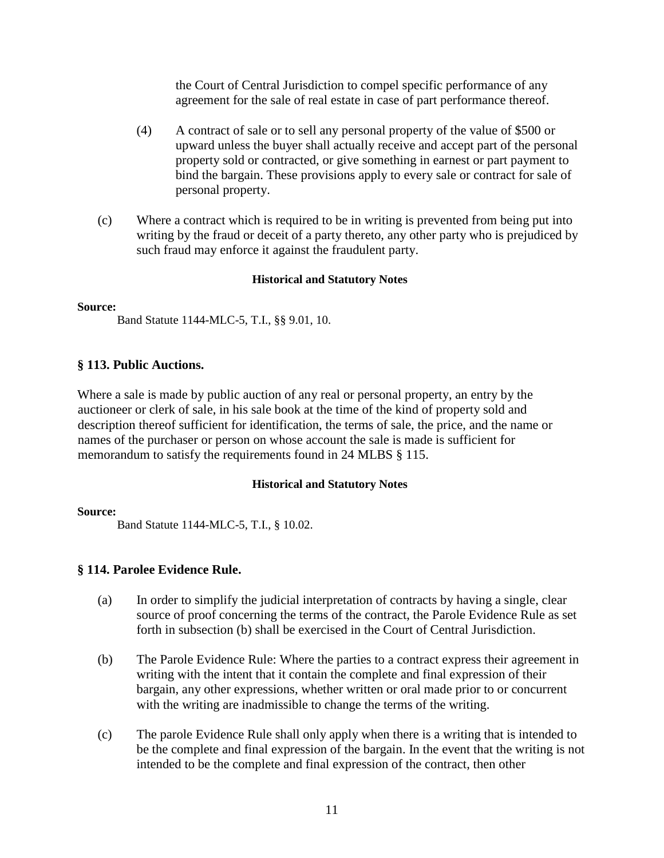the Court of Central Jurisdiction to compel specific performance of any agreement for the sale of real estate in case of part performance thereof.

- (4) A contract of sale or to sell any personal property of the value of \$500 or upward unless the buyer shall actually receive and accept part of the personal property sold or contracted, or give something in earnest or part payment to bind the bargain. These provisions apply to every sale or contract for sale of personal property.
- (c) Where a contract which is required to be in writing is prevented from being put into writing by the fraud or deceit of a party thereto, any other party who is prejudiced by such fraud may enforce it against the fraudulent party.

### **Historical and Statutory Notes**

### **Source:**

Band Statute 1144-MLC-5, T.I., §§ 9.01, 10.

### **§ 113. Public Auctions.**

Where a sale is made by public auction of any real or personal property, an entry by the auctioneer or clerk of sale, in his sale book at the time of the kind of property sold and description thereof sufficient for identification, the terms of sale, the price, and the name or names of the purchaser or person on whose account the sale is made is sufficient for memorandum to satisfy the requirements found in 24 MLBS § 115.

### **Historical and Statutory Notes**

### **Source:**

Band Statute 1144-MLC-5, T.I., § 10.02.

### **§ 114. Parolee Evidence Rule.**

- (a) In order to simplify the judicial interpretation of contracts by having a single, clear source of proof concerning the terms of the contract, the Parole Evidence Rule as set forth in subsection (b) shall be exercised in the Court of Central Jurisdiction.
- (b) The Parole Evidence Rule: Where the parties to a contract express their agreement in writing with the intent that it contain the complete and final expression of their bargain, any other expressions, whether written or oral made prior to or concurrent with the writing are inadmissible to change the terms of the writing.
- (c) The parole Evidence Rule shall only apply when there is a writing that is intended to be the complete and final expression of the bargain. In the event that the writing is not intended to be the complete and final expression of the contract, then other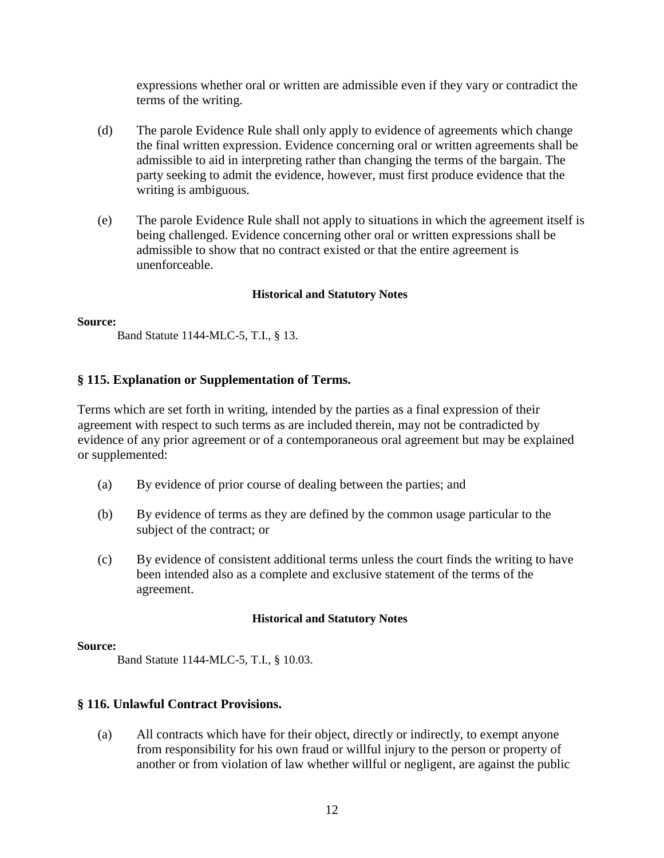expressions whether oral or written are admissible even if they vary or contradict the terms of the writing.

- (d) The parole Evidence Rule shall only apply to evidence of agreements which change the final written expression. Evidence concerning oral or written agreements shall be admissible to aid in interpreting rather than changing the terms of the bargain. The party seeking to admit the evidence, however, must first produce evidence that the writing is ambiguous.
- (e) The parole Evidence Rule shall not apply to situations in which the agreement itself is being challenged. Evidence concerning other oral or written expressions shall be admissible to show that no contract existed or that the entire agreement is unenforceable.

### **Historical and Statutory Notes**

#### **Source:**

Band Statute 1144-MLC-5, T.I., § 13.

### **§ 115. Explanation or Supplementation of Terms.**

Terms which are set forth in writing, intended by the parties as a final expression of their agreement with respect to such terms as are included therein, may not be contradicted by evidence of any prior agreement or of a contemporaneous oral agreement but may be explained or supplemented:

- (a) By evidence of prior course of dealing between the parties; and
- (b) By evidence of terms as they are defined by the common usage particular to the subject of the contract; or
- (c) By evidence of consistent additional terms unless the court finds the writing to have been intended also as a complete and exclusive statement of the terms of the agreement.

### **Historical and Statutory Notes**

#### **Source:**

Band Statute 1144-MLC-5, T.I., § 10.03.

### **§ 116. Unlawful Contract Provisions.**

(a) All contracts which have for their object, directly or indirectly, to exempt anyone from responsibility for his own fraud or willful injury to the person or property of another or from violation of law whether willful or negligent, are against the public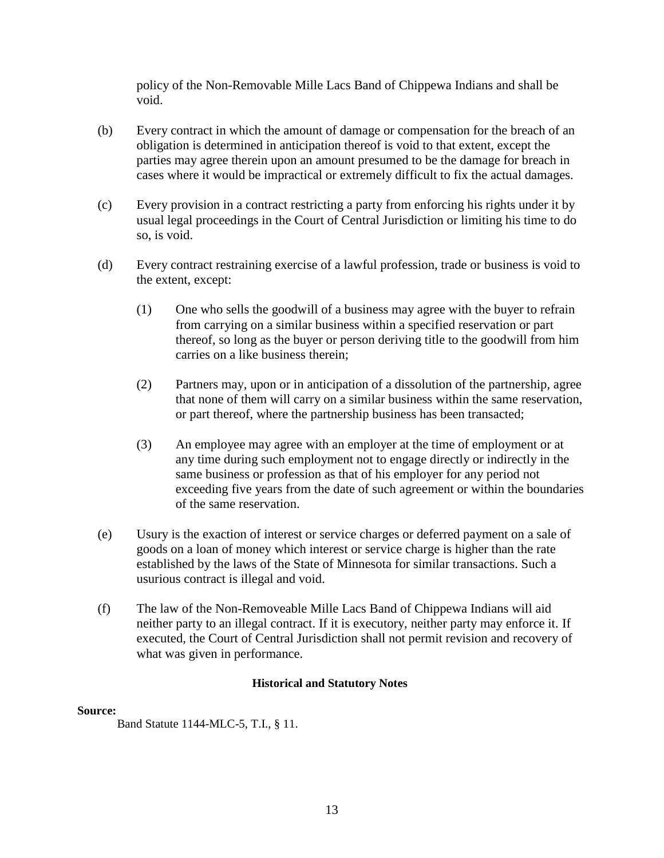policy of the Non-Removable Mille Lacs Band of Chippewa Indians and shall be void.

- (b) Every contract in which the amount of damage or compensation for the breach of an obligation is determined in anticipation thereof is void to that extent, except the parties may agree therein upon an amount presumed to be the damage for breach in cases where it would be impractical or extremely difficult to fix the actual damages.
- (c) Every provision in a contract restricting a party from enforcing his rights under it by usual legal proceedings in the Court of Central Jurisdiction or limiting his time to do so, is void.
- (d) Every contract restraining exercise of a lawful profession, trade or business is void to the extent, except:
	- (1) One who sells the goodwill of a business may agree with the buyer to refrain from carrying on a similar business within a specified reservation or part thereof, so long as the buyer or person deriving title to the goodwill from him carries on a like business therein;
	- (2) Partners may, upon or in anticipation of a dissolution of the partnership, agree that none of them will carry on a similar business within the same reservation, or part thereof, where the partnership business has been transacted;
	- (3) An employee may agree with an employer at the time of employment or at any time during such employment not to engage directly or indirectly in the same business or profession as that of his employer for any period not exceeding five years from the date of such agreement or within the boundaries of the same reservation.
- (e) Usury is the exaction of interest or service charges or deferred payment on a sale of goods on a loan of money which interest or service charge is higher than the rate established by the laws of the State of Minnesota for similar transactions. Such a usurious contract is illegal and void.
- (f) The law of the Non-Removeable Mille Lacs Band of Chippewa Indians will aid neither party to an illegal contract. If it is executory, neither party may enforce it. If executed, the Court of Central Jurisdiction shall not permit revision and recovery of what was given in performance.

### **Historical and Statutory Notes**

### **Source:**

Band Statute 1144-MLC-5, T.I., § 11.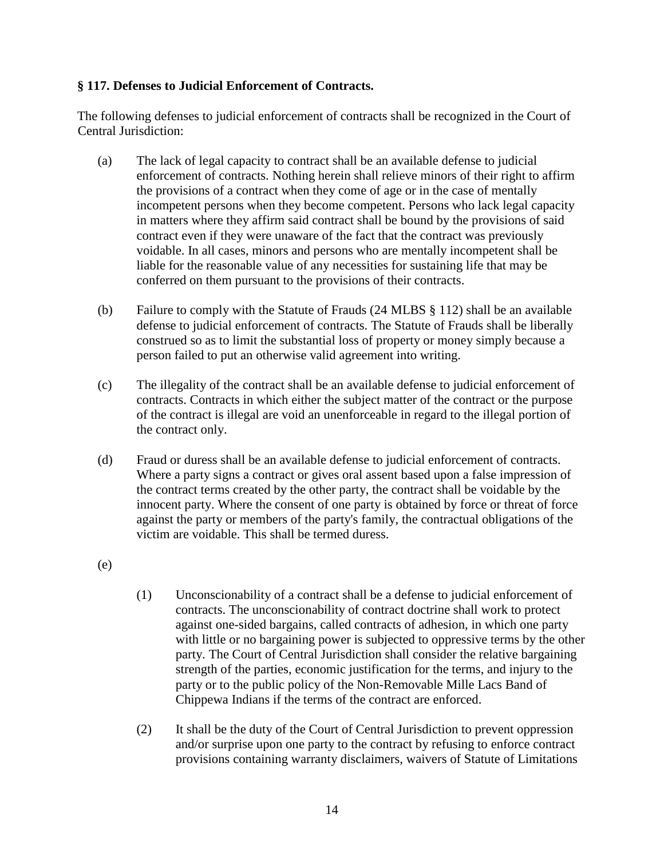### **§ 117. Defenses to Judicial Enforcement of Contracts.**

The following defenses to judicial enforcement of contracts shall be recognized in the Court of Central Jurisdiction:

- (a) The lack of legal capacity to contract shall be an available defense to judicial enforcement of contracts. Nothing herein shall relieve minors of their right to affirm the provisions of a contract when they come of age or in the case of mentally incompetent persons when they become competent. Persons who lack legal capacity in matters where they affirm said contract shall be bound by the provisions of said contract even if they were unaware of the fact that the contract was previously voidable. In all cases, minors and persons who are mentally incompetent shall be liable for the reasonable value of any necessities for sustaining life that may be conferred on them pursuant to the provisions of their contracts.
- (b) Failure to comply with the Statute of Frauds (24 MLBS § 112) shall be an available defense to judicial enforcement of contracts. The Statute of Frauds shall be liberally construed so as to limit the substantial loss of property or money simply because a person failed to put an otherwise valid agreement into writing.
- (c) The illegality of the contract shall be an available defense to judicial enforcement of contracts. Contracts in which either the subject matter of the contract or the purpose of the contract is illegal are void an unenforceable in regard to the illegal portion of the contract only.
- (d) Fraud or duress shall be an available defense to judicial enforcement of contracts. Where a party signs a contract or gives oral assent based upon a false impression of the contract terms created by the other party, the contract shall be voidable by the innocent party. Where the consent of one party is obtained by force or threat of force against the party or members of the party's family, the contractual obligations of the victim are voidable. This shall be termed duress.
- (e)
- (1) Unconscionability of a contract shall be a defense to judicial enforcement of contracts. The unconscionability of contract doctrine shall work to protect against one-sided bargains, called contracts of adhesion, in which one party with little or no bargaining power is subjected to oppressive terms by the other party. The Court of Central Jurisdiction shall consider the relative bargaining strength of the parties, economic justification for the terms, and injury to the party or to the public policy of the Non-Removable Mille Lacs Band of Chippewa Indians if the terms of the contract are enforced.
- (2) It shall be the duty of the Court of Central Jurisdiction to prevent oppression and/or surprise upon one party to the contract by refusing to enforce contract provisions containing warranty disclaimers, waivers of Statute of Limitations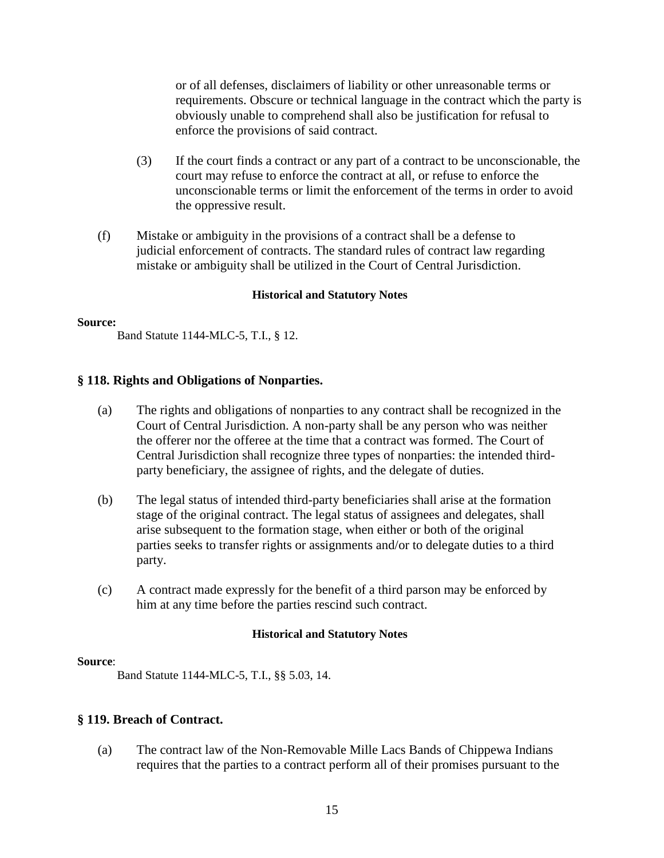or of all defenses, disclaimers of liability or other unreasonable terms or requirements. Obscure or technical language in the contract which the party is obviously unable to comprehend shall also be justification for refusal to enforce the provisions of said contract.

- (3) If the court finds a contract or any part of a contract to be unconscionable, the court may refuse to enforce the contract at all, or refuse to enforce the unconscionable terms or limit the enforcement of the terms in order to avoid the oppressive result.
- (f) Mistake or ambiguity in the provisions of a contract shall be a defense to judicial enforcement of contracts. The standard rules of contract law regarding mistake or ambiguity shall be utilized in the Court of Central Jurisdiction.

### **Historical and Statutory Notes**

#### **Source:**

Band Statute 1144-MLC-5, T.I., § 12.

### **§ 118. Rights and Obligations of Nonparties.**

- (a) The rights and obligations of nonparties to any contract shall be recognized in the Court of Central Jurisdiction. A non-party shall be any person who was neither the offerer nor the offeree at the time that a contract was formed. The Court of Central Jurisdiction shall recognize three types of nonparties: the intended thirdparty beneficiary, the assignee of rights, and the delegate of duties.
- (b) The legal status of intended third-party beneficiaries shall arise at the formation stage of the original contract. The legal status of assignees and delegates, shall arise subsequent to the formation stage, when either or both of the original parties seeks to transfer rights or assignments and/or to delegate duties to a third party.
- (c) A contract made expressly for the benefit of a third parson may be enforced by him at any time before the parties rescind such contract.

### **Historical and Statutory Notes**

### **Source**:

Band Statute 1144-MLC-5, T.I., §§ 5.03, 14.

### **§ 119. Breach of Contract.**

(a) The contract law of the Non-Removable Mille Lacs Bands of Chippewa Indians requires that the parties to a contract perform all of their promises pursuant to the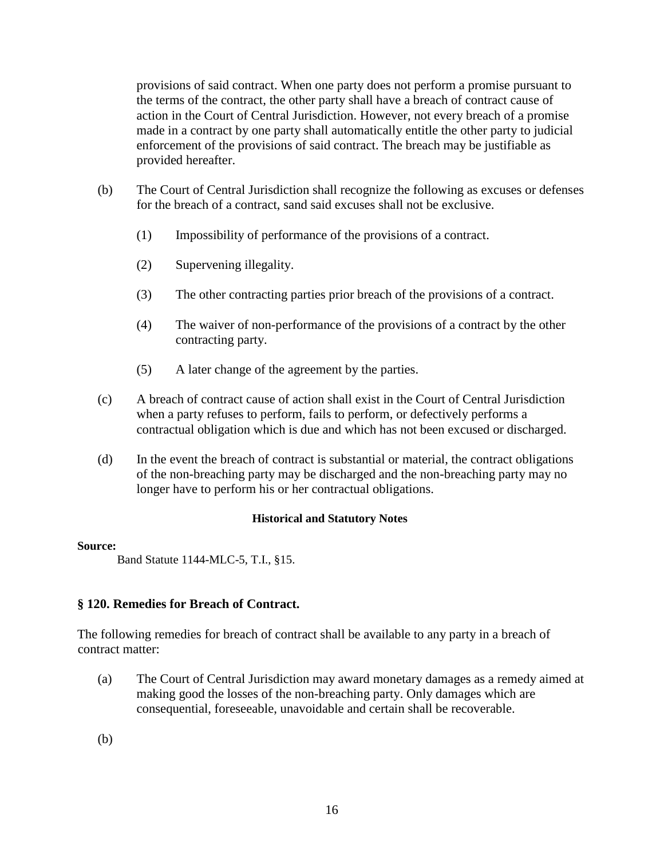provisions of said contract. When one party does not perform a promise pursuant to the terms of the contract, the other party shall have a breach of contract cause of action in the Court of Central Jurisdiction. However, not every breach of a promise made in a contract by one party shall automatically entitle the other party to judicial enforcement of the provisions of said contract. The breach may be justifiable as provided hereafter.

- (b) The Court of Central Jurisdiction shall recognize the following as excuses or defenses for the breach of a contract, sand said excuses shall not be exclusive.
	- (1) Impossibility of performance of the provisions of a contract.
	- (2) Supervening illegality.
	- (3) The other contracting parties prior breach of the provisions of a contract.
	- (4) The waiver of non-performance of the provisions of a contract by the other contracting party.
	- (5) A later change of the agreement by the parties.
- (c) A breach of contract cause of action shall exist in the Court of Central Jurisdiction when a party refuses to perform, fails to perform, or defectively performs a contractual obligation which is due and which has not been excused or discharged.
- (d) In the event the breach of contract is substantial or material, the contract obligations of the non-breaching party may be discharged and the non-breaching party may no longer have to perform his or her contractual obligations.

### **Historical and Statutory Notes**

### **Source:**

Band Statute 1144-MLC-5, T.I., §15.

### **§ 120. Remedies for Breach of Contract.**

The following remedies for breach of contract shall be available to any party in a breach of contract matter:

(a) The Court of Central Jurisdiction may award monetary damages as a remedy aimed at making good the losses of the non-breaching party. Only damages which are consequential, foreseeable, unavoidable and certain shall be recoverable.

(b)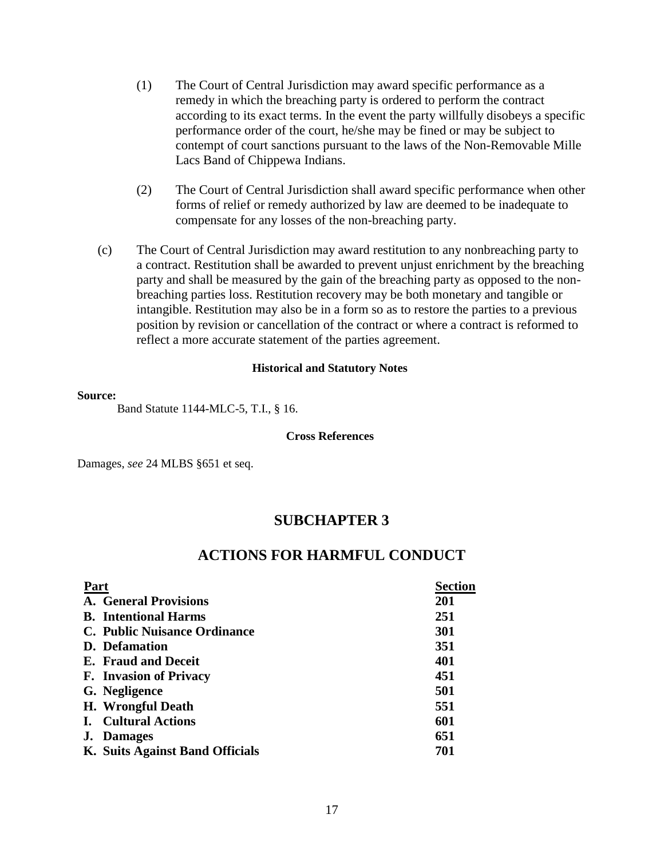- (1) The Court of Central Jurisdiction may award specific performance as a remedy in which the breaching party is ordered to perform the contract according to its exact terms. In the event the party willfully disobeys a specific performance order of the court, he/she may be fined or may be subject to contempt of court sanctions pursuant to the laws of the Non-Removable Mille Lacs Band of Chippewa Indians.
- (2) The Court of Central Jurisdiction shall award specific performance when other forms of relief or remedy authorized by law are deemed to be inadequate to compensate for any losses of the non-breaching party.
- (c) The Court of Central Jurisdiction may award restitution to any nonbreaching party to a contract. Restitution shall be awarded to prevent unjust enrichment by the breaching party and shall be measured by the gain of the breaching party as opposed to the nonbreaching parties loss. Restitution recovery may be both monetary and tangible or intangible. Restitution may also be in a form so as to restore the parties to a previous position by revision or cancellation of the contract or where a contract is reformed to reflect a more accurate statement of the parties agreement.

#### **Source:**

Band Statute 1144-MLC-5, T.I., § 16.

#### **Cross References**

Damages, *see* 24 MLBS §651 et seq.

# **SUBCHAPTER 3**

# **ACTIONS FOR HARMFUL CONDUCT**

| Part |                                 | Section |
|------|---------------------------------|---------|
|      | <b>A.</b> General Provisions    | 201     |
|      | <b>B.</b> Intentional Harms     | 251     |
|      | C. Public Nuisance Ordinance    | 301     |
|      | <b>D.</b> Defamation            | 351     |
|      | E. Fraud and Deceit             | 401     |
|      | <b>F.</b> Invasion of Privacy   | 451     |
|      | G. Negligence                   | 501     |
|      | <b>H.</b> Wrongful Death        | 551     |
|      | <b>I.</b> Cultural Actions      | 601     |
|      | <b>J.</b> Damages               | 651     |
|      | K. Suits Against Band Officials | 701     |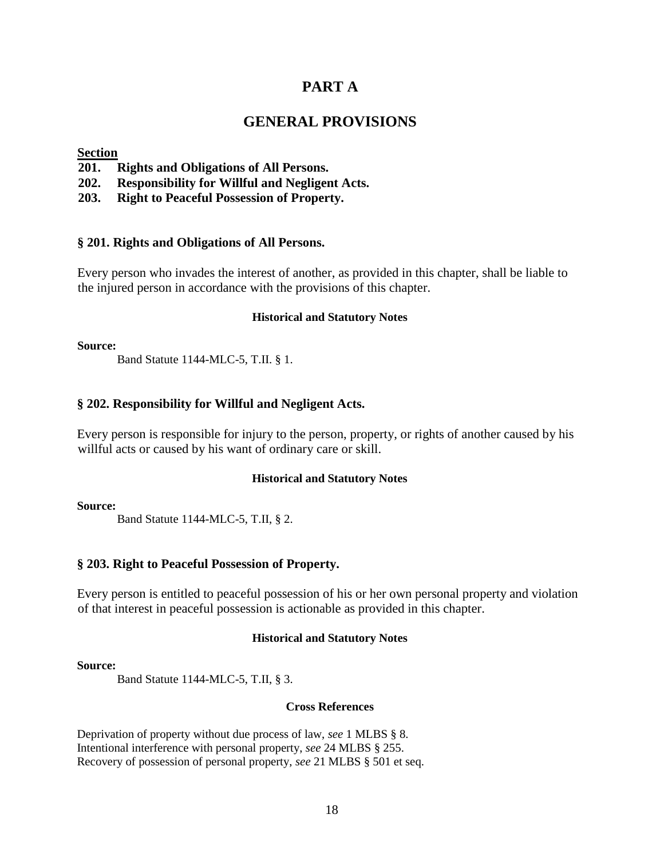## **PART A**

# **GENERAL PROVISIONS**

### **Section**

- **201. Rights and Obligations of All Persons.**
- **202. Responsibility for Willful and Negligent Acts.**
- **203. Right to Peaceful Possession of Property.**

#### **§ 201. Rights and Obligations of All Persons.**

Every person who invades the interest of another, as provided in this chapter, shall be liable to the injured person in accordance with the provisions of this chapter.

#### **Historical and Statutory Notes**

#### **Source:**

Band Statute 1144-MLC-5, T.II. § 1.

#### **§ 202. Responsibility for Willful and Negligent Acts.**

Every person is responsible for injury to the person, property, or rights of another caused by his willful acts or caused by his want of ordinary care or skill.

#### **Historical and Statutory Notes**

#### **Source:**

Band Statute 1144-MLC-5, T.II, § 2.

### **§ 203. Right to Peaceful Possession of Property.**

Every person is entitled to peaceful possession of his or her own personal property and violation of that interest in peaceful possession is actionable as provided in this chapter.

#### **Historical and Statutory Notes**

#### **Source:**

Band Statute 1144-MLC-5, T.II, § 3.

#### **Cross References**

Deprivation of property without due process of law, *see* 1 MLBS § 8. Intentional interference with personal property, *see* 24 MLBS § 255. Recovery of possession of personal property, *see* 21 MLBS § 501 et seq.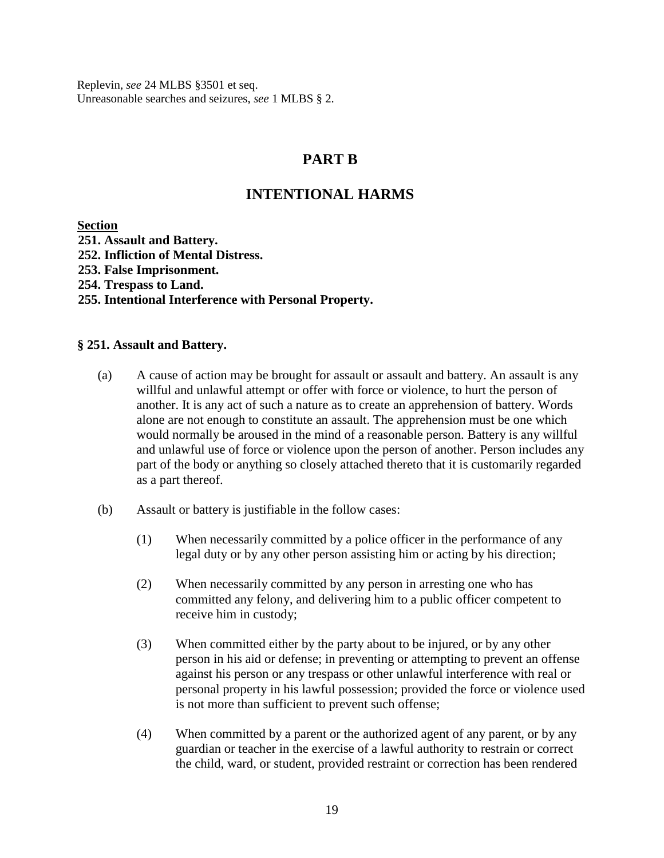Replevin, *see* 24 MLBS §3501 et seq. Unreasonable searches and seizures, *see* 1 MLBS § 2.

# **PART B**

# **INTENTIONAL HARMS**

**Section** 

**251. Assault and Battery. 252. Infliction of Mental Distress. 253. False Imprisonment. 254. Trespass to Land. 255. Intentional Interference with Personal Property.** 

### **§ 251. Assault and Battery.**

- (a) A cause of action may be brought for assault or assault and battery. An assault is any willful and unlawful attempt or offer with force or violence, to hurt the person of another. It is any act of such a nature as to create an apprehension of battery. Words alone are not enough to constitute an assault. The apprehension must be one which would normally be aroused in the mind of a reasonable person. Battery is any willful and unlawful use of force or violence upon the person of another. Person includes any part of the body or anything so closely attached thereto that it is customarily regarded as a part thereof.
- (b) Assault or battery is justifiable in the follow cases:
	- (1) When necessarily committed by a police officer in the performance of any legal duty or by any other person assisting him or acting by his direction;
	- (2) When necessarily committed by any person in arresting one who has committed any felony, and delivering him to a public officer competent to receive him in custody;
	- (3) When committed either by the party about to be injured, or by any other person in his aid or defense; in preventing or attempting to prevent an offense against his person or any trespass or other unlawful interference with real or personal property in his lawful possession; provided the force or violence used is not more than sufficient to prevent such offense;
	- (4) When committed by a parent or the authorized agent of any parent, or by any guardian or teacher in the exercise of a lawful authority to restrain or correct the child, ward, or student, provided restraint or correction has been rendered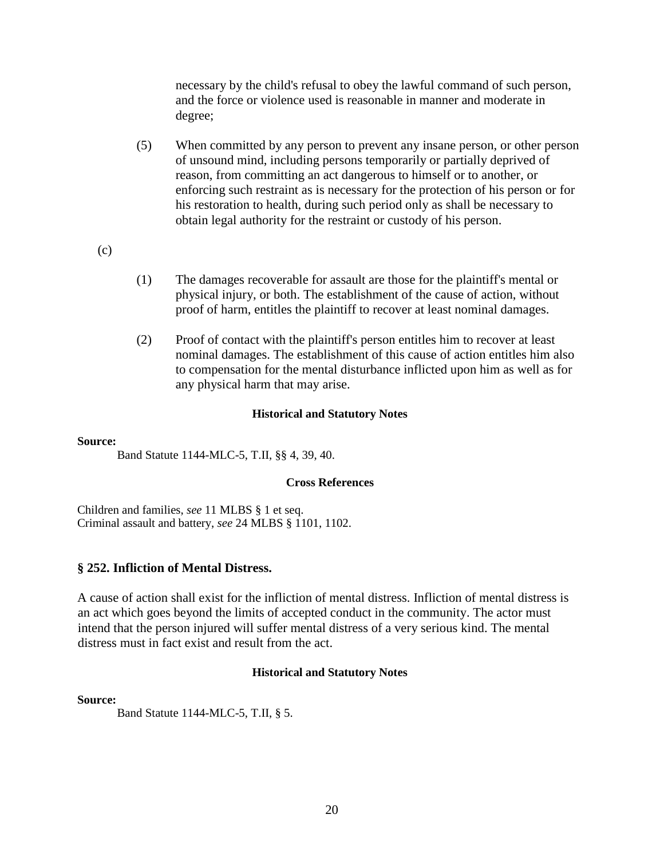necessary by the child's refusal to obey the lawful command of such person, and the force or violence used is reasonable in manner and moderate in degree;

- (5) When committed by any person to prevent any insane person, or other person of unsound mind, including persons temporarily or partially deprived of reason, from committing an act dangerous to himself or to another, or enforcing such restraint as is necessary for the protection of his person or for his restoration to health, during such period only as shall be necessary to obtain legal authority for the restraint or custody of his person.
- (c)
- (1) The damages recoverable for assault are those for the plaintiff's mental or physical injury, or both. The establishment of the cause of action, without proof of harm, entitles the plaintiff to recover at least nominal damages.
- (2) Proof of contact with the plaintiff's person entitles him to recover at least nominal damages. The establishment of this cause of action entitles him also to compensation for the mental disturbance inflicted upon him as well as for any physical harm that may arise.

### **Historical and Statutory Notes**

### **Source:**

Band Statute 1144-MLC-5, T.II, §§ 4, 39, 40.

### **Cross References**

Children and families, *see* 11 MLBS § 1 et seq. Criminal assault and battery, *see* 24 MLBS § 1101, 1102.

### **§ 252. Infliction of Mental Distress.**

A cause of action shall exist for the infliction of mental distress. Infliction of mental distress is an act which goes beyond the limits of accepted conduct in the community. The actor must intend that the person injured will suffer mental distress of a very serious kind. The mental distress must in fact exist and result from the act.

### **Historical and Statutory Notes**

### **Source:**

Band Statute 1144-MLC-5, T.II, § 5.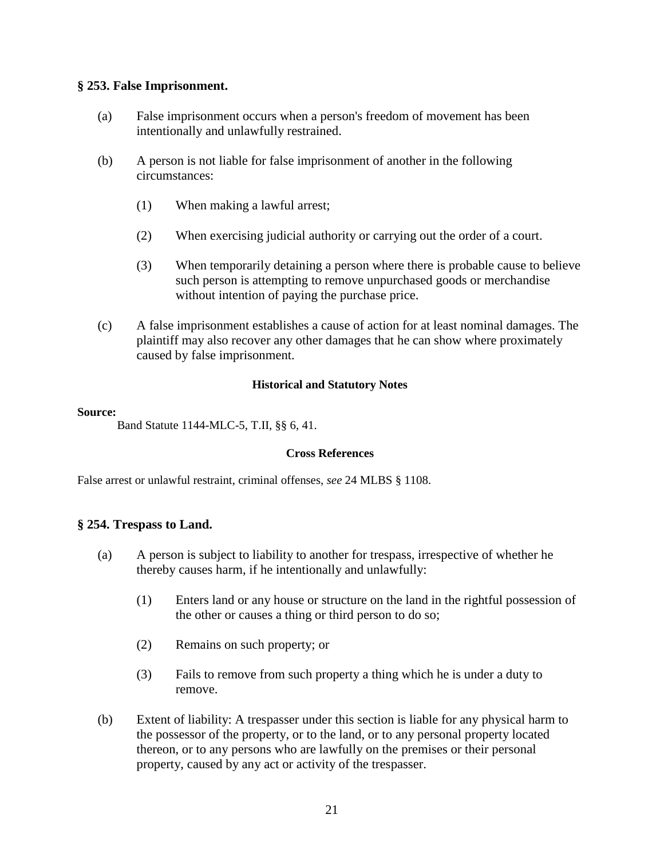### **§ 253. False Imprisonment.**

- (a) False imprisonment occurs when a person's freedom of movement has been intentionally and unlawfully restrained.
- (b) A person is not liable for false imprisonment of another in the following circumstances:
	- (1) When making a lawful arrest;
	- (2) When exercising judicial authority or carrying out the order of a court.
	- (3) When temporarily detaining a person where there is probable cause to believe such person is attempting to remove unpurchased goods or merchandise without intention of paying the purchase price.
- (c) A false imprisonment establishes a cause of action for at least nominal damages. The plaintiff may also recover any other damages that he can show where proximately caused by false imprisonment.

### **Historical and Statutory Notes**

### **Source:**

Band Statute 1144-MLC-5, T.II, §§ 6, 41.

### **Cross References**

False arrest or unlawful restraint, criminal offenses, *see* 24 MLBS § 1108.

### **§ 254. Trespass to Land.**

- (a) A person is subject to liability to another for trespass, irrespective of whether he thereby causes harm, if he intentionally and unlawfully:
	- (1) Enters land or any house or structure on the land in the rightful possession of the other or causes a thing or third person to do so;
	- (2) Remains on such property; or
	- (3) Fails to remove from such property a thing which he is under a duty to remove.
- (b) Extent of liability: A trespasser under this section is liable for any physical harm to the possessor of the property, or to the land, or to any personal property located thereon, or to any persons who are lawfully on the premises or their personal property, caused by any act or activity of the trespasser.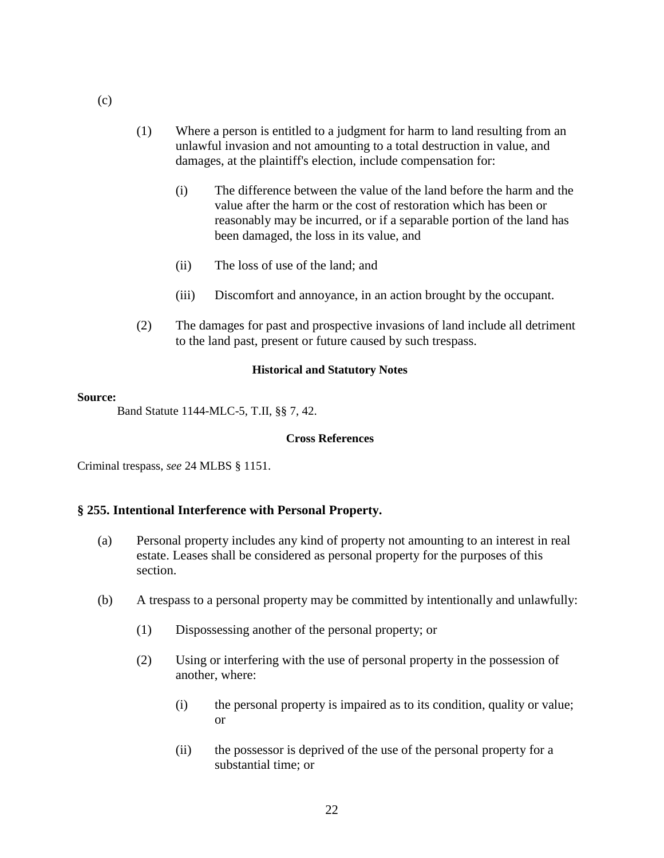- (1) Where a person is entitled to a judgment for harm to land resulting from an unlawful invasion and not amounting to a total destruction in value, and damages, at the plaintiff's election, include compensation for:
	- (i) The difference between the value of the land before the harm and the value after the harm or the cost of restoration which has been or reasonably may be incurred, or if a separable portion of the land has been damaged, the loss in its value, and
	- (ii) The loss of use of the land; and
	- (iii) Discomfort and annoyance, in an action brought by the occupant.
- (2) The damages for past and prospective invasions of land include all detriment to the land past, present or future caused by such trespass.

#### **Source:**

Band Statute 1144-MLC-5, T.II, §§ 7, 42.

#### **Cross References**

Criminal trespass, *see* 24 MLBS § 1151.

### **§ 255. Intentional Interference with Personal Property.**

- (a) Personal property includes any kind of property not amounting to an interest in real estate. Leases shall be considered as personal property for the purposes of this section.
- (b) A trespass to a personal property may be committed by intentionally and unlawfully:
	- (1) Dispossessing another of the personal property; or
	- (2) Using or interfering with the use of personal property in the possession of another, where:
		- (i) the personal property is impaired as to its condition, quality or value; or
		- (ii) the possessor is deprived of the use of the personal property for a substantial time; or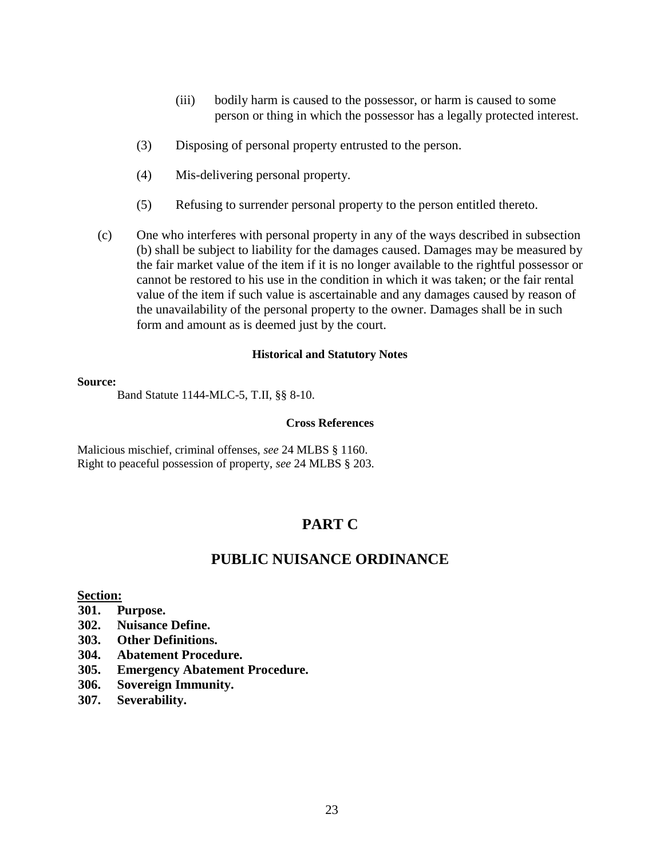- (iii) bodily harm is caused to the possessor, or harm is caused to some person or thing in which the possessor has a legally protected interest.
- (3) Disposing of personal property entrusted to the person.
- (4) Mis-delivering personal property.
- (5) Refusing to surrender personal property to the person entitled thereto.
- (c) One who interferes with personal property in any of the ways described in subsection (b) shall be subject to liability for the damages caused. Damages may be measured by the fair market value of the item if it is no longer available to the rightful possessor or cannot be restored to his use in the condition in which it was taken; or the fair rental value of the item if such value is ascertainable and any damages caused by reason of the unavailability of the personal property to the owner. Damages shall be in such form and amount as is deemed just by the court.

#### **Source:**

Band Statute 1144-MLC-5, T.II, §§ 8-10.

#### **Cross References**

Malicious mischief, criminal offenses, *see* 24 MLBS § 1160. Right to peaceful possession of property, *see* 24 MLBS § 203.

# **PART C**

# **PUBLIC NUISANCE ORDINANCE**

#### **Section:**

- **301. Purpose.**
- **302. Nuisance Define.**
- **303. Other Definitions.**
- **304. Abatement Procedure.**
- **305. Emergency Abatement Procedure.**
- **306. Sovereign Immunity.**
- **307. Severability.**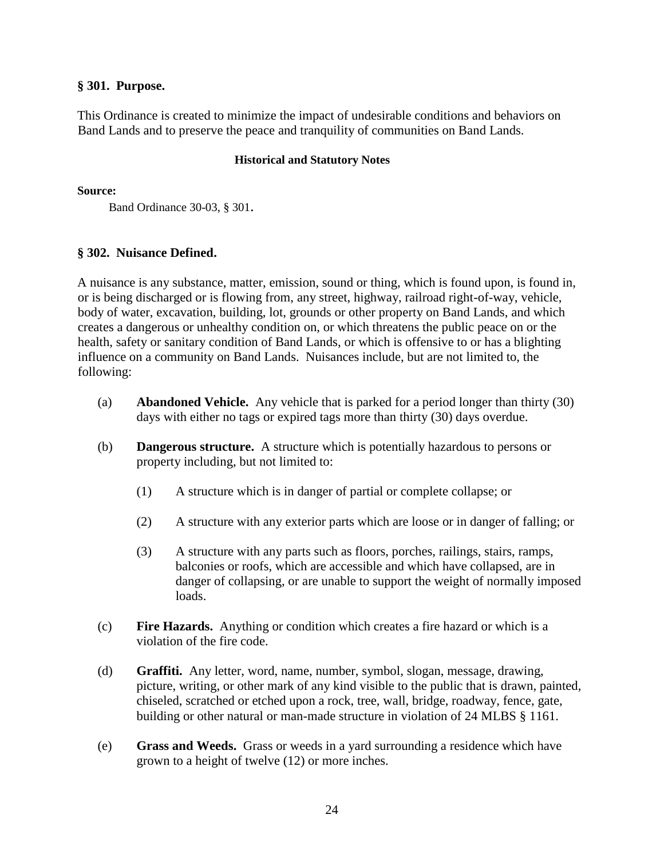### **§ 301. Purpose.**

This Ordinance is created to minimize the impact of undesirable conditions and behaviors on Band Lands and to preserve the peace and tranquility of communities on Band Lands.

### **Historical and Statutory Notes**

### **Source:**

Band Ordinance 30-03, § 301.

### **§ 302. Nuisance Defined.**

A nuisance is any substance, matter, emission, sound or thing, which is found upon, is found in, or is being discharged or is flowing from, any street, highway, railroad right-of-way, vehicle, body of water, excavation, building, lot, grounds or other property on Band Lands, and which creates a dangerous or unhealthy condition on, or which threatens the public peace on or the health, safety or sanitary condition of Band Lands, or which is offensive to or has a blighting influence on a community on Band Lands. Nuisances include, but are not limited to, the following:

- (a) **Abandoned Vehicle.** Any vehicle that is parked for a period longer than thirty (30) days with either no tags or expired tags more than thirty (30) days overdue.
- (b) **Dangerous structure.** A structure which is potentially hazardous to persons or property including, but not limited to:
	- (1) A structure which is in danger of partial or complete collapse; or
	- (2) A structure with any exterior parts which are loose or in danger of falling; or
	- (3) A structure with any parts such as floors, porches, railings, stairs, ramps, balconies or roofs, which are accessible and which have collapsed, are in danger of collapsing, or are unable to support the weight of normally imposed loads.
- (c) **Fire Hazards.** Anything or condition which creates a fire hazard or which is a violation of the fire code.
- (d) **Graffiti.** Any letter, word, name, number, symbol, slogan, message, drawing, picture, writing, or other mark of any kind visible to the public that is drawn, painted, chiseled, scratched or etched upon a rock, tree, wall, bridge, roadway, fence, gate, building or other natural or man-made structure in violation of 24 MLBS § 1161.
- (e) **Grass and Weeds.** Grass or weeds in a yard surrounding a residence which have grown to a height of twelve (12) or more inches.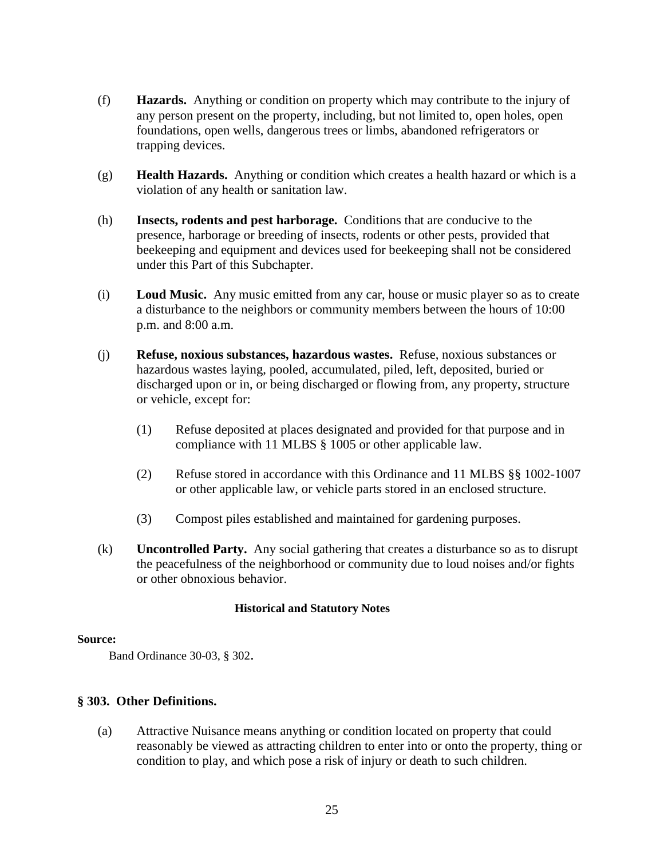- (f) **Hazards.** Anything or condition on property which may contribute to the injury of any person present on the property, including, but not limited to, open holes, open foundations, open wells, dangerous trees or limbs, abandoned refrigerators or trapping devices.
- (g) **Health Hazards.** Anything or condition which creates a health hazard or which is a violation of any health or sanitation law.
- (h) **Insects, rodents and pest harborage.** Conditions that are conducive to the presence, harborage or breeding of insects, rodents or other pests, provided that beekeeping and equipment and devices used for beekeeping shall not be considered under this Part of this Subchapter.
- (i) **Loud Music.** Any music emitted from any car, house or music player so as to create a disturbance to the neighbors or community members between the hours of 10:00 p.m. and 8:00 a.m.
- (j) **Refuse, noxious substances, hazardous wastes.** Refuse, noxious substances or hazardous wastes laying, pooled, accumulated, piled, left, deposited, buried or discharged upon or in, or being discharged or flowing from, any property, structure or vehicle, except for:
	- (1) Refuse deposited at places designated and provided for that purpose and in compliance with 11 MLBS § 1005 or other applicable law.
	- (2) Refuse stored in accordance with this Ordinance and 11 MLBS §§ 1002-1007 or other applicable law, or vehicle parts stored in an enclosed structure.
	- (3) Compost piles established and maintained for gardening purposes.
- (k) **Uncontrolled Party.** Any social gathering that creates a disturbance so as to disrupt the peacefulness of the neighborhood or community due to loud noises and/or fights or other obnoxious behavior.

### **Source:**

Band Ordinance 30-03, § 302.

### **§ 303. Other Definitions.**

(a) Attractive Nuisance means anything or condition located on property that could reasonably be viewed as attracting children to enter into or onto the property, thing or condition to play, and which pose a risk of injury or death to such children.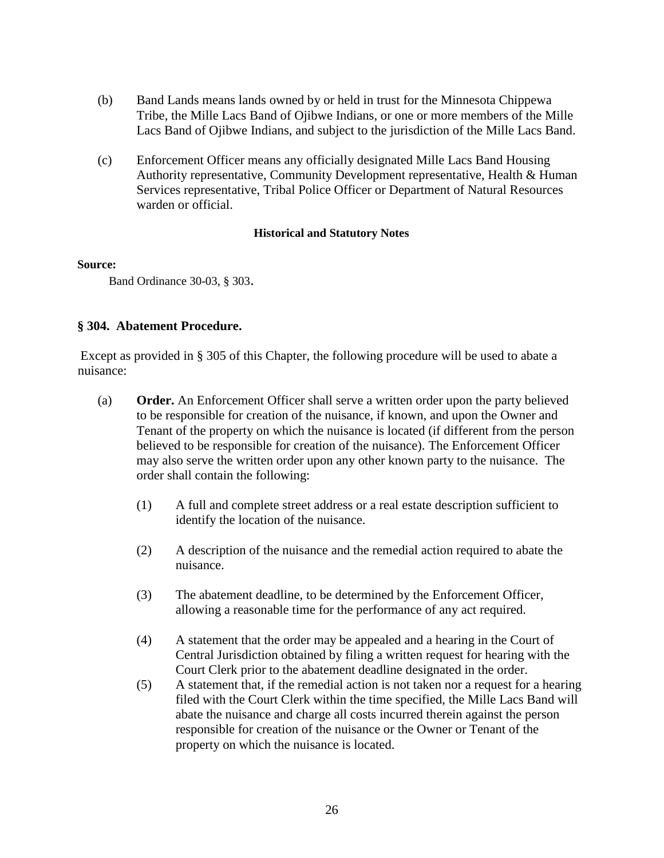- (b) Band Lands means lands owned by or held in trust for the Minnesota Chippewa Tribe, the Mille Lacs Band of Ojibwe Indians, or one or more members of the Mille Lacs Band of Ojibwe Indians, and subject to the jurisdiction of the Mille Lacs Band.
- (c) Enforcement Officer means any officially designated Mille Lacs Band Housing Authority representative, Community Development representative, Health & Human Services representative, Tribal Police Officer or Department of Natural Resources warden or official.

### **Source:**

Band Ordinance 30-03, § 303.

### **§ 304. Abatement Procedure.**

Except as provided in § 305 of this Chapter, the following procedure will be used to abate a nuisance:

- (a) **Order.** An Enforcement Officer shall serve a written order upon the party believed to be responsible for creation of the nuisance, if known, and upon the Owner and Tenant of the property on which the nuisance is located (if different from the person believed to be responsible for creation of the nuisance). The Enforcement Officer may also serve the written order upon any other known party to the nuisance. The order shall contain the following:
	- (1) A full and complete street address or a real estate description sufficient to identify the location of the nuisance.
	- (2) A description of the nuisance and the remedial action required to abate the nuisance.
	- (3) The abatement deadline, to be determined by the Enforcement Officer, allowing a reasonable time for the performance of any act required.
	- (4) A statement that the order may be appealed and a hearing in the Court of Central Jurisdiction obtained by filing a written request for hearing with the Court Clerk prior to the abatement deadline designated in the order.
	- (5) A statement that, if the remedial action is not taken nor a request for a hearing filed with the Court Clerk within the time specified, the Mille Lacs Band will abate the nuisance and charge all costs incurred therein against the person responsible for creation of the nuisance or the Owner or Tenant of the property on which the nuisance is located.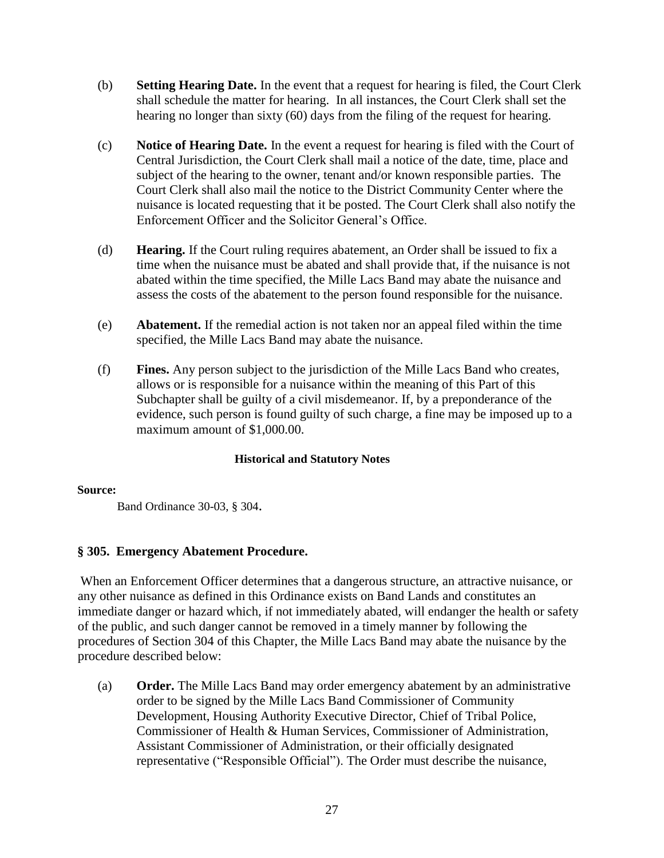- (b) **Setting Hearing Date.** In the event that a request for hearing is filed, the Court Clerk shall schedule the matter for hearing. In all instances, the Court Clerk shall set the hearing no longer than sixty (60) days from the filing of the request for hearing.
- (c) **Notice of Hearing Date.** In the event a request for hearing is filed with the Court of Central Jurisdiction, the Court Clerk shall mail a notice of the date, time, place and subject of the hearing to the owner, tenant and/or known responsible parties. The Court Clerk shall also mail the notice to the District Community Center where the nuisance is located requesting that it be posted. The Court Clerk shall also notify the Enforcement Officer and the Solicitor General's Office.
- (d) **Hearing.** If the Court ruling requires abatement, an Order shall be issued to fix a time when the nuisance must be abated and shall provide that, if the nuisance is not abated within the time specified, the Mille Lacs Band may abate the nuisance and assess the costs of the abatement to the person found responsible for the nuisance.
- (e) **Abatement.** If the remedial action is not taken nor an appeal filed within the time specified, the Mille Lacs Band may abate the nuisance.
- (f) **Fines.** Any person subject to the jurisdiction of the Mille Lacs Band who creates, allows or is responsible for a nuisance within the meaning of this Part of this Subchapter shall be guilty of a civil misdemeanor. If, by a preponderance of the evidence, such person is found guilty of such charge, a fine may be imposed up to a maximum amount of \$1,000.00.

### **Source:**

Band Ordinance 30-03, § 304.

### **§ 305. Emergency Abatement Procedure.**

When an Enforcement Officer determines that a dangerous structure, an attractive nuisance, or any other nuisance as defined in this Ordinance exists on Band Lands and constitutes an immediate danger or hazard which, if not immediately abated, will endanger the health or safety of the public, and such danger cannot be removed in a timely manner by following the procedures of Section 304 of this Chapter, the Mille Lacs Band may abate the nuisance by the procedure described below:

(a) **Order.** The Mille Lacs Band may order emergency abatement by an administrative order to be signed by the Mille Lacs Band Commissioner of Community Development, Housing Authority Executive Director, Chief of Tribal Police, Commissioner of Health & Human Services, Commissioner of Administration, Assistant Commissioner of Administration, or their officially designated representative ("Responsible Official"). The Order must describe the nuisance,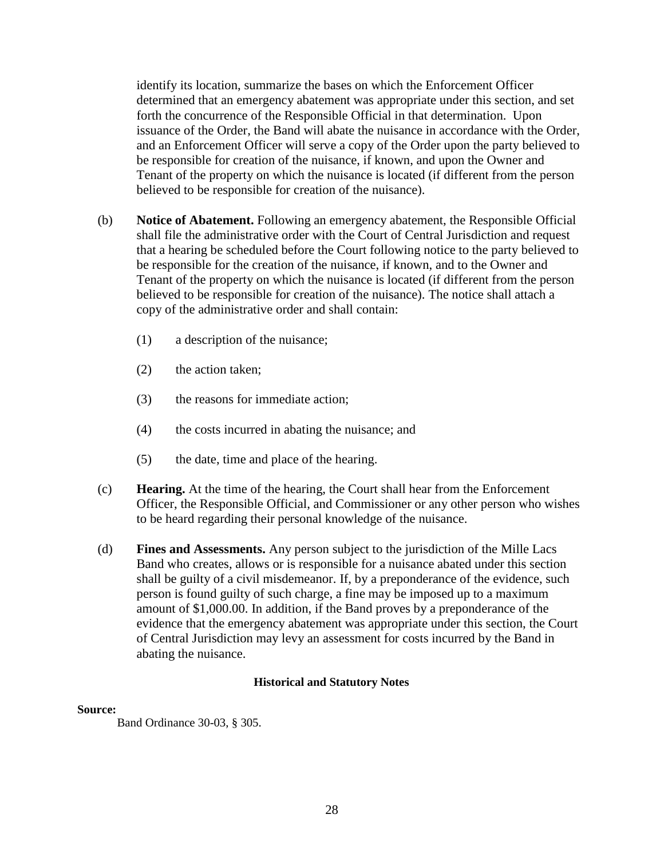identify its location, summarize the bases on which the Enforcement Officer determined that an emergency abatement was appropriate under this section, and set forth the concurrence of the Responsible Official in that determination. Upon issuance of the Order, the Band will abate the nuisance in accordance with the Order, and an Enforcement Officer will serve a copy of the Order upon the party believed to be responsible for creation of the nuisance, if known, and upon the Owner and Tenant of the property on which the nuisance is located (if different from the person believed to be responsible for creation of the nuisance).

- (b) **Notice of Abatement.** Following an emergency abatement, the Responsible Official shall file the administrative order with the Court of Central Jurisdiction and request that a hearing be scheduled before the Court following notice to the party believed to be responsible for the creation of the nuisance, if known, and to the Owner and Tenant of the property on which the nuisance is located (if different from the person believed to be responsible for creation of the nuisance). The notice shall attach a copy of the administrative order and shall contain:
	- (1) a description of the nuisance;
	- (2) the action taken;
	- (3) the reasons for immediate action;
	- (4) the costs incurred in abating the nuisance; and
	- (5) the date, time and place of the hearing.
- (c) **Hearing.** At the time of the hearing, the Court shall hear from the Enforcement Officer, the Responsible Official, and Commissioner or any other person who wishes to be heard regarding their personal knowledge of the nuisance.
- (d) **Fines and Assessments.** Any person subject to the jurisdiction of the Mille Lacs Band who creates, allows or is responsible for a nuisance abated under this section shall be guilty of a civil misdemeanor. If, by a preponderance of the evidence, such person is found guilty of such charge, a fine may be imposed up to a maximum amount of \$1,000.00. In addition, if the Band proves by a preponderance of the evidence that the emergency abatement was appropriate under this section, the Court of Central Jurisdiction may levy an assessment for costs incurred by the Band in abating the nuisance.

### **Historical and Statutory Notes**

### **Source:**

Band Ordinance 30-03, § 305.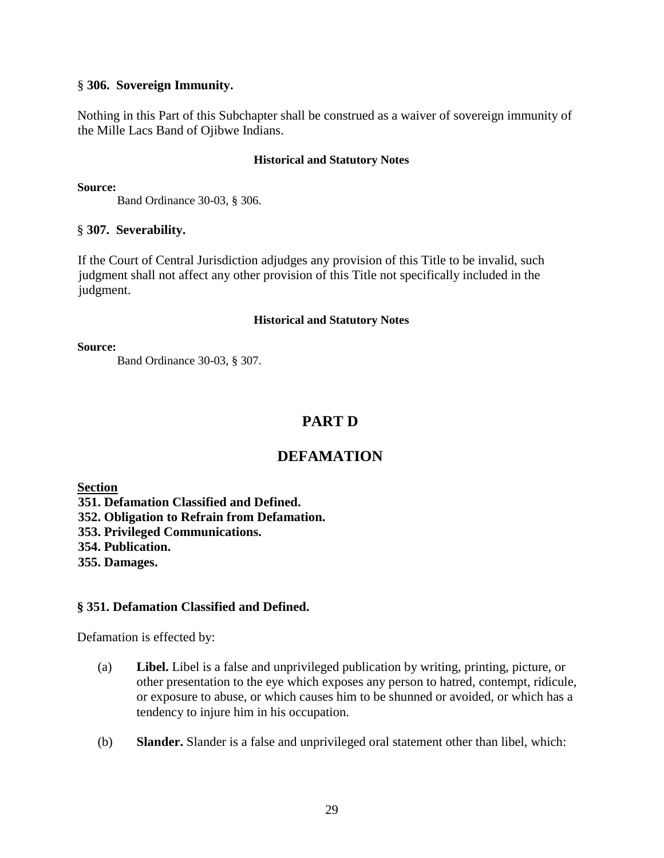### § **306. Sovereign Immunity.**

Nothing in this Part of this Subchapter shall be construed as a waiver of sovereign immunity of the Mille Lacs Band of Ojibwe Indians.

### **Historical and Statutory Notes**

**Source:**

Band Ordinance 30-03, § 306.

### § **307. Severability.**

If the Court of Central Jurisdiction adjudges any provision of this Title to be invalid, such judgment shall not affect any other provision of this Title not specifically included in the judgment.

### **Historical and Statutory Notes**

**Source:**

Band Ordinance 30-03, § 307.

# **PART D**

# **DEFAMATION**

**Section** 

**351. Defamation Classified and Defined.** 

**352. Obligation to Refrain from Defamation.** 

**353. Privileged Communications.** 

**354. Publication.** 

**355. Damages.** 

### **§ 351. Defamation Classified and Defined.**

Defamation is effected by:

- (a) **Libel.** Libel is a false and unprivileged publication by writing, printing, picture, or other presentation to the eye which exposes any person to hatred, contempt, ridicule, or exposure to abuse, or which causes him to be shunned or avoided, or which has a tendency to injure him in his occupation.
- (b) **Slander.** Slander is a false and unprivileged oral statement other than libel, which: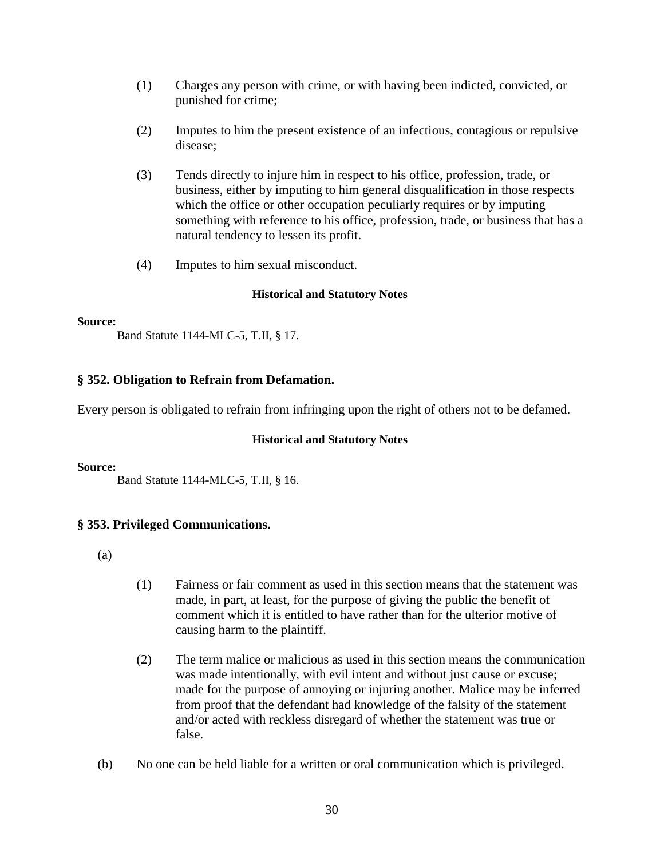- (1) Charges any person with crime, or with having been indicted, convicted, or punished for crime;
- (2) Imputes to him the present existence of an infectious, contagious or repulsive disease;
- (3) Tends directly to injure him in respect to his office, profession, trade, or business, either by imputing to him general disqualification in those respects which the office or other occupation peculiarly requires or by imputing something with reference to his office, profession, trade, or business that has a natural tendency to lessen its profit.
- (4) Imputes to him sexual misconduct.

### **Source:**

Band Statute 1144-MLC-5, T.II, § 17.

### **§ 352. Obligation to Refrain from Defamation.**

Every person is obligated to refrain from infringing upon the right of others not to be defamed.

### **Historical and Statutory Notes**

### **Source:**

Band Statute 1144-MLC-5, T.II, § 16.

### **§ 353. Privileged Communications.**

- (a)
- (1) Fairness or fair comment as used in this section means that the statement was made, in part, at least, for the purpose of giving the public the benefit of comment which it is entitled to have rather than for the ulterior motive of causing harm to the plaintiff.
- (2) The term malice or malicious as used in this section means the communication was made intentionally, with evil intent and without just cause or excuse; made for the purpose of annoying or injuring another. Malice may be inferred from proof that the defendant had knowledge of the falsity of the statement and/or acted with reckless disregard of whether the statement was true or false.
- (b) No one can be held liable for a written or oral communication which is privileged.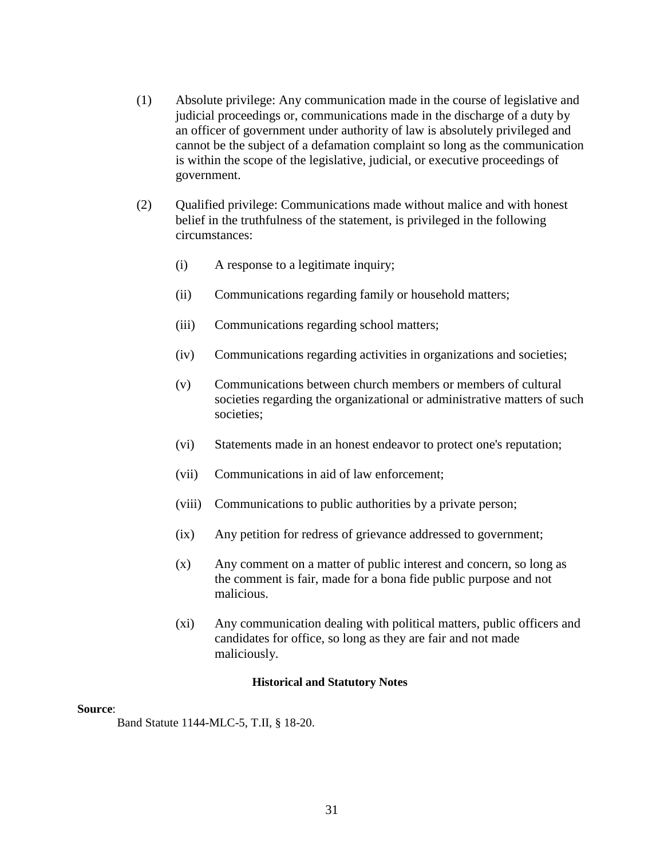- (1) Absolute privilege: Any communication made in the course of legislative and judicial proceedings or, communications made in the discharge of a duty by an officer of government under authority of law is absolutely privileged and cannot be the subject of a defamation complaint so long as the communication is within the scope of the legislative, judicial, or executive proceedings of government.
- (2) Qualified privilege: Communications made without malice and with honest belief in the truthfulness of the statement, is privileged in the following circumstances:
	- (i) A response to a legitimate inquiry;
	- (ii) Communications regarding family or household matters;
	- (iii) Communications regarding school matters;
	- (iv) Communications regarding activities in organizations and societies;
	- (v) Communications between church members or members of cultural societies regarding the organizational or administrative matters of such societies;
	- (vi) Statements made in an honest endeavor to protect one's reputation;
	- (vii) Communications in aid of law enforcement;
	- (viii) Communications to public authorities by a private person;
	- (ix) Any petition for redress of grievance addressed to government;
	- (x) Any comment on a matter of public interest and concern, so long as the comment is fair, made for a bona fide public purpose and not malicious.
	- (xi) Any communication dealing with political matters, public officers and candidates for office, so long as they are fair and not made maliciously.

#### **Source**:

Band Statute 1144-MLC-5, T.II, § 18-20.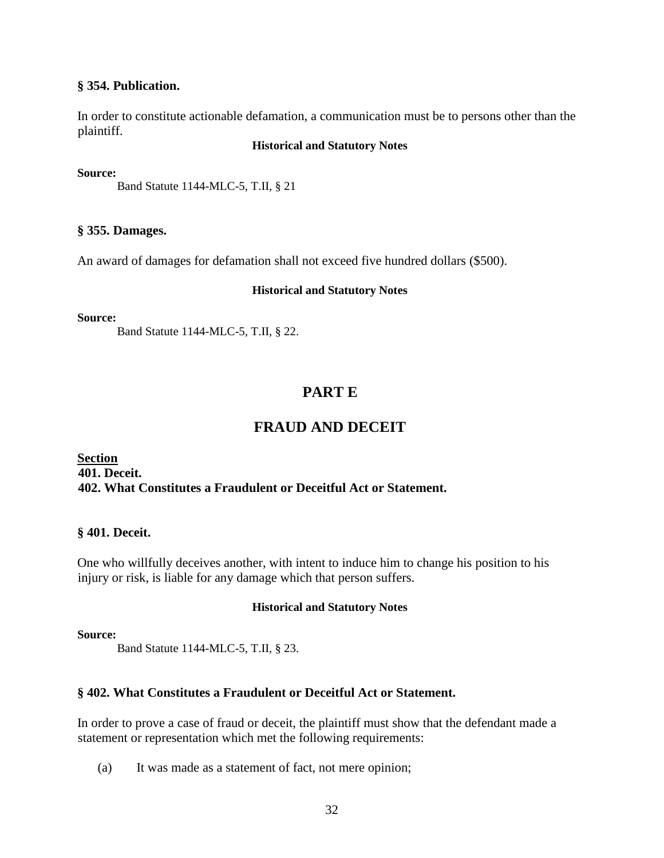### **§ 354. Publication.**

In order to constitute actionable defamation, a communication must be to persons other than the plaintiff.

### **Historical and Statutory Notes**

### **Source:**

Band Statute 1144-MLC-5, T.II, § 21

### **§ 355. Damages.**

An award of damages for defamation shall not exceed five hundred dollars (\$500).

### **Historical and Statutory Notes**

### **Source:**

Band Statute 1144-MLC-5, T.II, § 22.

# **PART E**

# **FRAUD AND DECEIT**

### **Section 401. Deceit. 402. What Constitutes a Fraudulent or Deceitful Act or Statement.**

### **§ 401. Deceit.**

One who willfully deceives another, with intent to induce him to change his position to his injury or risk, is liable for any damage which that person suffers.

### **Historical and Statutory Notes**

### **Source:**

Band Statute 1144-MLC-5, T.II, § 23.

### **§ 402. What Constitutes a Fraudulent or Deceitful Act or Statement.**

In order to prove a case of fraud or deceit, the plaintiff must show that the defendant made a statement or representation which met the following requirements:

(a) It was made as a statement of fact, not mere opinion;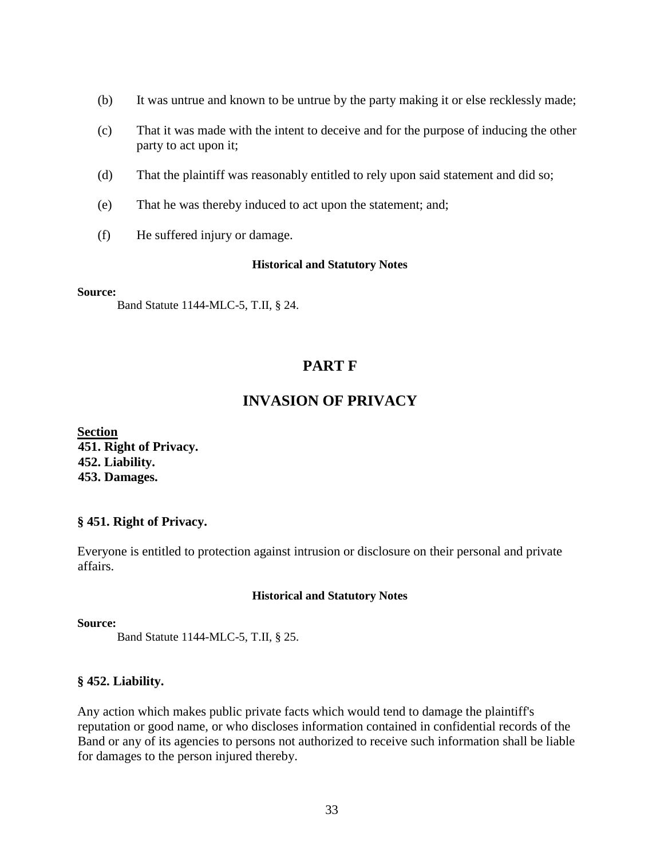- (b) It was untrue and known to be untrue by the party making it or else recklessly made;
- (c) That it was made with the intent to deceive and for the purpose of inducing the other party to act upon it;
- (d) That the plaintiff was reasonably entitled to rely upon said statement and did so;
- (e) That he was thereby induced to act upon the statement; and;
- (f) He suffered injury or damage.

**Source:**

Band Statute 1144-MLC-5, T.II, § 24.

# **PART F**

# **INVASION OF PRIVACY**

**Section 451. Right of Privacy. 452. Liability. 453. Damages.** 

### **§ 451. Right of Privacy.**

Everyone is entitled to protection against intrusion or disclosure on their personal and private affairs.

### **Historical and Statutory Notes**

### **Source:**

Band Statute 1144-MLC-5, T.II, § 25.

### **§ 452. Liability.**

Any action which makes public private facts which would tend to damage the plaintiff's reputation or good name, or who discloses information contained in confidential records of the Band or any of its agencies to persons not authorized to receive such information shall be liable for damages to the person injured thereby.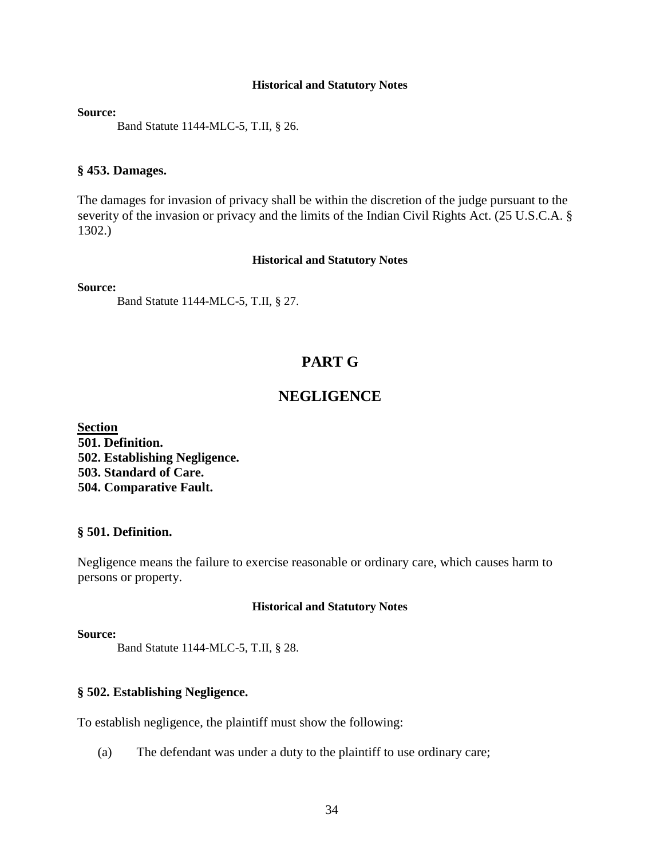**Source:**

Band Statute 1144-MLC-5, T.II, § 26.

### **§ 453. Damages.**

The damages for invasion of privacy shall be within the discretion of the judge pursuant to the severity of the invasion or privacy and the limits of the Indian Civil Rights Act. (25 U.S.C.A. § 1302.)

### **Historical and Statutory Notes**

**Source:** 

Band Statute 1144-MLC-5, T.II, § 27.

# **PART G**

# **NEGLIGENCE**

**Section 501. Definition. 502. Establishing Negligence. 503. Standard of Care. 504. Comparative Fault.** 

### **§ 501. Definition.**

Negligence means the failure to exercise reasonable or ordinary care, which causes harm to persons or property.

### **Historical and Statutory Notes**

### **Source:**

Band Statute 1144-MLC-5, T.II, § 28.

### **§ 502. Establishing Negligence.**

To establish negligence, the plaintiff must show the following:

(a) The defendant was under a duty to the plaintiff to use ordinary care;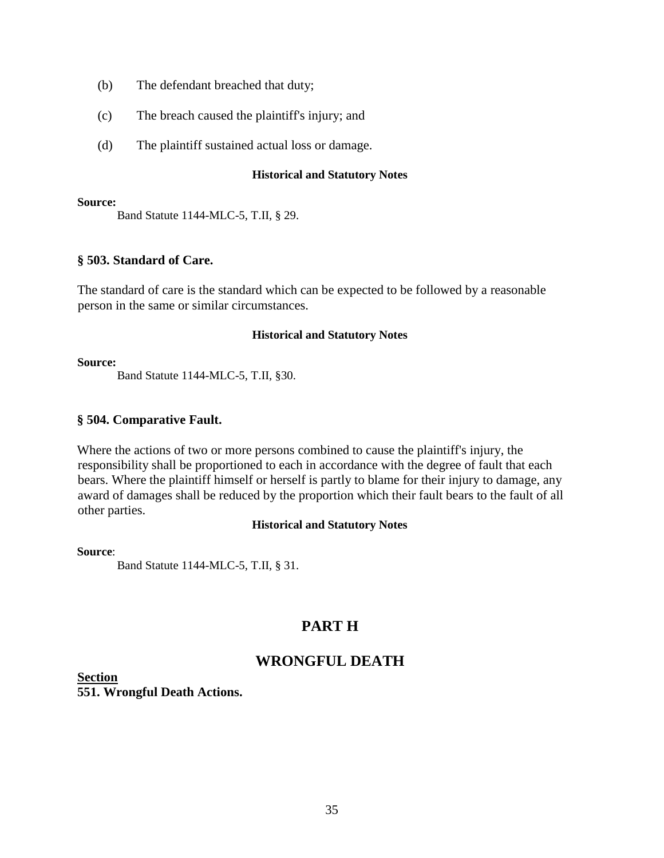- (b) The defendant breached that duty;
- (c) The breach caused the plaintiff's injury; and
- (d) The plaintiff sustained actual loss or damage.

#### **Source:**

Band Statute 1144-MLC-5, T.II, § 29.

### **§ 503. Standard of Care.**

The standard of care is the standard which can be expected to be followed by a reasonable person in the same or similar circumstances.

### **Historical and Statutory Notes**

#### **Source:**

Band Statute 1144-MLC-5, T.II, §30.

### **§ 504. Comparative Fault.**

Where the actions of two or more persons combined to cause the plaintiff's injury, the responsibility shall be proportioned to each in accordance with the degree of fault that each bears. Where the plaintiff himself or herself is partly to blame for their injury to damage, any award of damages shall be reduced by the proportion which their fault bears to the fault of all other parties.

### **Historical and Statutory Notes**

### **Source**:

Band Statute 1144-MLC-5, T.II, § 31.

# **PART H**

# **WRONGFUL DEATH**

**Section 551. Wrongful Death Actions.**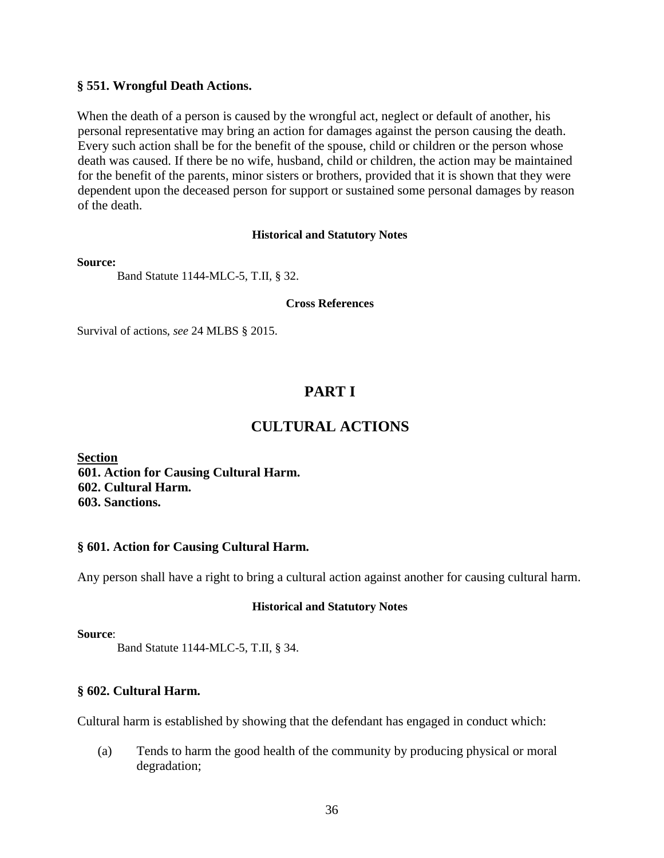### **§ 551. Wrongful Death Actions.**

When the death of a person is caused by the wrongful act, neglect or default of another, his personal representative may bring an action for damages against the person causing the death. Every such action shall be for the benefit of the spouse, child or children or the person whose death was caused. If there be no wife, husband, child or children, the action may be maintained for the benefit of the parents, minor sisters or brothers, provided that it is shown that they were dependent upon the deceased person for support or sustained some personal damages by reason of the death.

### **Historical and Statutory Notes**

#### **Source:**

Band Statute 1144-MLC-5, T.II, § 32.

#### **Cross References**

Survival of actions, *see* 24 MLBS § 2015.

# **PART I**

# **CULTURAL ACTIONS**

**Section 601. Action for Causing Cultural Harm. 602. Cultural Harm. 603. Sanctions.** 

### **§ 601. Action for Causing Cultural Harm.**

Any person shall have a right to bring a cultural action against another for causing cultural harm.

### **Historical and Statutory Notes**

### **Source**:

Band Statute 1144-MLC-5, T.II, § 34.

### **§ 602. Cultural Harm.**

Cultural harm is established by showing that the defendant has engaged in conduct which:

(a) Tends to harm the good health of the community by producing physical or moral degradation;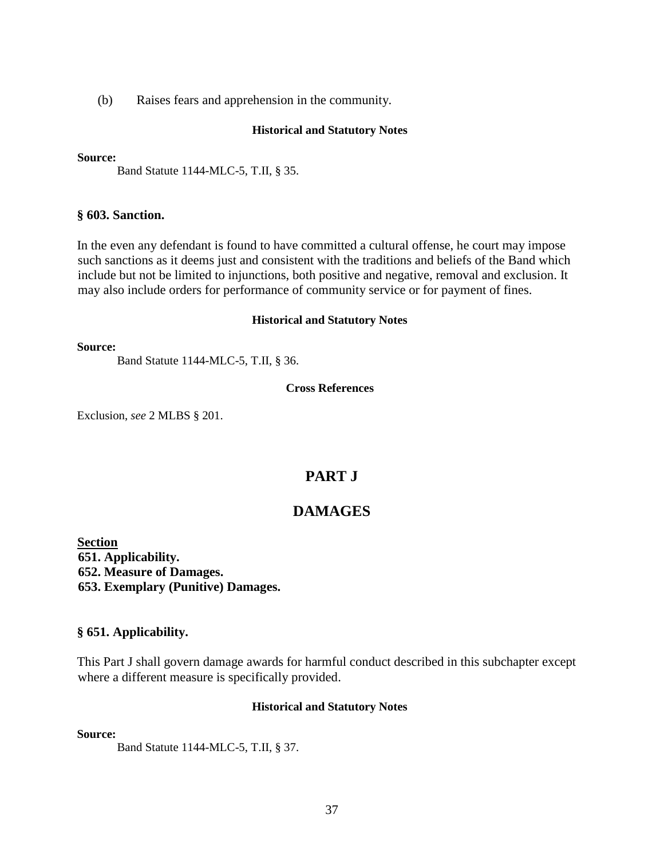(b) Raises fears and apprehension in the community.

#### **Historical and Statutory Notes**

#### **Source:**

Band Statute 1144-MLC-5, T.II, § 35.

### **§ 603. Sanction.**

In the even any defendant is found to have committed a cultural offense, he court may impose such sanctions as it deems just and consistent with the traditions and beliefs of the Band which include but not be limited to injunctions, both positive and negative, removal and exclusion. It may also include orders for performance of community service or for payment of fines.

#### **Historical and Statutory Notes**

**Source:**

Band Statute 1144-MLC-5, T.II, § 36.

#### **Cross References**

Exclusion, *see* 2 MLBS § 201.

# **PART J**

# **DAMAGES**

**Section 651. Applicability. 652. Measure of Damages. 653. Exemplary (Punitive) Damages.** 

### **§ 651. Applicability.**

This Part J shall govern damage awards for harmful conduct described in this subchapter except where a different measure is specifically provided.

### **Historical and Statutory Notes**

#### **Source:**

Band Statute 1144-MLC-5, T.II, § 37.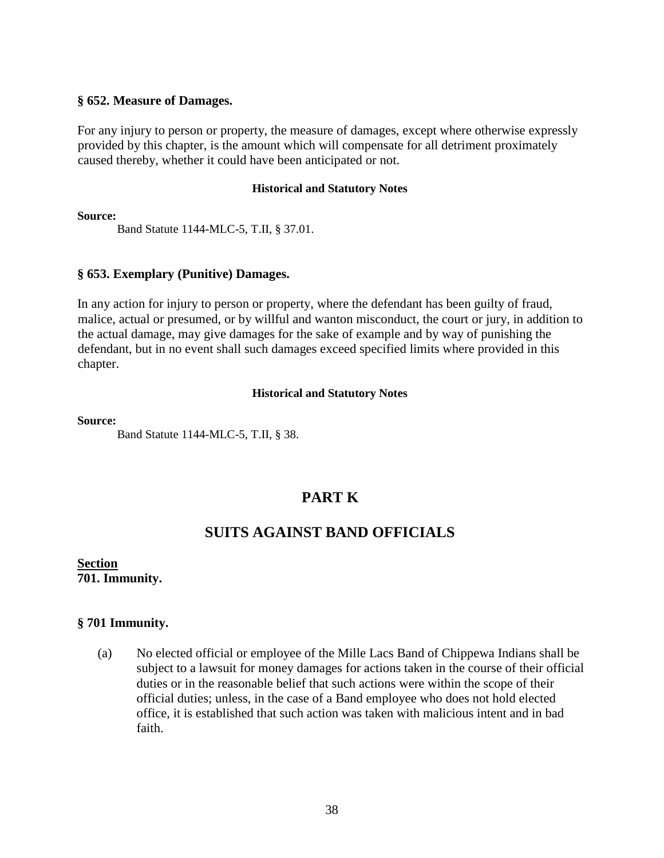### **§ 652. Measure of Damages.**

For any injury to person or property, the measure of damages, except where otherwise expressly provided by this chapter, is the amount which will compensate for all detriment proximately caused thereby, whether it could have been anticipated or not.

#### **Historical and Statutory Notes**

**Source:**

Band Statute 1144-MLC-5, T.II, § 37.01.

### **§ 653. Exemplary (Punitive) Damages.**

In any action for injury to person or property, where the defendant has been guilty of fraud, malice, actual or presumed, or by willful and wanton misconduct, the court or jury, in addition to the actual damage, may give damages for the sake of example and by way of punishing the defendant, but in no event shall such damages exceed specified limits where provided in this chapter.

### **Historical and Statutory Notes**

#### **Source:**

Band Statute 1144-MLC-5, T.II, § 38.

# **PART K**

# **SUITS AGAINST BAND OFFICIALS**

**Section 701. Immunity.**

### **§ 701 Immunity.**

(a) No elected official or employee of the Mille Lacs Band of Chippewa Indians shall be subject to a lawsuit for money damages for actions taken in the course of their official duties or in the reasonable belief that such actions were within the scope of their official duties; unless, in the case of a Band employee who does not hold elected office, it is established that such action was taken with malicious intent and in bad faith.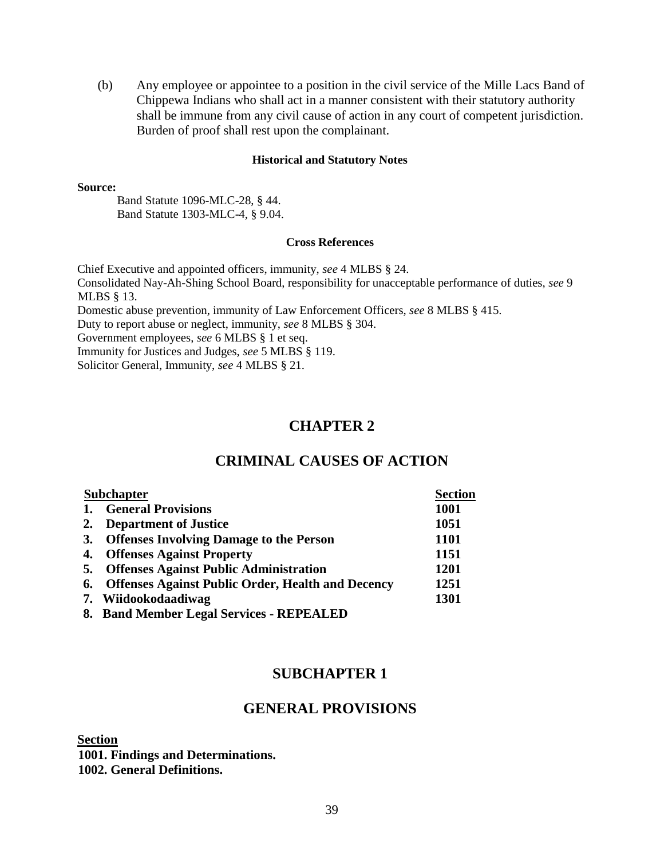(b) Any employee or appointee to a position in the civil service of the Mille Lacs Band of Chippewa Indians who shall act in a manner consistent with their statutory authority shall be immune from any civil cause of action in any court of competent jurisdiction. Burden of proof shall rest upon the complainant.

#### **Historical and Statutory Notes**

#### **Source:**

Band Statute 1096-MLC-28, § 44. Band Statute 1303-MLC-4, § 9.04.

#### **Cross References**

Chief Executive and appointed officers, immunity, *see* 4 MLBS § 24. Consolidated Nay-Ah-Shing School Board, responsibility for unacceptable performance of duties, *see* 9 MLBS § 13. Domestic abuse prevention, immunity of Law Enforcement Officers, *see* 8 MLBS § 415. Duty to report abuse or neglect, immunity, *see* 8 MLBS § 304. Government employees, *see* 6 MLBS § 1 et seq.

Immunity for Justices and Judges, *see* 5 MLBS § 119. Solicitor General, Immunity, *see* 4 MLBS § 21.

# **CHAPTER 2**

# **CRIMINAL CAUSES OF ACTION**

| <b>Subchapter</b> |                                                          | <b>Section</b> |
|-------------------|----------------------------------------------------------|----------------|
| 1.                | <b>General Provisions</b>                                | 1001           |
| 2.                | <b>Department of Justice</b>                             | 1051           |
| 3.                | <b>Offenses Involving Damage to the Person</b>           | <b>1101</b>    |
| 4.                | <b>Offenses Against Property</b>                         | 1151           |
| 5.                | <b>Offenses Against Public Administration</b>            | 1201           |
| 6.                | <b>Offenses Against Public Order, Health and Decency</b> | 1251           |
|                   | 7. Wiidookodaadiwag                                      | 1301           |
|                   | 8. Band Member Legal Services - REPEALED                 |                |

# **SUBCHAPTER 1**

### **GENERAL PROVISIONS**

**Section** 

**1001. Findings and Determinations. 1002. General Definitions.**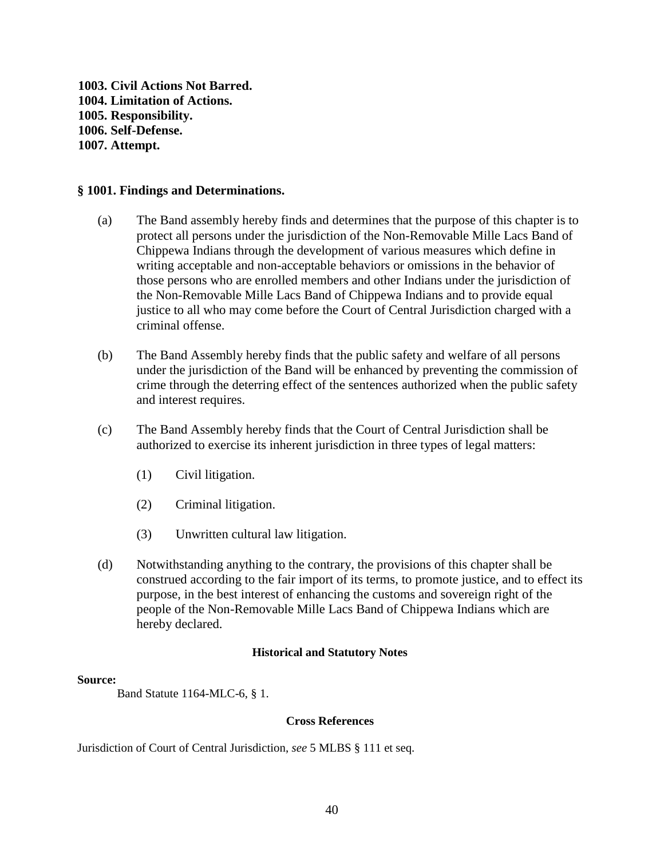**1003. Civil Actions Not Barred. 1004. Limitation of Actions. 1005. Responsibility. 1006. Self-Defense. 1007. Attempt.** 

### **§ 1001. Findings and Determinations.**

- (a) The Band assembly hereby finds and determines that the purpose of this chapter is to protect all persons under the jurisdiction of the Non-Removable Mille Lacs Band of Chippewa Indians through the development of various measures which define in writing acceptable and non-acceptable behaviors or omissions in the behavior of those persons who are enrolled members and other Indians under the jurisdiction of the Non-Removable Mille Lacs Band of Chippewa Indians and to provide equal justice to all who may come before the Court of Central Jurisdiction charged with a criminal offense.
- (b) The Band Assembly hereby finds that the public safety and welfare of all persons under the jurisdiction of the Band will be enhanced by preventing the commission of crime through the deterring effect of the sentences authorized when the public safety and interest requires.
- (c) The Band Assembly hereby finds that the Court of Central Jurisdiction shall be authorized to exercise its inherent jurisdiction in three types of legal matters:
	- (1) Civil litigation.
	- (2) Criminal litigation.
	- (3) Unwritten cultural law litigation.
- (d) Notwithstanding anything to the contrary, the provisions of this chapter shall be construed according to the fair import of its terms, to promote justice, and to effect its purpose, in the best interest of enhancing the customs and sovereign right of the people of the Non-Removable Mille Lacs Band of Chippewa Indians which are hereby declared.

#### **Historical and Statutory Notes**

#### **Source:**

Band Statute 1164-MLC-6, § 1.

#### **Cross References**

Jurisdiction of Court of Central Jurisdiction, *see* 5 MLBS § 111 et seq.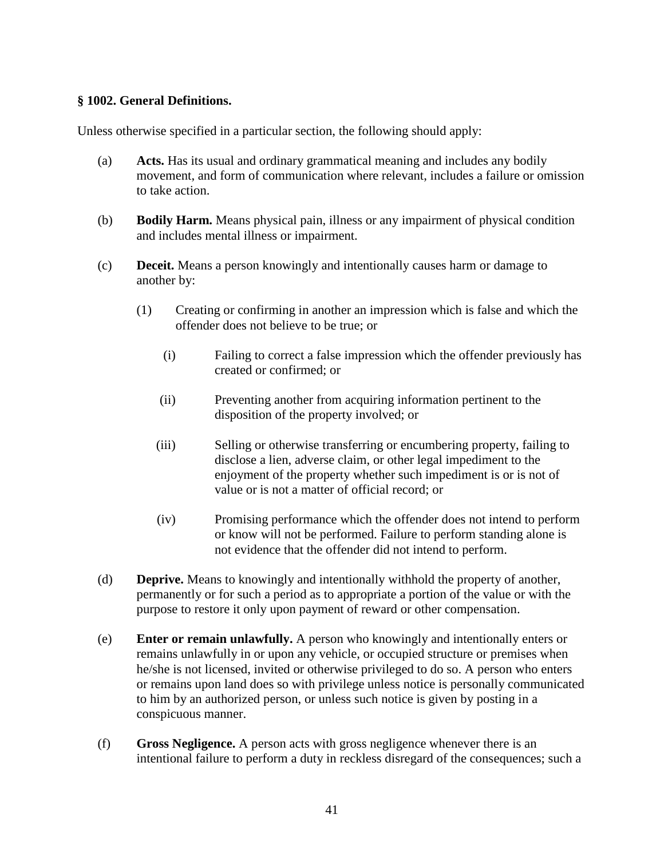### **§ 1002. General Definitions.**

Unless otherwise specified in a particular section, the following should apply:

- (a) **Acts.** Has its usual and ordinary grammatical meaning and includes any bodily movement, and form of communication where relevant, includes a failure or omission to take action.
- (b) **Bodily Harm.** Means physical pain, illness or any impairment of physical condition and includes mental illness or impairment.
- (c) **Deceit.** Means a person knowingly and intentionally causes harm or damage to another by:
	- (1) Creating or confirming in another an impression which is false and which the offender does not believe to be true; or
		- (i) Failing to correct a false impression which the offender previously has created or confirmed; or
		- (ii) Preventing another from acquiring information pertinent to the disposition of the property involved; or
		- (iii) Selling or otherwise transferring or encumbering property, failing to disclose a lien, adverse claim, or other legal impediment to the enjoyment of the property whether such impediment is or is not of value or is not a matter of official record; or
		- (iv) Promising performance which the offender does not intend to perform or know will not be performed. Failure to perform standing alone is not evidence that the offender did not intend to perform.
- (d) **Deprive.** Means to knowingly and intentionally withhold the property of another, permanently or for such a period as to appropriate a portion of the value or with the purpose to restore it only upon payment of reward or other compensation.
- (e) **Enter or remain unlawfully.** A person who knowingly and intentionally enters or remains unlawfully in or upon any vehicle, or occupied structure or premises when he/she is not licensed, invited or otherwise privileged to do so. A person who enters or remains upon land does so with privilege unless notice is personally communicated to him by an authorized person, or unless such notice is given by posting in a conspicuous manner.
- (f) **Gross Negligence.** A person acts with gross negligence whenever there is an intentional failure to perform a duty in reckless disregard of the consequences; such a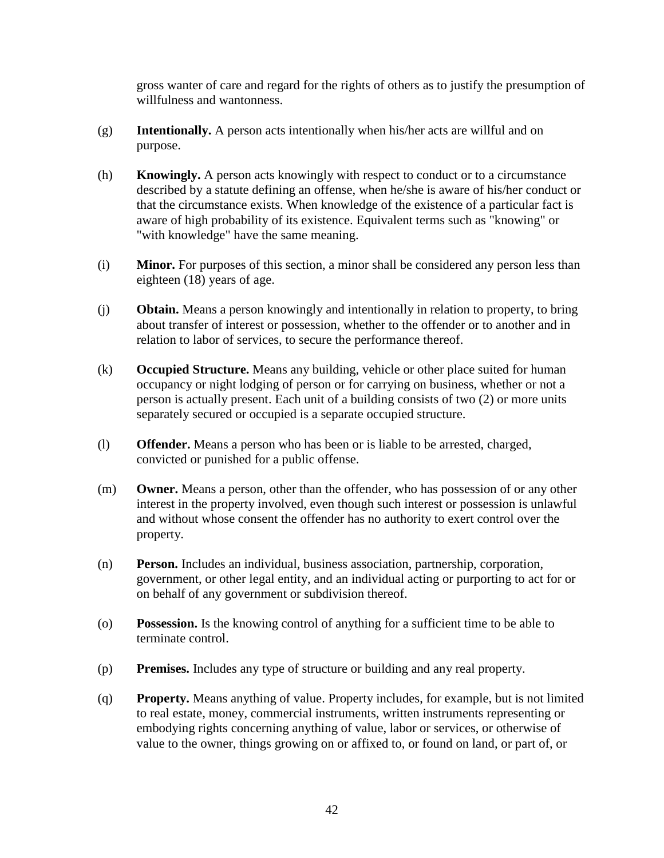gross wanter of care and regard for the rights of others as to justify the presumption of willfulness and wantonness.

- (g) **Intentionally.** A person acts intentionally when his/her acts are willful and on purpose.
- (h) **Knowingly.** A person acts knowingly with respect to conduct or to a circumstance described by a statute defining an offense, when he/she is aware of his/her conduct or that the circumstance exists. When knowledge of the existence of a particular fact is aware of high probability of its existence. Equivalent terms such as "knowing" or "with knowledge" have the same meaning.
- (i) **Minor.** For purposes of this section, a minor shall be considered any person less than eighteen (18) years of age.
- (j) **Obtain.** Means a person knowingly and intentionally in relation to property, to bring about transfer of interest or possession, whether to the offender or to another and in relation to labor of services, to secure the performance thereof.
- (k) **Occupied Structure.** Means any building, vehicle or other place suited for human occupancy or night lodging of person or for carrying on business, whether or not a person is actually present. Each unit of a building consists of two (2) or more units separately secured or occupied is a separate occupied structure.
- (l) **Offender.** Means a person who has been or is liable to be arrested, charged, convicted or punished for a public offense.
- (m) **Owner.** Means a person, other than the offender, who has possession of or any other interest in the property involved, even though such interest or possession is unlawful and without whose consent the offender has no authority to exert control over the property.
- (n) **Person.** Includes an individual, business association, partnership, corporation, government, or other legal entity, and an individual acting or purporting to act for or on behalf of any government or subdivision thereof.
- (o) **Possession.** Is the knowing control of anything for a sufficient time to be able to terminate control.
- (p) **Premises.** Includes any type of structure or building and any real property.
- (q) **Property.** Means anything of value. Property includes, for example, but is not limited to real estate, money, commercial instruments, written instruments representing or embodying rights concerning anything of value, labor or services, or otherwise of value to the owner, things growing on or affixed to, or found on land, or part of, or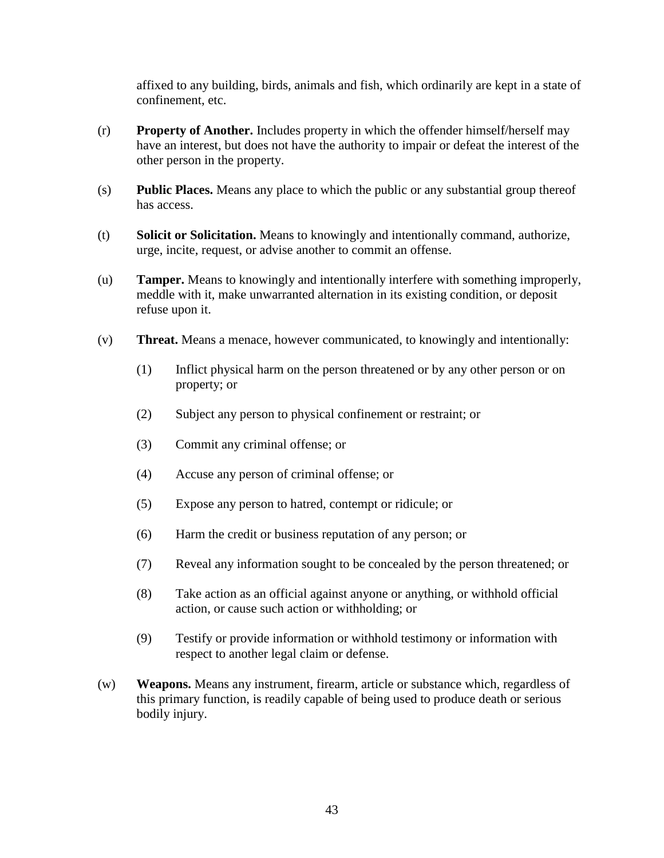affixed to any building, birds, animals and fish, which ordinarily are kept in a state of confinement, etc.

- (r) **Property of Another.** Includes property in which the offender himself/herself may have an interest, but does not have the authority to impair or defeat the interest of the other person in the property.
- (s) **Public Places.** Means any place to which the public or any substantial group thereof has access.
- (t) **Solicit or Solicitation.** Means to knowingly and intentionally command, authorize, urge, incite, request, or advise another to commit an offense.
- (u) **Tamper.** Means to knowingly and intentionally interfere with something improperly, meddle with it, make unwarranted alternation in its existing condition, or deposit refuse upon it.
- (v) **Threat.** Means a menace, however communicated, to knowingly and intentionally:
	- (1) Inflict physical harm on the person threatened or by any other person or on property; or
	- (2) Subject any person to physical confinement or restraint; or
	- (3) Commit any criminal offense; or
	- (4) Accuse any person of criminal offense; or
	- (5) Expose any person to hatred, contempt or ridicule; or
	- (6) Harm the credit or business reputation of any person; or
	- (7) Reveal any information sought to be concealed by the person threatened; or
	- (8) Take action as an official against anyone or anything, or withhold official action, or cause such action or withholding; or
	- (9) Testify or provide information or withhold testimony or information with respect to another legal claim or defense.
- (w) **Weapons.** Means any instrument, firearm, article or substance which, regardless of this primary function, is readily capable of being used to produce death or serious bodily injury.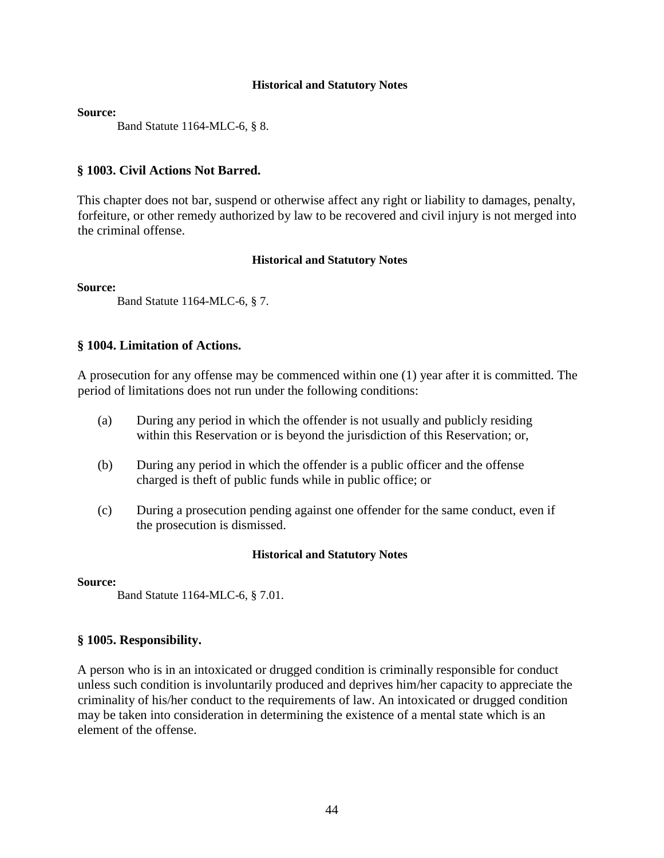**Source:**

Band Statute 1164-MLC-6, § 8.

### **§ 1003. Civil Actions Not Barred.**

This chapter does not bar, suspend or otherwise affect any right or liability to damages, penalty, forfeiture, or other remedy authorized by law to be recovered and civil injury is not merged into the criminal offense.

#### **Historical and Statutory Notes**

**Source:**

Band Statute 1164-MLC-6, § 7.

### **§ 1004. Limitation of Actions.**

A prosecution for any offense may be commenced within one (1) year after it is committed. The period of limitations does not run under the following conditions:

- (a) During any period in which the offender is not usually and publicly residing within this Reservation or is beyond the jurisdiction of this Reservation; or,
- (b) During any period in which the offender is a public officer and the offense charged is theft of public funds while in public office; or
- (c) During a prosecution pending against one offender for the same conduct, even if the prosecution is dismissed.

#### **Historical and Statutory Notes**

**Source:** 

Band Statute 1164-MLC-6, § 7.01.

### **§ 1005. Responsibility.**

A person who is in an intoxicated or drugged condition is criminally responsible for conduct unless such condition is involuntarily produced and deprives him/her capacity to appreciate the criminality of his/her conduct to the requirements of law. An intoxicated or drugged condition may be taken into consideration in determining the existence of a mental state which is an element of the offense.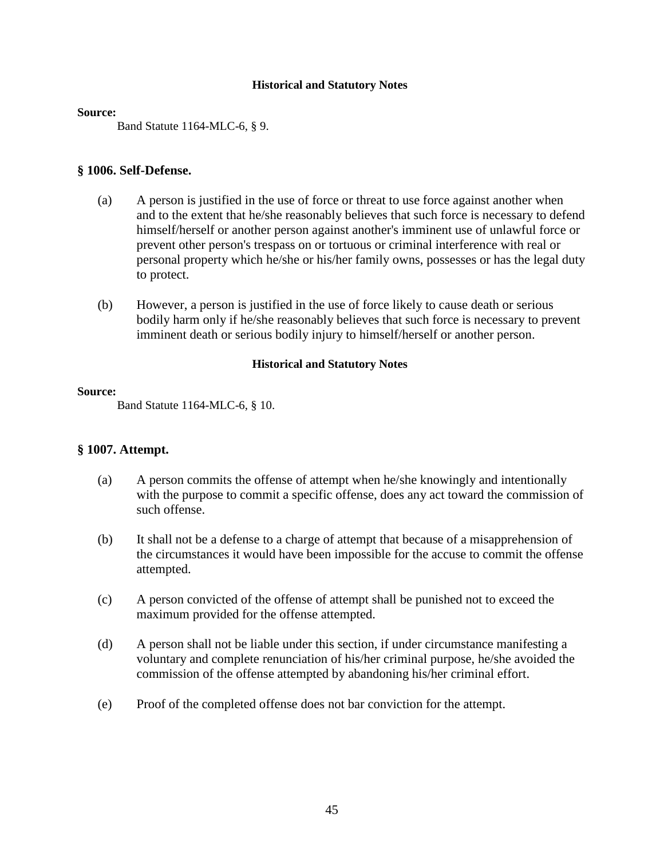#### **Source:**

Band Statute 1164-MLC-6, § 9.

### **§ 1006. Self-Defense.**

- (a) A person is justified in the use of force or threat to use force against another when and to the extent that he/she reasonably believes that such force is necessary to defend himself/herself or another person against another's imminent use of unlawful force or prevent other person's trespass on or tortuous or criminal interference with real or personal property which he/she or his/her family owns, possesses or has the legal duty to protect.
- (b) However, a person is justified in the use of force likely to cause death or serious bodily harm only if he/she reasonably believes that such force is necessary to prevent imminent death or serious bodily injury to himself/herself or another person.

### **Historical and Statutory Notes**

#### **Source:**

Band Statute 1164-MLC-6, § 10.

### **§ 1007. Attempt.**

- (a) A person commits the offense of attempt when he/she knowingly and intentionally with the purpose to commit a specific offense, does any act toward the commission of such offense.
- (b) It shall not be a defense to a charge of attempt that because of a misapprehension of the circumstances it would have been impossible for the accuse to commit the offense attempted.
- (c) A person convicted of the offense of attempt shall be punished not to exceed the maximum provided for the offense attempted.
- (d) A person shall not be liable under this section, if under circumstance manifesting a voluntary and complete renunciation of his/her criminal purpose, he/she avoided the commission of the offense attempted by abandoning his/her criminal effort.
- (e) Proof of the completed offense does not bar conviction for the attempt.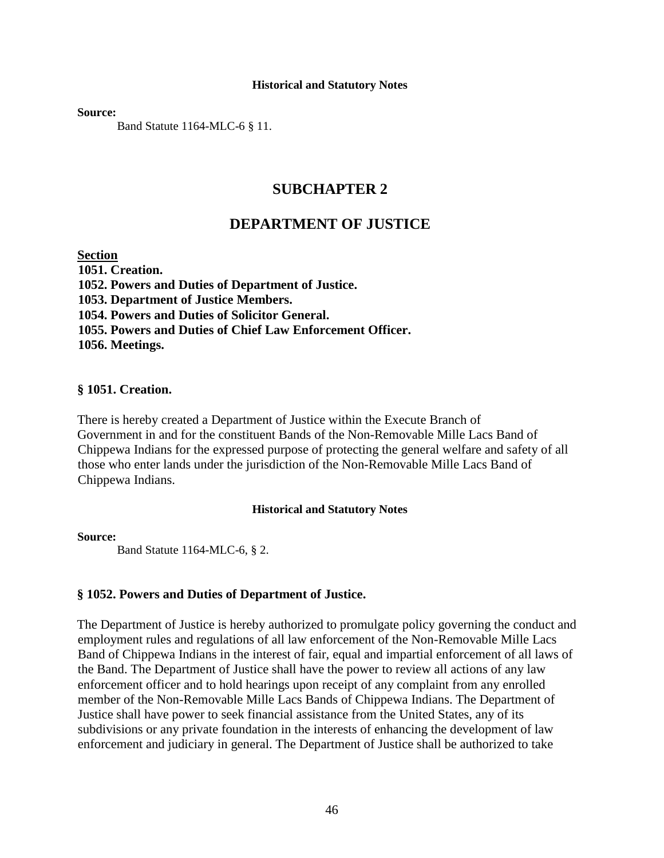**Source:** 

Band Statute 1164-MLC-6 § 11.

### **SUBCHAPTER 2**

### **DEPARTMENT OF JUSTICE**

#### **Section**

**1051. Creation. 1052. Powers and Duties of Department of Justice. 1053. Department of Justice Members. 1054. Powers and Duties of Solicitor General. 1055. Powers and Duties of Chief Law Enforcement Officer. 1056. Meetings.** 

#### **§ 1051. Creation.**

There is hereby created a Department of Justice within the Execute Branch of Government in and for the constituent Bands of the Non-Removable Mille Lacs Band of Chippewa Indians for the expressed purpose of protecting the general welfare and safety of all those who enter lands under the jurisdiction of the Non-Removable Mille Lacs Band of Chippewa Indians.

#### **Historical and Statutory Notes**

**Source:**

Band Statute 1164-MLC-6, § 2.

#### **§ 1052. Powers and Duties of Department of Justice.**

The Department of Justice is hereby authorized to promulgate policy governing the conduct and employment rules and regulations of all law enforcement of the Non-Removable Mille Lacs Band of Chippewa Indians in the interest of fair, equal and impartial enforcement of all laws of the Band. The Department of Justice shall have the power to review all actions of any law enforcement officer and to hold hearings upon receipt of any complaint from any enrolled member of the Non-Removable Mille Lacs Bands of Chippewa Indians. The Department of Justice shall have power to seek financial assistance from the United States, any of its subdivisions or any private foundation in the interests of enhancing the development of law enforcement and judiciary in general. The Department of Justice shall be authorized to take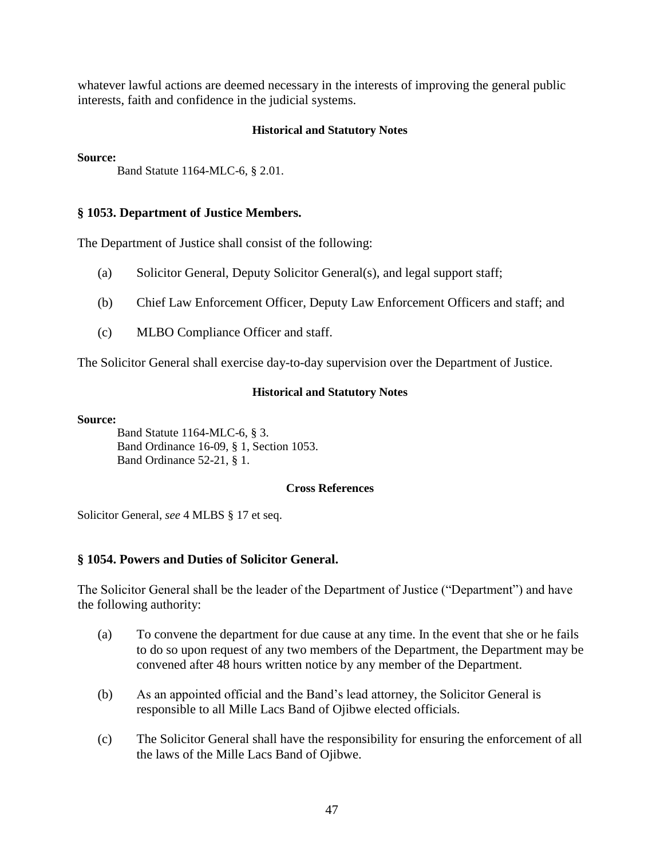whatever lawful actions are deemed necessary in the interests of improving the general public interests, faith and confidence in the judicial systems.

### **Historical and Statutory Notes**

**Source:** 

Band Statute 1164-MLC-6, § 2.01.

### **§ 1053. Department of Justice Members.**

The Department of Justice shall consist of the following:

- (a) Solicitor General, Deputy Solicitor General(s), and legal support staff;
- (b) Chief Law Enforcement Officer, Deputy Law Enforcement Officers and staff; and
- (c) MLBO Compliance Officer and staff.

The Solicitor General shall exercise day-to-day supervision over the Department of Justice.

#### **Historical and Statutory Notes**

**Source:**

Band Statute 1164-MLC-6, § 3. Band Ordinance 16-09, § 1, Section 1053. Band Ordinance 52-21, § 1.

#### **Cross References**

Solicitor General, *see* 4 MLBS § 17 et seq.

### **§ 1054. Powers and Duties of Solicitor General.**

The Solicitor General shall be the leader of the Department of Justice ("Department") and have the following authority:

- (a) To convene the department for due cause at any time. In the event that she or he fails to do so upon request of any two members of the Department, the Department may be convened after 48 hours written notice by any member of the Department.
- (b) As an appointed official and the Band's lead attorney, the Solicitor General is responsible to all Mille Lacs Band of Ojibwe elected officials.
- (c) The Solicitor General shall have the responsibility for ensuring the enforcement of all the laws of the Mille Lacs Band of Ojibwe.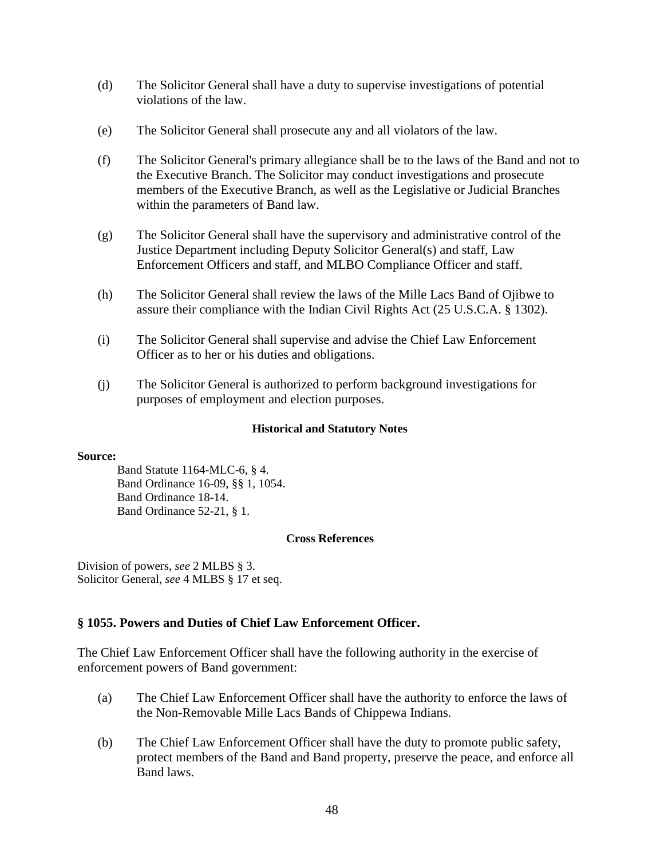- (d) The Solicitor General shall have a duty to supervise investigations of potential violations of the law.
- (e) The Solicitor General shall prosecute any and all violators of the law.
- (f) The Solicitor General's primary allegiance shall be to the laws of the Band and not to the Executive Branch. The Solicitor may conduct investigations and prosecute members of the Executive Branch, as well as the Legislative or Judicial Branches within the parameters of Band law.
- (g) The Solicitor General shall have the supervisory and administrative control of the Justice Department including Deputy Solicitor General(s) and staff, Law Enforcement Officers and staff, and MLBO Compliance Officer and staff.
- (h) The Solicitor General shall review the laws of the Mille Lacs Band of Ojibwe to assure their compliance with the Indian Civil Rights Act (25 U.S.C.A. § 1302).
- (i) The Solicitor General shall supervise and advise the Chief Law Enforcement Officer as to her or his duties and obligations.
- (j) The Solicitor General is authorized to perform background investigations for purposes of employment and election purposes.

#### **Source:**

Band Statute 1164-MLC-6, § 4. Band Ordinance 16-09, §§ 1, 1054. Band Ordinance 18-14. Band Ordinance 52-21, § 1.

#### **Cross References**

Division of powers, *see* 2 MLBS § 3. Solicitor General, *see* 4 MLBS § 17 et seq.

### **§ 1055. Powers and Duties of Chief Law Enforcement Officer.**

The Chief Law Enforcement Officer shall have the following authority in the exercise of enforcement powers of Band government:

- (a) The Chief Law Enforcement Officer shall have the authority to enforce the laws of the Non-Removable Mille Lacs Bands of Chippewa Indians.
- (b) The Chief Law Enforcement Officer shall have the duty to promote public safety, protect members of the Band and Band property, preserve the peace, and enforce all Band laws.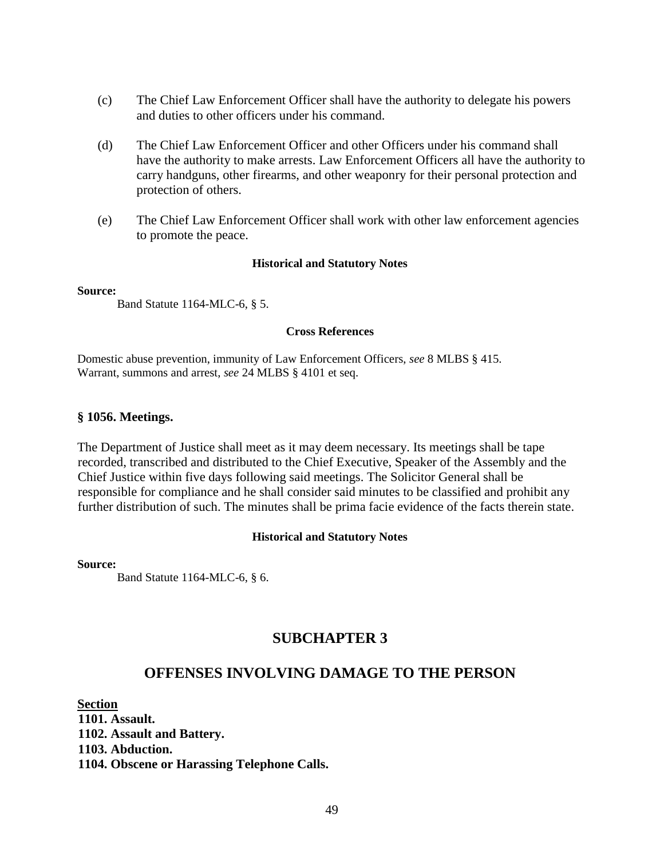- (c) The Chief Law Enforcement Officer shall have the authority to delegate his powers and duties to other officers under his command.
- (d) The Chief Law Enforcement Officer and other Officers under his command shall have the authority to make arrests. Law Enforcement Officers all have the authority to carry handguns, other firearms, and other weaponry for their personal protection and protection of others.
- (e) The Chief Law Enforcement Officer shall work with other law enforcement agencies to promote the peace.

#### **Source:**

Band Statute 1164-MLC-6, § 5.

#### **Cross References**

Domestic abuse prevention, immunity of Law Enforcement Officers, *see* 8 MLBS § 415. Warrant, summons and arrest, *see* 24 MLBS § 4101 et seq.

#### **§ 1056. Meetings.**

The Department of Justice shall meet as it may deem necessary. Its meetings shall be tape recorded, transcribed and distributed to the Chief Executive, Speaker of the Assembly and the Chief Justice within five days following said meetings. The Solicitor General shall be responsible for compliance and he shall consider said minutes to be classified and prohibit any further distribution of such. The minutes shall be prima facie evidence of the facts therein state.

#### **Historical and Statutory Notes**

#### **Source:**

Band Statute 1164-MLC-6, § 6.

### **SUBCHAPTER 3**

### **OFFENSES INVOLVING DAMAGE TO THE PERSON**

**Section** 

**1101. Assault. 1102. Assault and Battery. 1103. Abduction. 1104. Obscene or Harassing Telephone Calls.**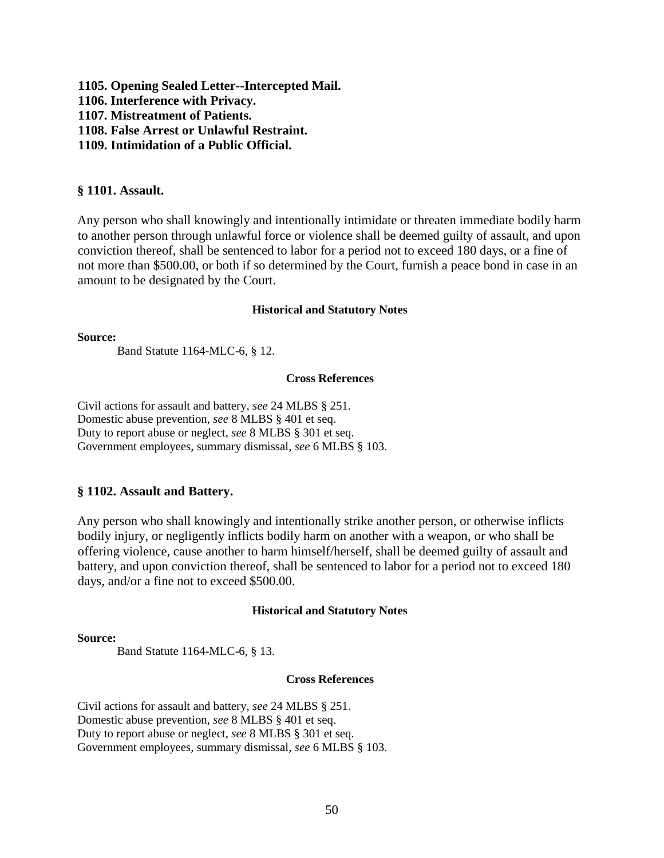**1105. Opening Sealed Letter--Intercepted Mail. 1106. Interference with Privacy. 1107. Mistreatment of Patients. 1108. False Arrest or Unlawful Restraint. 1109. Intimidation of a Public Official.** 

### **§ 1101. Assault.**

Any person who shall knowingly and intentionally intimidate or threaten immediate bodily harm to another person through unlawful force or violence shall be deemed guilty of assault, and upon conviction thereof, shall be sentenced to labor for a period not to exceed 180 days, or a fine of not more than \$500.00, or both if so determined by the Court, furnish a peace bond in case in an amount to be designated by the Court.

#### **Historical and Statutory Notes**

#### **Source:**

Band Statute 1164-MLC-6, § 12.

#### **Cross References**

Civil actions for assault and battery, *see* 24 MLBS § 251. Domestic abuse prevention, *see* 8 MLBS § 401 et seq. Duty to report abuse or neglect, *see* 8 MLBS § 301 et seq. Government employees, summary dismissal, *see* 6 MLBS § 103.

### **§ 1102. Assault and Battery.**

Any person who shall knowingly and intentionally strike another person, or otherwise inflicts bodily injury, or negligently inflicts bodily harm on another with a weapon, or who shall be offering violence, cause another to harm himself/herself, shall be deemed guilty of assault and battery, and upon conviction thereof, shall be sentenced to labor for a period not to exceed 180 days, and/or a fine not to exceed \$500.00.

#### **Historical and Statutory Notes**

#### **Source:**

Band Statute 1164-MLC-6, § 13.

### **Cross References**

Civil actions for assault and battery, *see* 24 MLBS § 251. Domestic abuse prevention, *see* 8 MLBS § 401 et seq. Duty to report abuse or neglect, *see* 8 MLBS § 301 et seq. Government employees, summary dismissal, *see* 6 MLBS § 103.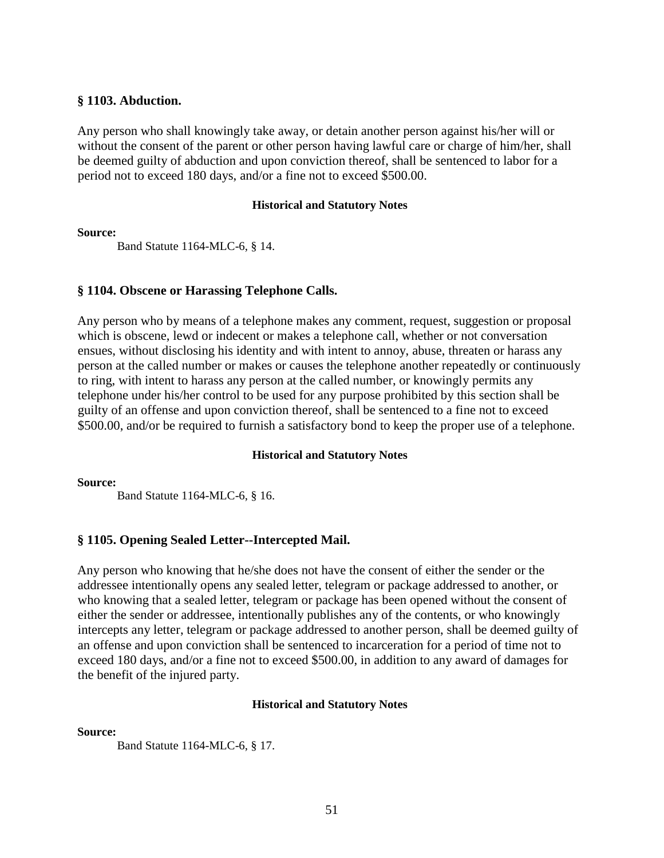### **§ 1103. Abduction.**

Any person who shall knowingly take away, or detain another person against his/her will or without the consent of the parent or other person having lawful care or charge of him/her, shall be deemed guilty of abduction and upon conviction thereof, shall be sentenced to labor for a period not to exceed 180 days, and/or a fine not to exceed \$500.00.

#### **Historical and Statutory Notes**

**Source:**

Band Statute 1164-MLC-6, § 14.

### **§ 1104. Obscene or Harassing Telephone Calls.**

Any person who by means of a telephone makes any comment, request, suggestion or proposal which is obscene, lewd or indecent or makes a telephone call, whether or not conversation ensues, without disclosing his identity and with intent to annoy, abuse, threaten or harass any person at the called number or makes or causes the telephone another repeatedly or continuously to ring, with intent to harass any person at the called number, or knowingly permits any telephone under his/her control to be used for any purpose prohibited by this section shall be guilty of an offense and upon conviction thereof, shall be sentenced to a fine not to exceed \$500.00, and/or be required to furnish a satisfactory bond to keep the proper use of a telephone.

#### **Historical and Statutory Notes**

**Source:**

Band Statute 1164-MLC-6, § 16.

### **§ 1105. Opening Sealed Letter--Intercepted Mail.**

Any person who knowing that he/she does not have the consent of either the sender or the addressee intentionally opens any sealed letter, telegram or package addressed to another, or who knowing that a sealed letter, telegram or package has been opened without the consent of either the sender or addressee, intentionally publishes any of the contents, or who knowingly intercepts any letter, telegram or package addressed to another person, shall be deemed guilty of an offense and upon conviction shall be sentenced to incarceration for a period of time not to exceed 180 days, and/or a fine not to exceed \$500.00, in addition to any award of damages for the benefit of the injured party.

#### **Historical and Statutory Notes**

**Source:**

Band Statute 1164-MLC-6, § 17.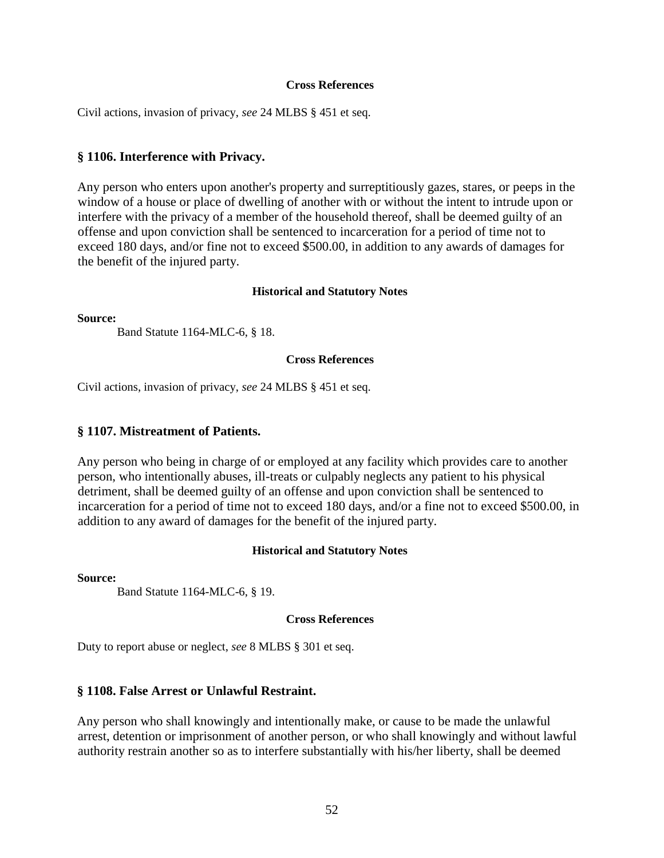#### **Cross References**

Civil actions, invasion of privacy, *see* 24 MLBS § 451 et seq.

### **§ 1106. Interference with Privacy.**

Any person who enters upon another's property and surreptitiously gazes, stares, or peeps in the window of a house or place of dwelling of another with or without the intent to intrude upon or interfere with the privacy of a member of the household thereof, shall be deemed guilty of an offense and upon conviction shall be sentenced to incarceration for a period of time not to exceed 180 days, and/or fine not to exceed \$500.00, in addition to any awards of damages for the benefit of the injured party.

#### **Historical and Statutory Notes**

**Source:**

Band Statute 1164-MLC-6, § 18.

#### **Cross References**

Civil actions, invasion of privacy, *see* 24 MLBS § 451 et seq.

### **§ 1107. Mistreatment of Patients.**

Any person who being in charge of or employed at any facility which provides care to another person, who intentionally abuses, ill-treats or culpably neglects any patient to his physical detriment, shall be deemed guilty of an offense and upon conviction shall be sentenced to incarceration for a period of time not to exceed 180 days, and/or a fine not to exceed \$500.00, in addition to any award of damages for the benefit of the injured party.

#### **Historical and Statutory Notes**

**Source:**

Band Statute 1164-MLC-6, § 19.

#### **Cross References**

Duty to report abuse or neglect, *see* 8 MLBS § 301 et seq.

### **§ 1108. False Arrest or Unlawful Restraint.**

Any person who shall knowingly and intentionally make, or cause to be made the unlawful arrest, detention or imprisonment of another person, or who shall knowingly and without lawful authority restrain another so as to interfere substantially with his/her liberty, shall be deemed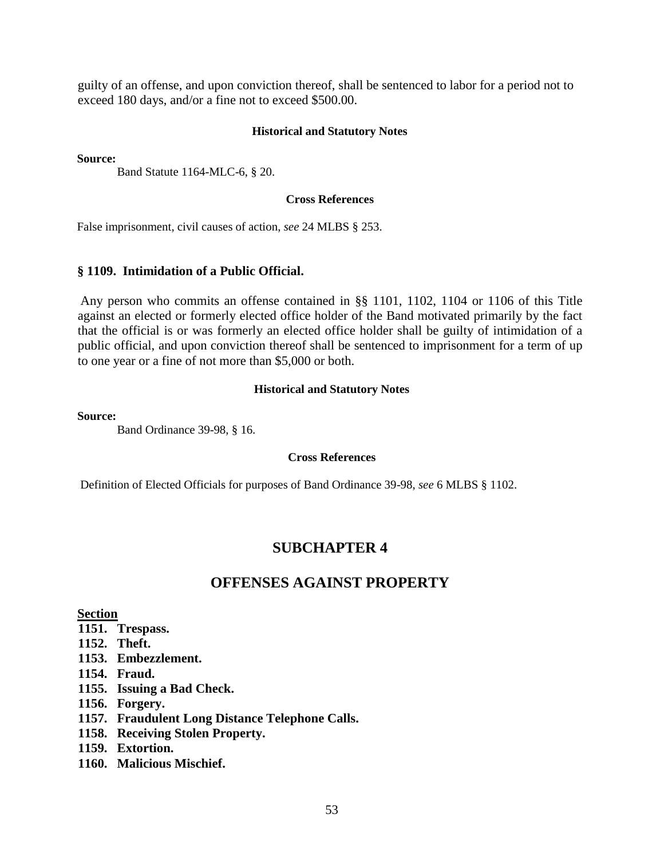guilty of an offense, and upon conviction thereof, shall be sentenced to labor for a period not to exceed 180 days, and/or a fine not to exceed \$500.00.

### **Historical and Statutory Notes**

**Source:**

Band Statute 1164-MLC-6, § 20.

#### **Cross References**

False imprisonment, civil causes of action, *see* 24 MLBS § 253.

### **§ 1109. Intimidation of a Public Official.**

Any person who commits an offense contained in §§ 1101, 1102, 1104 or 1106 of this Title against an elected or formerly elected office holder of the Band motivated primarily by the fact that the official is or was formerly an elected office holder shall be guilty of intimidation of a public official, and upon conviction thereof shall be sentenced to imprisonment for a term of up to one year or a fine of not more than \$5,000 or both.

#### **Historical and Statutory Notes**

**Source:**

Band Ordinance 39-98, § 16.

#### **Cross References**

Definition of Elected Officials for purposes of Band Ordinance 39-98, *see* 6 MLBS § 1102.

### **SUBCHAPTER 4**

# **OFFENSES AGAINST PROPERTY**

#### **Section**

- **1151. Trespass.**
- **1152. Theft.**
- **1153. Embezzlement.**
- **1154. Fraud.**
- **1155. Issuing a Bad Check.**
- **1156. Forgery.**
- **1157. Fraudulent Long Distance Telephone Calls.**
- **1158. Receiving Stolen Property.**
- **1159. Extortion.**
- **1160. Malicious Mischief.**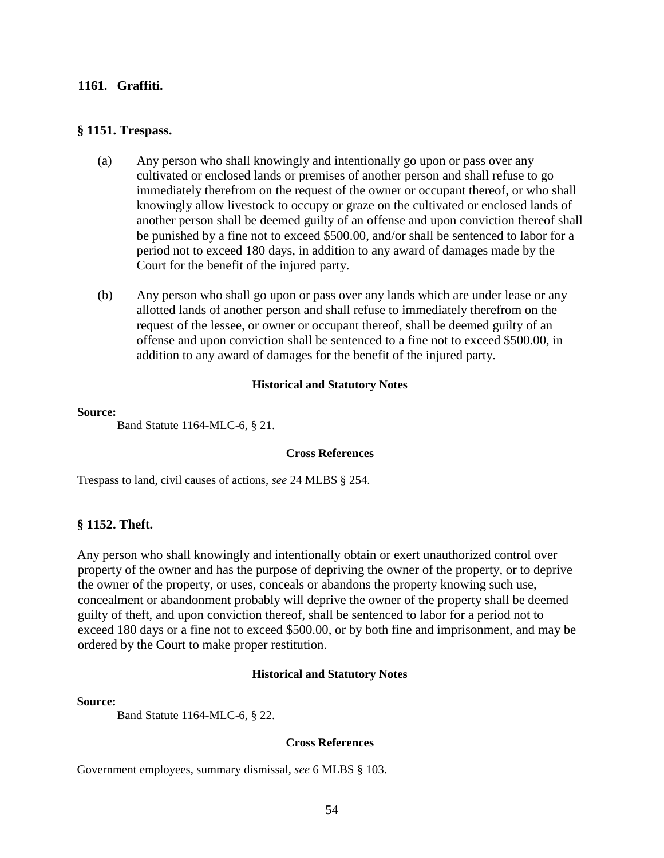#### **1161. Graffiti.**

### **§ 1151. Trespass.**

- (a) Any person who shall knowingly and intentionally go upon or pass over any cultivated or enclosed lands or premises of another person and shall refuse to go immediately therefrom on the request of the owner or occupant thereof, or who shall knowingly allow livestock to occupy or graze on the cultivated or enclosed lands of another person shall be deemed guilty of an offense and upon conviction thereof shall be punished by a fine not to exceed \$500.00, and/or shall be sentenced to labor for a period not to exceed 180 days, in addition to any award of damages made by the Court for the benefit of the injured party.
- (b) Any person who shall go upon or pass over any lands which are under lease or any allotted lands of another person and shall refuse to immediately therefrom on the request of the lessee, or owner or occupant thereof, shall be deemed guilty of an offense and upon conviction shall be sentenced to a fine not to exceed \$500.00, in addition to any award of damages for the benefit of the injured party.

#### **Historical and Statutory Notes**

#### **Source:**

Band Statute 1164-MLC-6, § 21.

#### **Cross References**

Trespass to land, civil causes of actions, *see* 24 MLBS § 254.

### **§ 1152. Theft.**

Any person who shall knowingly and intentionally obtain or exert unauthorized control over property of the owner and has the purpose of depriving the owner of the property, or to deprive the owner of the property, or uses, conceals or abandons the property knowing such use, concealment or abandonment probably will deprive the owner of the property shall be deemed guilty of theft, and upon conviction thereof, shall be sentenced to labor for a period not to exceed 180 days or a fine not to exceed \$500.00, or by both fine and imprisonment, and may be ordered by the Court to make proper restitution.

#### **Historical and Statutory Notes**

#### **Source:**

Band Statute 1164-MLC-6, § 22.

#### **Cross References**

Government employees, summary dismissal, *see* 6 MLBS § 103.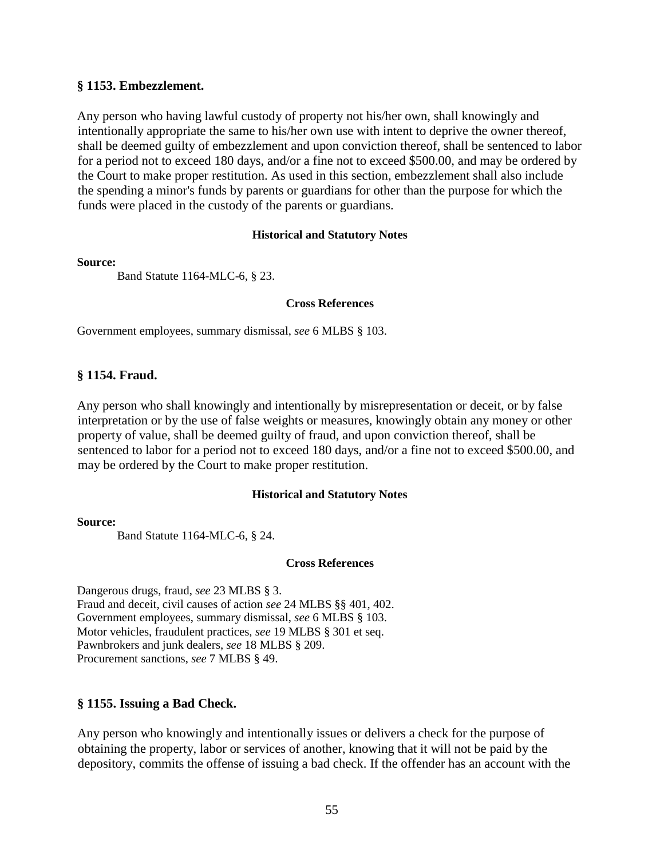### **§ 1153. Embezzlement.**

Any person who having lawful custody of property not his/her own, shall knowingly and intentionally appropriate the same to his/her own use with intent to deprive the owner thereof, shall be deemed guilty of embezzlement and upon conviction thereof, shall be sentenced to labor for a period not to exceed 180 days, and/or a fine not to exceed \$500.00, and may be ordered by the Court to make proper restitution. As used in this section, embezzlement shall also include the spending a minor's funds by parents or guardians for other than the purpose for which the funds were placed in the custody of the parents or guardians.

#### **Historical and Statutory Notes**

#### **Source:**

Band Statute 1164-MLC-6, § 23.

#### **Cross References**

Government employees, summary dismissal, *see* 6 MLBS § 103.

### **§ 1154. Fraud.**

Any person who shall knowingly and intentionally by misrepresentation or deceit, or by false interpretation or by the use of false weights or measures, knowingly obtain any money or other property of value, shall be deemed guilty of fraud, and upon conviction thereof, shall be sentenced to labor for a period not to exceed 180 days, and/or a fine not to exceed \$500.00, and may be ordered by the Court to make proper restitution.

#### **Historical and Statutory Notes**

#### **Source:**

Band Statute 1164-MLC-6, § 24.

#### **Cross References**

Dangerous drugs, fraud, *see* 23 MLBS § 3. Fraud and deceit, civil causes of action *see* 24 MLBS §§ 401, 402. Government employees, summary dismissal, *see* 6 MLBS § 103. Motor vehicles, fraudulent practices, *see* 19 MLBS § 301 et seq. Pawnbrokers and junk dealers, *see* 18 MLBS § 209. Procurement sanctions, *see* 7 MLBS § 49.

### **§ 1155. Issuing a Bad Check.**

Any person who knowingly and intentionally issues or delivers a check for the purpose of obtaining the property, labor or services of another, knowing that it will not be paid by the depository, commits the offense of issuing a bad check. If the offender has an account with the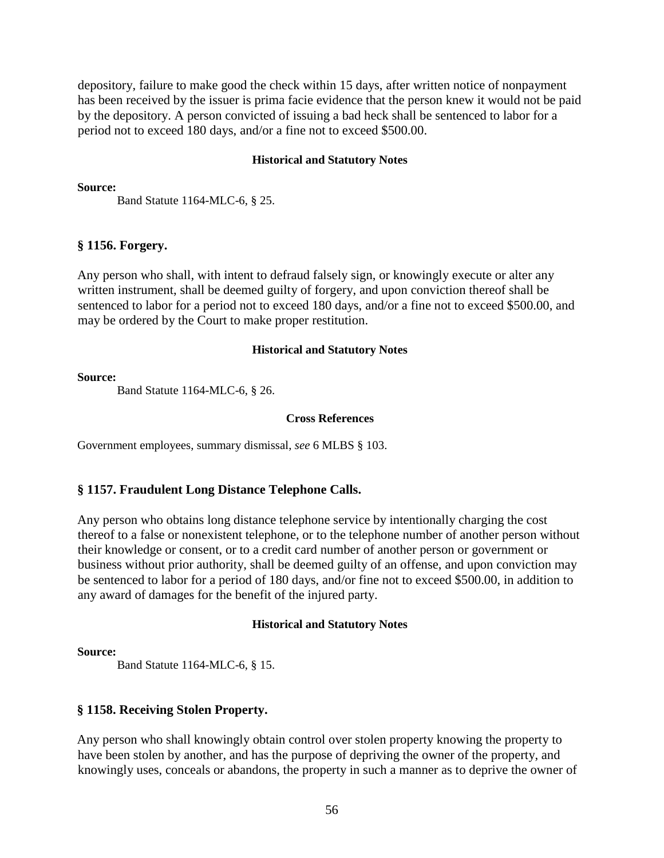depository, failure to make good the check within 15 days, after written notice of nonpayment has been received by the issuer is prima facie evidence that the person knew it would not be paid by the depository. A person convicted of issuing a bad heck shall be sentenced to labor for a period not to exceed 180 days, and/or a fine not to exceed \$500.00.

#### **Historical and Statutory Notes**

#### **Source:**

Band Statute 1164-MLC-6, § 25.

#### **§ 1156. Forgery.**

Any person who shall, with intent to defraud falsely sign, or knowingly execute or alter any written instrument, shall be deemed guilty of forgery, and upon conviction thereof shall be sentenced to labor for a period not to exceed 180 days, and/or a fine not to exceed \$500.00, and may be ordered by the Court to make proper restitution.

#### **Historical and Statutory Notes**

#### **Source:**

Band Statute 1164-MLC-6, § 26.

#### **Cross References**

Government employees, summary dismissal, *see* 6 MLBS § 103.

### **§ 1157. Fraudulent Long Distance Telephone Calls.**

Any person who obtains long distance telephone service by intentionally charging the cost thereof to a false or nonexistent telephone, or to the telephone number of another person without their knowledge or consent, or to a credit card number of another person or government or business without prior authority, shall be deemed guilty of an offense, and upon conviction may be sentenced to labor for a period of 180 days, and/or fine not to exceed \$500.00, in addition to any award of damages for the benefit of the injured party.

#### **Historical and Statutory Notes**

#### **Source:**

Band Statute 1164-MLC-6, § 15.

### **§ 1158. Receiving Stolen Property.**

Any person who shall knowingly obtain control over stolen property knowing the property to have been stolen by another, and has the purpose of depriving the owner of the property, and knowingly uses, conceals or abandons, the property in such a manner as to deprive the owner of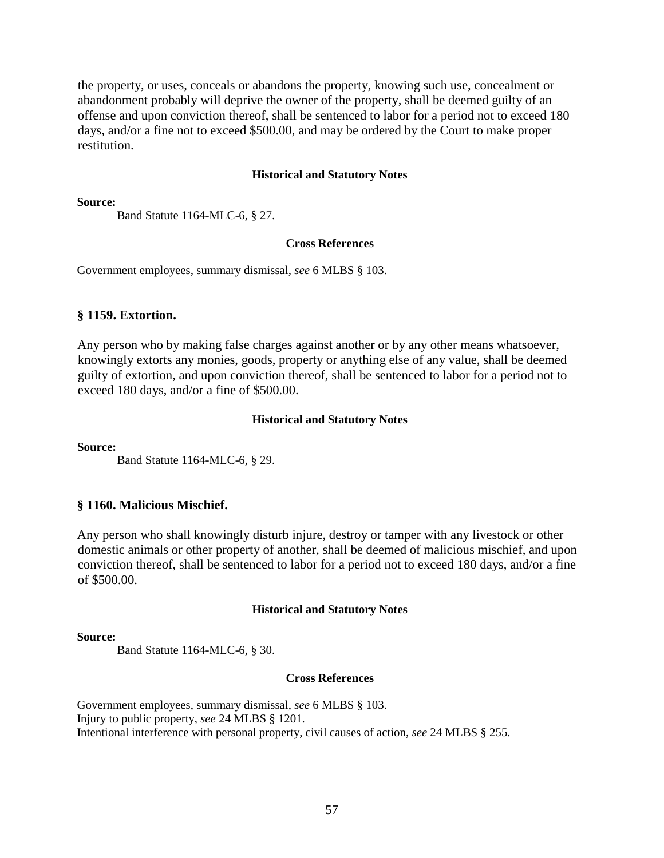the property, or uses, conceals or abandons the property, knowing such use, concealment or abandonment probably will deprive the owner of the property, shall be deemed guilty of an offense and upon conviction thereof, shall be sentenced to labor for a period not to exceed 180 days, and/or a fine not to exceed \$500.00, and may be ordered by the Court to make proper restitution.

#### **Historical and Statutory Notes**

**Source:**

Band Statute 1164-MLC-6, § 27.

#### **Cross References**

Government employees, summary dismissal, *see* 6 MLBS § 103.

#### **§ 1159. Extortion.**

Any person who by making false charges against another or by any other means whatsoever, knowingly extorts any monies, goods, property or anything else of any value, shall be deemed guilty of extortion, and upon conviction thereof, shall be sentenced to labor for a period not to exceed 180 days, and/or a fine of \$500.00.

#### **Historical and Statutory Notes**

**Source:**

Band Statute 1164-MLC-6, § 29.

### **§ 1160. Malicious Mischief.**

Any person who shall knowingly disturb injure, destroy or tamper with any livestock or other domestic animals or other property of another, shall be deemed of malicious mischief, and upon conviction thereof, shall be sentenced to labor for a period not to exceed 180 days, and/or a fine of \$500.00.

#### **Historical and Statutory Notes**

#### **Source:**

Band Statute 1164-MLC-6, § 30.

#### **Cross References**

Government employees, summary dismissal, *see* 6 MLBS § 103. Injury to public property, *see* 24 MLBS § 1201. Intentional interference with personal property, civil causes of action, *see* 24 MLBS § 255.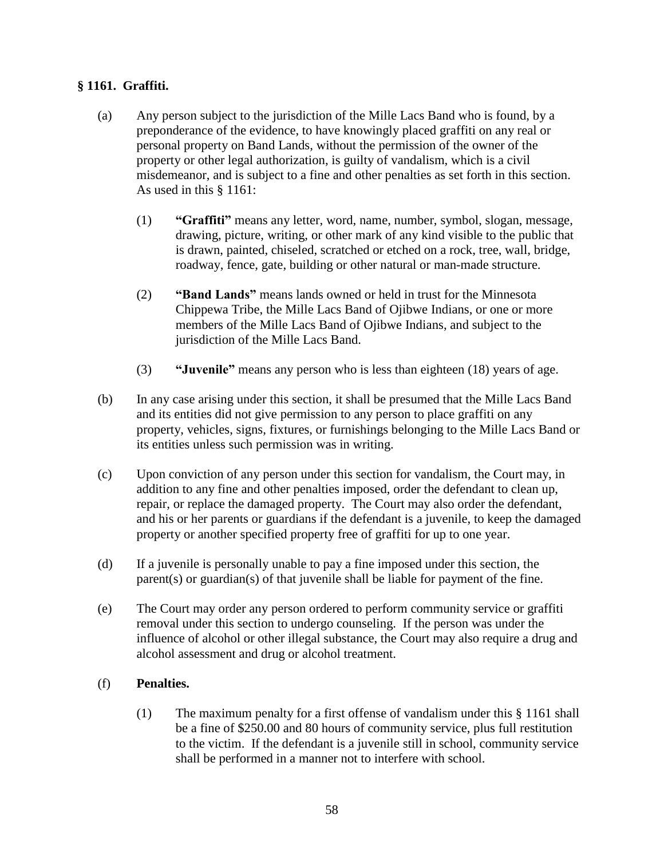## **§ 1161. Graffiti.**

- (a) Any person subject to the jurisdiction of the Mille Lacs Band who is found, by a preponderance of the evidence, to have knowingly placed graffiti on any real or personal property on Band Lands, without the permission of the owner of the property or other legal authorization, is guilty of vandalism, which is a civil misdemeanor, and is subject to a fine and other penalties as set forth in this section. As used in this § 1161:
	- (1) **"Graffiti"** means any letter, word, name, number, symbol, slogan, message, drawing, picture, writing, or other mark of any kind visible to the public that is drawn, painted, chiseled, scratched or etched on a rock, tree, wall, bridge, roadway, fence, gate, building or other natural or man-made structure.
	- (2) **"Band Lands"** means lands owned or held in trust for the Minnesota Chippewa Tribe, the Mille Lacs Band of Ojibwe Indians, or one or more members of the Mille Lacs Band of Ojibwe Indians, and subject to the jurisdiction of the Mille Lacs Band.
	- (3) **"Juvenile"** means any person who is less than eighteen (18) years of age.
- (b) In any case arising under this section, it shall be presumed that the Mille Lacs Band and its entities did not give permission to any person to place graffiti on any property, vehicles, signs, fixtures, or furnishings belonging to the Mille Lacs Band or its entities unless such permission was in writing.
- (c) Upon conviction of any person under this section for vandalism, the Court may, in addition to any fine and other penalties imposed, order the defendant to clean up, repair, or replace the damaged property. The Court may also order the defendant, and his or her parents or guardians if the defendant is a juvenile, to keep the damaged property or another specified property free of graffiti for up to one year.
- (d) If a juvenile is personally unable to pay a fine imposed under this section, the parent(s) or guardian(s) of that juvenile shall be liable for payment of the fine.
- (e) The Court may order any person ordered to perform community service or graffiti removal under this section to undergo counseling. If the person was under the influence of alcohol or other illegal substance, the Court may also require a drug and alcohol assessment and drug or alcohol treatment.

### (f) **Penalties.**

(1) The maximum penalty for a first offense of vandalism under this § 1161 shall be a fine of \$250.00 and 80 hours of community service, plus full restitution to the victim. If the defendant is a juvenile still in school, community service shall be performed in a manner not to interfere with school.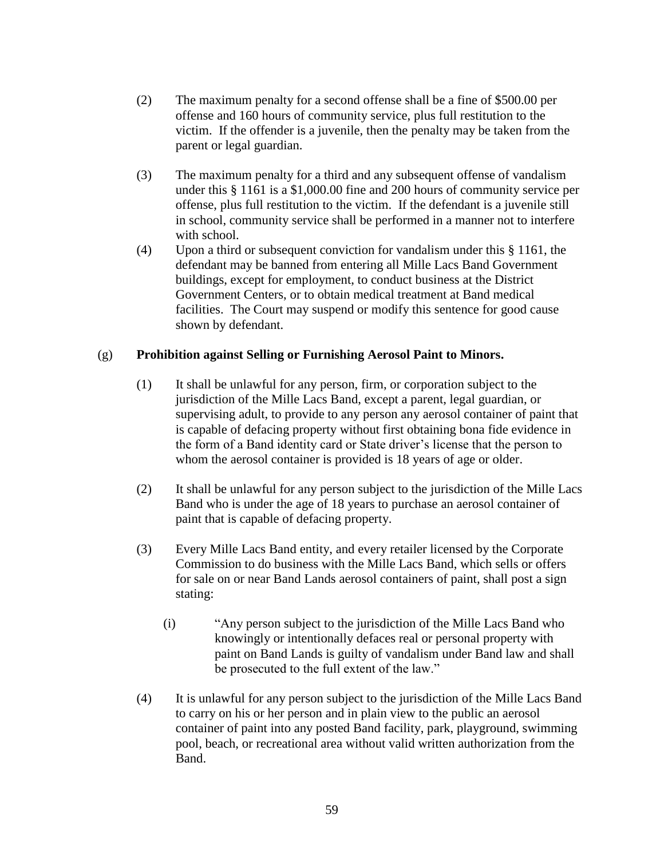- (2) The maximum penalty for a second offense shall be a fine of \$500.00 per offense and 160 hours of community service, plus full restitution to the victim. If the offender is a juvenile, then the penalty may be taken from the parent or legal guardian.
- (3) The maximum penalty for a third and any subsequent offense of vandalism under this § 1161 is a \$1,000.00 fine and 200 hours of community service per offense, plus full restitution to the victim. If the defendant is a juvenile still in school, community service shall be performed in a manner not to interfere with school.
- (4) Upon a third or subsequent conviction for vandalism under this § 1161, the defendant may be banned from entering all Mille Lacs Band Government buildings, except for employment, to conduct business at the District Government Centers, or to obtain medical treatment at Band medical facilities. The Court may suspend or modify this sentence for good cause shown by defendant.

### (g) **Prohibition against Selling or Furnishing Aerosol Paint to Minors.**

- (1) It shall be unlawful for any person, firm, or corporation subject to the jurisdiction of the Mille Lacs Band, except a parent, legal guardian, or supervising adult, to provide to any person any aerosol container of paint that is capable of defacing property without first obtaining bona fide evidence in the form of a Band identity card or State driver's license that the person to whom the aerosol container is provided is 18 years of age or older.
- (2) It shall be unlawful for any person subject to the jurisdiction of the Mille Lacs Band who is under the age of 18 years to purchase an aerosol container of paint that is capable of defacing property.
- (3) Every Mille Lacs Band entity, and every retailer licensed by the Corporate Commission to do business with the Mille Lacs Band, which sells or offers for sale on or near Band Lands aerosol containers of paint, shall post a sign stating:
	- (i) "Any person subject to the jurisdiction of the Mille Lacs Band who knowingly or intentionally defaces real or personal property with paint on Band Lands is guilty of vandalism under Band law and shall be prosecuted to the full extent of the law."
- (4) It is unlawful for any person subject to the jurisdiction of the Mille Lacs Band to carry on his or her person and in plain view to the public an aerosol container of paint into any posted Band facility, park, playground, swimming pool, beach, or recreational area without valid written authorization from the Band.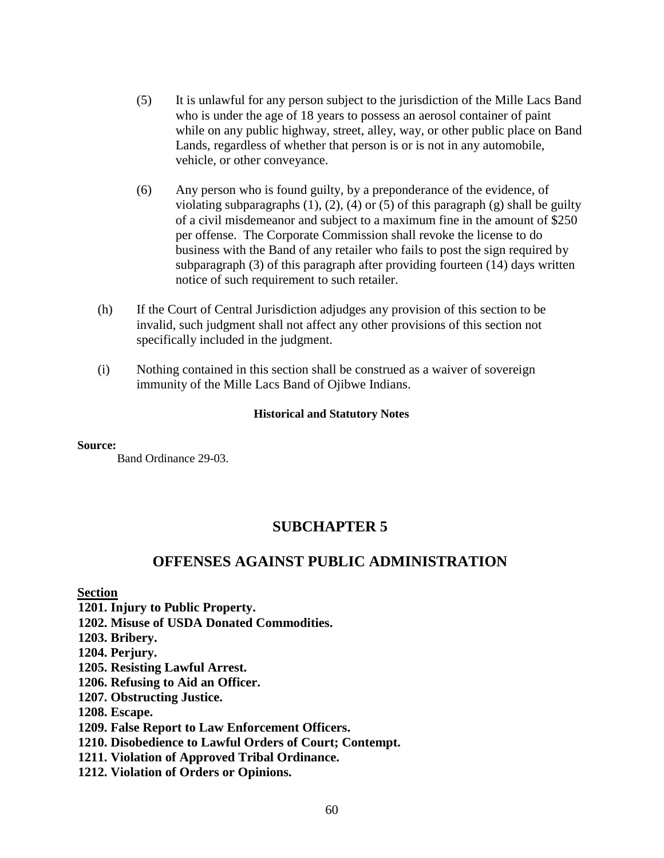- (5) It is unlawful for any person subject to the jurisdiction of the Mille Lacs Band who is under the age of 18 years to possess an aerosol container of paint while on any public highway, street, alley, way, or other public place on Band Lands, regardless of whether that person is or is not in any automobile, vehicle, or other conveyance.
- (6) Any person who is found guilty, by a preponderance of the evidence, of violating subparagraphs  $(1)$ ,  $(2)$ ,  $(4)$  or  $(5)$  of this paragraph  $(g)$  shall be guilty of a civil misdemeanor and subject to a maximum fine in the amount of \$250 per offense. The Corporate Commission shall revoke the license to do business with the Band of any retailer who fails to post the sign required by subparagraph (3) of this paragraph after providing fourteen (14) days written notice of such requirement to such retailer.
- (h) If the Court of Central Jurisdiction adjudges any provision of this section to be invalid, such judgment shall not affect any other provisions of this section not specifically included in the judgment.
- (i) Nothing contained in this section shall be construed as a waiver of sovereign immunity of the Mille Lacs Band of Ojibwe Indians.

**Source:**

Band Ordinance 29-03.

# **SUBCHAPTER 5**

# **OFFENSES AGAINST PUBLIC ADMINISTRATION**

#### **Section**

- **1201. Injury to Public Property.**
- **1202. Misuse of USDA Donated Commodities.**

**1203. Bribery.** 

- **1204. Perjury.**
- **1205. Resisting Lawful Arrest.**
- **1206. Refusing to Aid an Officer.**
- **1207. Obstructing Justice.**
- **1208. Escape.**

### **1209. False Report to Law Enforcement Officers.**

- **1210. Disobedience to Lawful Orders of Court; Contempt.**
- **1211. Violation of Approved Tribal Ordinance.**
- **1212. Violation of Orders or Opinions.**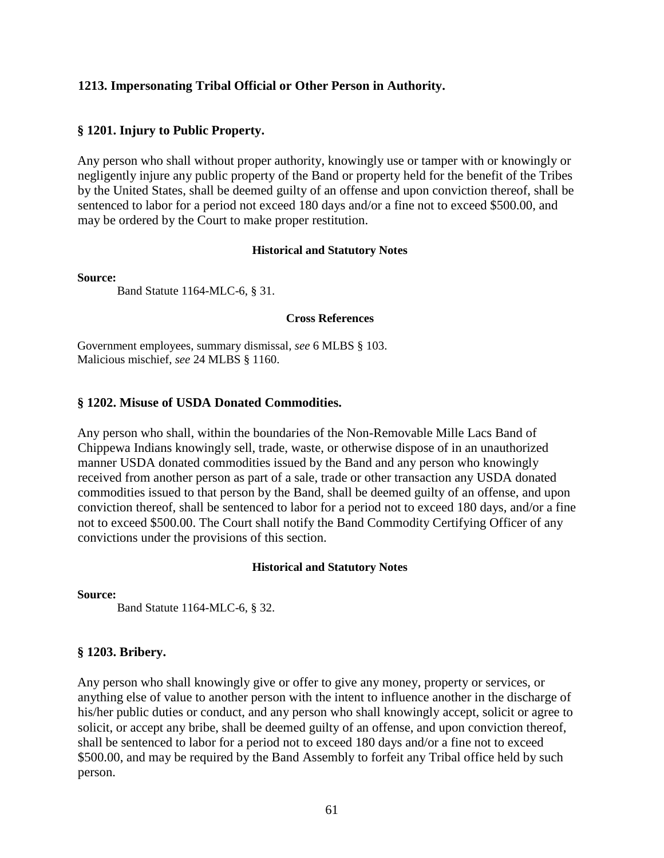### **1213. Impersonating Tribal Official or Other Person in Authority.**

### **§ 1201. Injury to Public Property.**

Any person who shall without proper authority, knowingly use or tamper with or knowingly or negligently injure any public property of the Band or property held for the benefit of the Tribes by the United States, shall be deemed guilty of an offense and upon conviction thereof, shall be sentenced to labor for a period not exceed 180 days and/or a fine not to exceed \$500.00, and may be ordered by the Court to make proper restitution.

### **Historical and Statutory Notes**

#### **Source:**

Band Statute 1164-MLC-6, § 31.

### **Cross References**

Government employees, summary dismissal, *see* 6 MLBS § 103. Malicious mischief, *see* 24 MLBS § 1160.

### **§ 1202. Misuse of USDA Donated Commodities.**

Any person who shall, within the boundaries of the Non-Removable Mille Lacs Band of Chippewa Indians knowingly sell, trade, waste, or otherwise dispose of in an unauthorized manner USDA donated commodities issued by the Band and any person who knowingly received from another person as part of a sale, trade or other transaction any USDA donated commodities issued to that person by the Band, shall be deemed guilty of an offense, and upon conviction thereof, shall be sentenced to labor for a period not to exceed 180 days, and/or a fine not to exceed \$500.00. The Court shall notify the Band Commodity Certifying Officer of any convictions under the provisions of this section.

### **Historical and Statutory Notes**

**Source:**

Band Statute 1164-MLC-6, § 32.

### **§ 1203. Bribery.**

Any person who shall knowingly give or offer to give any money, property or services, or anything else of value to another person with the intent to influence another in the discharge of his/her public duties or conduct, and any person who shall knowingly accept, solicit or agree to solicit, or accept any bribe, shall be deemed guilty of an offense, and upon conviction thereof, shall be sentenced to labor for a period not to exceed 180 days and/or a fine not to exceed \$500.00, and may be required by the Band Assembly to forfeit any Tribal office held by such person.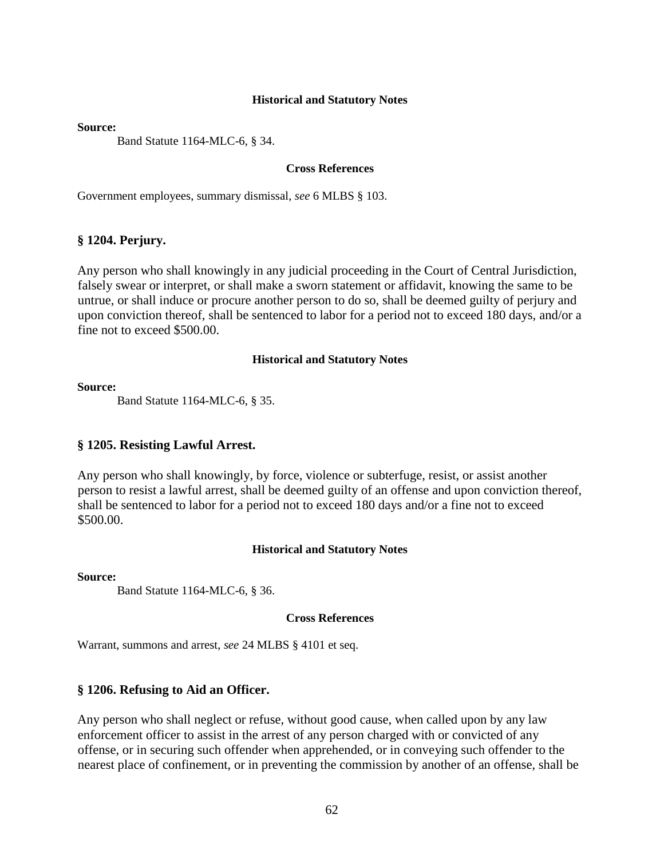**Source:**

Band Statute 1164-MLC-6, § 34.

### **Cross References**

Government employees, summary dismissal, *see* 6 MLBS § 103.

#### **§ 1204. Perjury.**

Any person who shall knowingly in any judicial proceeding in the Court of Central Jurisdiction, falsely swear or interpret, or shall make a sworn statement or affidavit, knowing the same to be untrue, or shall induce or procure another person to do so, shall be deemed guilty of perjury and upon conviction thereof, shall be sentenced to labor for a period not to exceed 180 days, and/or a fine not to exceed \$500.00.

#### **Historical and Statutory Notes**

#### **Source:**

Band Statute 1164-MLC-6, § 35.

#### **§ 1205. Resisting Lawful Arrest.**

Any person who shall knowingly, by force, violence or subterfuge, resist, or assist another person to resist a lawful arrest, shall be deemed guilty of an offense and upon conviction thereof, shall be sentenced to labor for a period not to exceed 180 days and/or a fine not to exceed \$500.00.

#### **Historical and Statutory Notes**

**Source:**

Band Statute 1164-MLC-6, § 36.

#### **Cross References**

Warrant, summons and arrest, *see* 24 MLBS § 4101 et seq.

#### **§ 1206. Refusing to Aid an Officer.**

Any person who shall neglect or refuse, without good cause, when called upon by any law enforcement officer to assist in the arrest of any person charged with or convicted of any offense, or in securing such offender when apprehended, or in conveying such offender to the nearest place of confinement, or in preventing the commission by another of an offense, shall be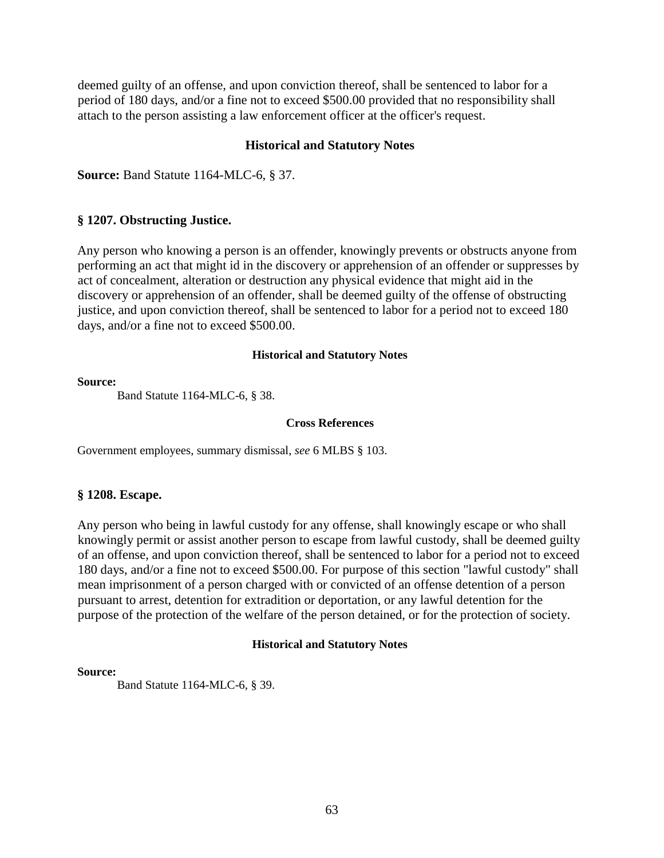deemed guilty of an offense, and upon conviction thereof, shall be sentenced to labor for a period of 180 days, and/or a fine not to exceed \$500.00 provided that no responsibility shall attach to the person assisting a law enforcement officer at the officer's request.

### **Historical and Statutory Notes**

**Source:** Band Statute 1164-MLC-6, § 37.

### **§ 1207. Obstructing Justice.**

Any person who knowing a person is an offender, knowingly prevents or obstructs anyone from performing an act that might id in the discovery or apprehension of an offender or suppresses by act of concealment, alteration or destruction any physical evidence that might aid in the discovery or apprehension of an offender, shall be deemed guilty of the offense of obstructing justice, and upon conviction thereof, shall be sentenced to labor for a period not to exceed 180 days, and/or a fine not to exceed \$500.00.

### **Historical and Statutory Notes**

#### **Source:**

Band Statute 1164-MLC-6, § 38.

### **Cross References**

Government employees, summary dismissal, *see* 6 MLBS § 103.

### **§ 1208. Escape.**

Any person who being in lawful custody for any offense, shall knowingly escape or who shall knowingly permit or assist another person to escape from lawful custody, shall be deemed guilty of an offense, and upon conviction thereof, shall be sentenced to labor for a period not to exceed 180 days, and/or a fine not to exceed \$500.00. For purpose of this section "lawful custody" shall mean imprisonment of a person charged with or convicted of an offense detention of a person pursuant to arrest, detention for extradition or deportation, or any lawful detention for the purpose of the protection of the welfare of the person detained, or for the protection of society.

### **Historical and Statutory Notes**

#### **Source:**

Band Statute 1164-MLC-6, § 39.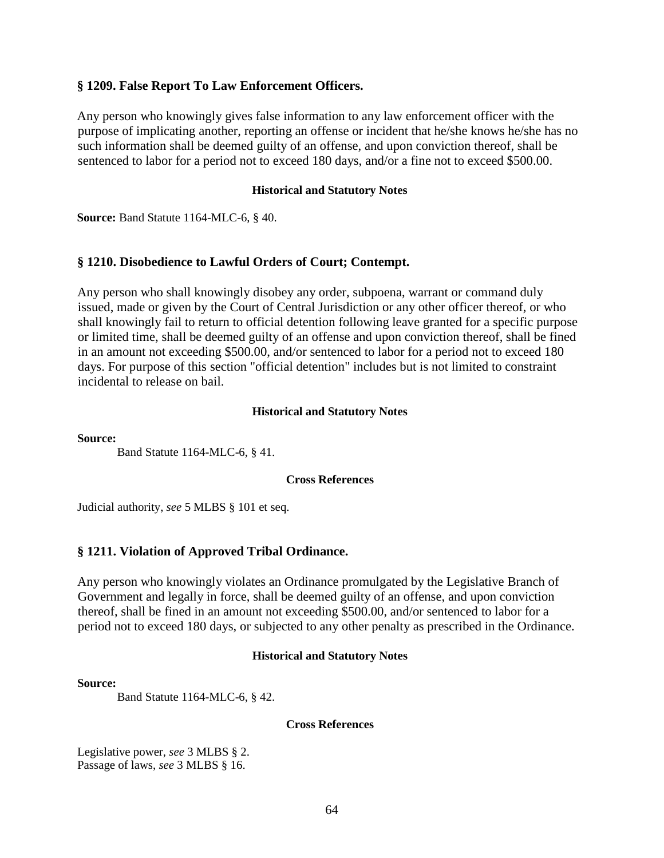### **§ 1209. False Report To Law Enforcement Officers.**

Any person who knowingly gives false information to any law enforcement officer with the purpose of implicating another, reporting an offense or incident that he/she knows he/she has no such information shall be deemed guilty of an offense, and upon conviction thereof, shall be sentenced to labor for a period not to exceed 180 days, and/or a fine not to exceed \$500.00.

#### **Historical and Statutory Notes**

**Source:** Band Statute 1164-MLC-6, § 40.

### **§ 1210. Disobedience to Lawful Orders of Court; Contempt.**

Any person who shall knowingly disobey any order, subpoena, warrant or command duly issued, made or given by the Court of Central Jurisdiction or any other officer thereof, or who shall knowingly fail to return to official detention following leave granted for a specific purpose or limited time, shall be deemed guilty of an offense and upon conviction thereof, shall be fined in an amount not exceeding \$500.00, and/or sentenced to labor for a period not to exceed 180 days. For purpose of this section "official detention" includes but is not limited to constraint incidental to release on bail.

#### **Historical and Statutory Notes**

**Source:**

Band Statute 1164-MLC-6, § 41.

#### **Cross References**

Judicial authority, *see* 5 MLBS § 101 et seq.

### **§ 1211. Violation of Approved Tribal Ordinance.**

Any person who knowingly violates an Ordinance promulgated by the Legislative Branch of Government and legally in force, shall be deemed guilty of an offense, and upon conviction thereof, shall be fined in an amount not exceeding \$500.00, and/or sentenced to labor for a period not to exceed 180 days, or subjected to any other penalty as prescribed in the Ordinance.

#### **Historical and Statutory Notes**

#### **Source:**

Band Statute 1164-MLC-6, § 42.

#### **Cross References**

Legislative power, *see* 3 MLBS § 2. Passage of laws, *see* 3 MLBS § 16.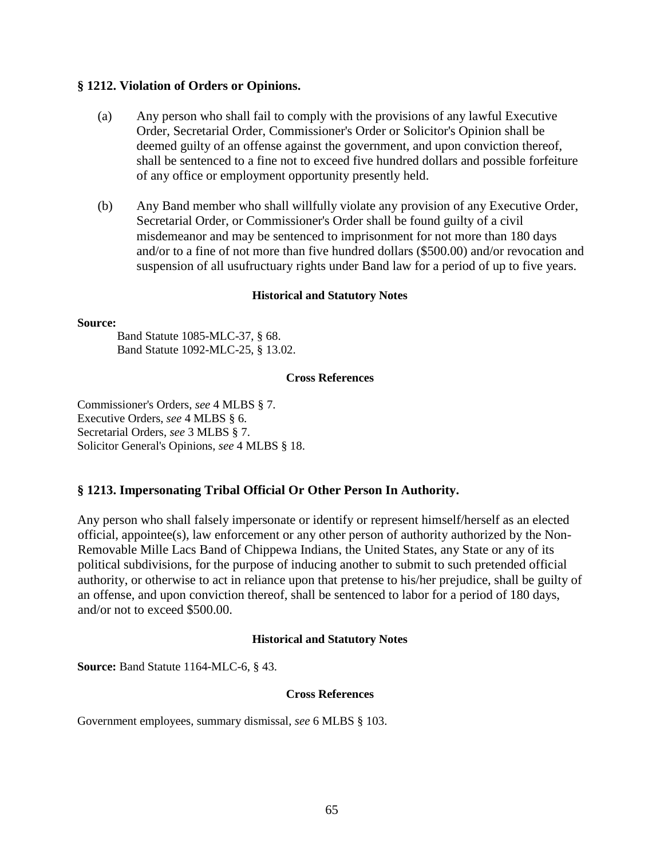### **§ 1212. Violation of Orders or Opinions.**

- (a) Any person who shall fail to comply with the provisions of any lawful Executive Order, Secretarial Order, Commissioner's Order or Solicitor's Opinion shall be deemed guilty of an offense against the government, and upon conviction thereof, shall be sentenced to a fine not to exceed five hundred dollars and possible forfeiture of any office or employment opportunity presently held.
- (b) Any Band member who shall willfully violate any provision of any Executive Order, Secretarial Order, or Commissioner's Order shall be found guilty of a civil misdemeanor and may be sentenced to imprisonment for not more than 180 days and/or to a fine of not more than five hundred dollars (\$500.00) and/or revocation and suspension of all usufructuary rights under Band law for a period of up to five years.

#### **Historical and Statutory Notes**

#### **Source:**

Band Statute 1085-MLC-37, § 68. Band Statute 1092-MLC-25, § 13.02.

#### **Cross References**

Commissioner's Orders, *see* 4 MLBS § 7. Executive Orders, *see* 4 MLBS § 6. Secretarial Orders, *see* 3 MLBS § 7. Solicitor General's Opinions, *see* 4 MLBS § 18.

### **§ 1213. Impersonating Tribal Official Or Other Person In Authority.**

Any person who shall falsely impersonate or identify or represent himself/herself as an elected official, appointee(s), law enforcement or any other person of authority authorized by the Non-Removable Mille Lacs Band of Chippewa Indians, the United States, any State or any of its political subdivisions, for the purpose of inducing another to submit to such pretended official authority, or otherwise to act in reliance upon that pretense to his/her prejudice, shall be guilty of an offense, and upon conviction thereof, shall be sentenced to labor for a period of 180 days, and/or not to exceed \$500.00.

#### **Historical and Statutory Notes**

**Source:** Band Statute 1164-MLC-6, § 43.

#### **Cross References**

Government employees, summary dismissal, *see* 6 MLBS § 103.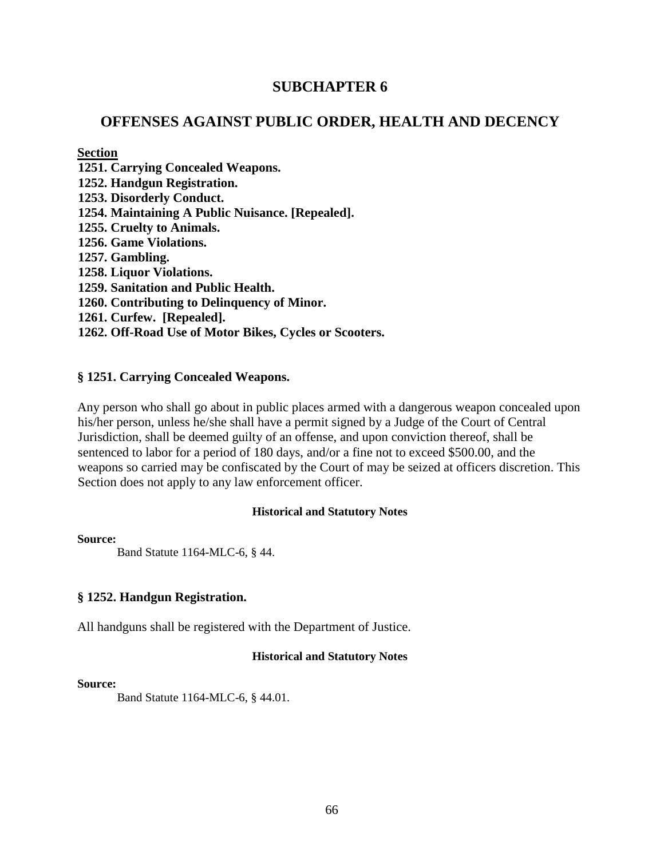## **SUBCHAPTER 6**

## **OFFENSES AGAINST PUBLIC ORDER, HEALTH AND DECENCY**

### **Section**

**1251. Carrying Concealed Weapons. 1252. Handgun Registration. 1253. Disorderly Conduct. 1254. Maintaining A Public Nuisance. [Repealed]. 1255. Cruelty to Animals. 1256. Game Violations. 1257. Gambling. 1258. Liquor Violations. 1259. Sanitation and Public Health. 1260. Contributing to Delinquency of Minor. 1261. Curfew. [Repealed]. 1262. Off-Road Use of Motor Bikes, Cycles or Scooters.** 

### **§ 1251. Carrying Concealed Weapons.**

Any person who shall go about in public places armed with a dangerous weapon concealed upon his/her person, unless he/she shall have a permit signed by a Judge of the Court of Central Jurisdiction, shall be deemed guilty of an offense, and upon conviction thereof, shall be sentenced to labor for a period of 180 days, and/or a fine not to exceed \$500.00, and the weapons so carried may be confiscated by the Court of may be seized at officers discretion. This Section does not apply to any law enforcement officer.

### **Historical and Statutory Notes**

**Source:**

Band Statute 1164-MLC-6, § 44.

### **§ 1252. Handgun Registration.**

All handguns shall be registered with the Department of Justice.

### **Historical and Statutory Notes**

#### **Source:**

Band Statute 1164-MLC-6, § 44.01.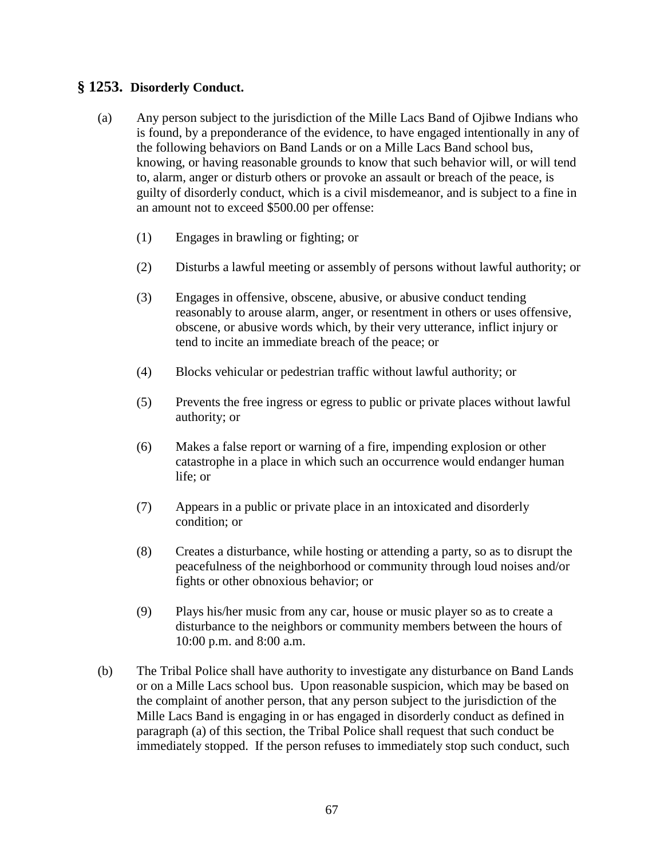## **§ 1253. Disorderly Conduct.**

- (a) Any person subject to the jurisdiction of the Mille Lacs Band of Ojibwe Indians who is found, by a preponderance of the evidence, to have engaged intentionally in any of the following behaviors on Band Lands or on a Mille Lacs Band school bus, knowing, or having reasonable grounds to know that such behavior will, or will tend to, alarm, anger or disturb others or provoke an assault or breach of the peace, is guilty of disorderly conduct, which is a civil misdemeanor, and is subject to a fine in an amount not to exceed \$500.00 per offense:
	- (1) Engages in brawling or fighting; or
	- (2) Disturbs a lawful meeting or assembly of persons without lawful authority; or
	- (3) Engages in offensive, obscene, abusive, or abusive conduct tending reasonably to arouse alarm, anger, or resentment in others or uses offensive, obscene, or abusive words which, by their very utterance, inflict injury or tend to incite an immediate breach of the peace; or
	- (4) Blocks vehicular or pedestrian traffic without lawful authority; or
	- (5) Prevents the free ingress or egress to public or private places without lawful authority; or
	- (6) Makes a false report or warning of a fire, impending explosion or other catastrophe in a place in which such an occurrence would endanger human life; or
	- (7) Appears in a public or private place in an intoxicated and disorderly condition; or
	- (8) Creates a disturbance, while hosting or attending a party, so as to disrupt the peacefulness of the neighborhood or community through loud noises and/or fights or other obnoxious behavior; or
	- (9) Plays his/her music from any car, house or music player so as to create a disturbance to the neighbors or community members between the hours of 10:00 p.m. and 8:00 a.m.
- (b) The Tribal Police shall have authority to investigate any disturbance on Band Lands or on a Mille Lacs school bus. Upon reasonable suspicion, which may be based on the complaint of another person, that any person subject to the jurisdiction of the Mille Lacs Band is engaging in or has engaged in disorderly conduct as defined in paragraph (a) of this section, the Tribal Police shall request that such conduct be immediately stopped. If the person refuses to immediately stop such conduct, such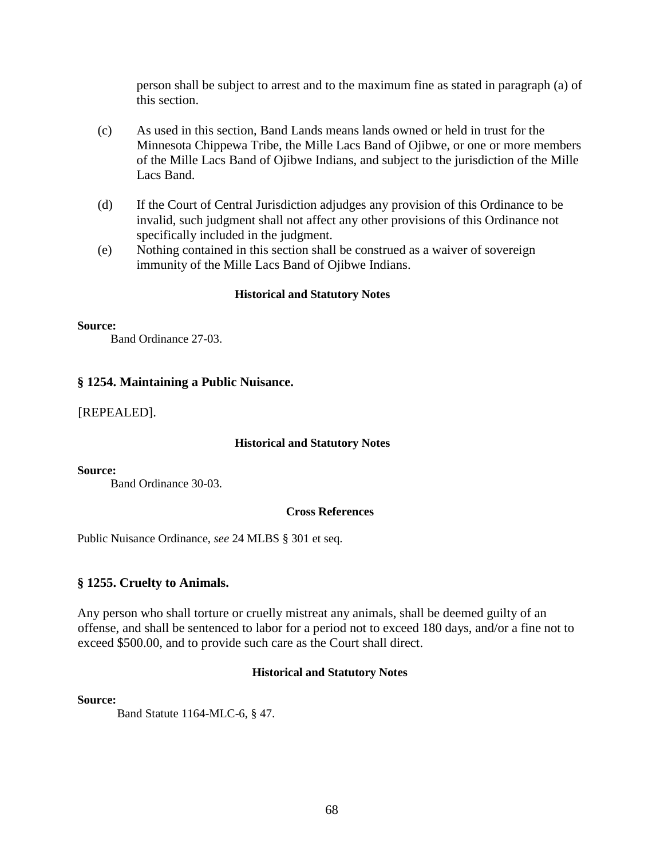person shall be subject to arrest and to the maximum fine as stated in paragraph (a) of this section.

- (c) As used in this section, Band Lands means lands owned or held in trust for the Minnesota Chippewa Tribe, the Mille Lacs Band of Ojibwe, or one or more members of the Mille Lacs Band of Ojibwe Indians, and subject to the jurisdiction of the Mille Lacs Band.
- (d) If the Court of Central Jurisdiction adjudges any provision of this Ordinance to be invalid, such judgment shall not affect any other provisions of this Ordinance not specifically included in the judgment.
- (e) Nothing contained in this section shall be construed as a waiver of sovereign immunity of the Mille Lacs Band of Ojibwe Indians.

#### **Historical and Statutory Notes**

#### **Source:**

Band Ordinance 27-03.

### **§ 1254. Maintaining a Public Nuisance.**

[REPEALED].

#### **Historical and Statutory Notes**

#### **Source:**

Band Ordinance 30-03.

#### **Cross References**

Public Nuisance Ordinance, *see* 24 MLBS § 301 et seq.

#### **§ 1255. Cruelty to Animals.**

Any person who shall torture or cruelly mistreat any animals, shall be deemed guilty of an offense, and shall be sentenced to labor for a period not to exceed 180 days, and/or a fine not to exceed \$500.00, and to provide such care as the Court shall direct.

#### **Historical and Statutory Notes**

**Source:**

Band Statute 1164-MLC-6, § 47.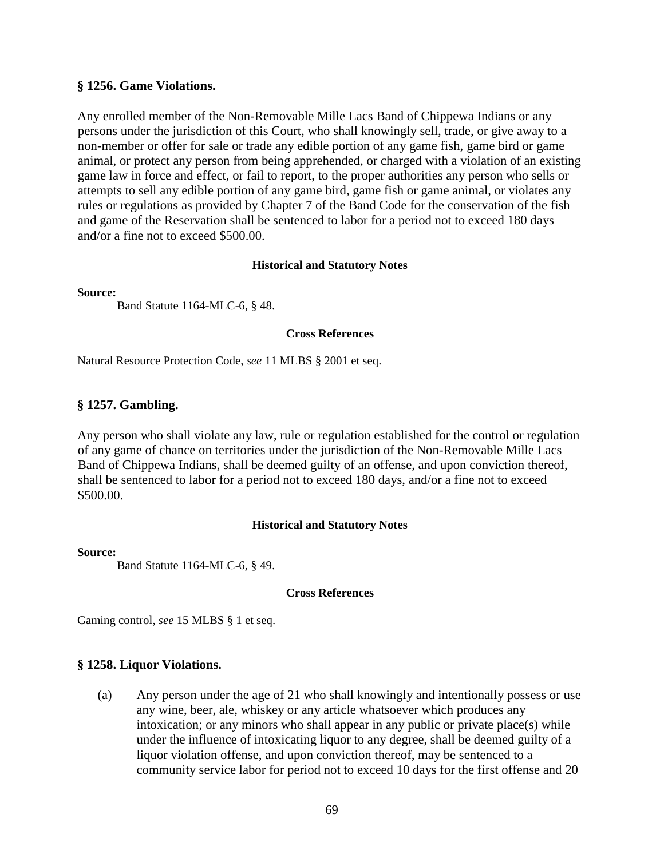### **§ 1256. Game Violations.**

Any enrolled member of the Non-Removable Mille Lacs Band of Chippewa Indians or any persons under the jurisdiction of this Court, who shall knowingly sell, trade, or give away to a non-member or offer for sale or trade any edible portion of any game fish, game bird or game animal, or protect any person from being apprehended, or charged with a violation of an existing game law in force and effect, or fail to report, to the proper authorities any person who sells or attempts to sell any edible portion of any game bird, game fish or game animal, or violates any rules or regulations as provided by Chapter 7 of the Band Code for the conservation of the fish and game of the Reservation shall be sentenced to labor for a period not to exceed 180 days and/or a fine not to exceed \$500.00.

#### **Historical and Statutory Notes**

**Source:**

Band Statute 1164-MLC-6, § 48.

### **Cross References**

Natural Resource Protection Code, *see* 11 MLBS § 2001 et seq.

### **§ 1257. Gambling.**

Any person who shall violate any law, rule or regulation established for the control or regulation of any game of chance on territories under the jurisdiction of the Non-Removable Mille Lacs Band of Chippewa Indians, shall be deemed guilty of an offense, and upon conviction thereof, shall be sentenced to labor for a period not to exceed 180 days, and/or a fine not to exceed \$500.00.

### **Historical and Statutory Notes**

#### **Source:**

Band Statute 1164-MLC-6, § 49.

#### **Cross References**

Gaming control, *see* 15 MLBS § 1 et seq.

### **§ 1258. Liquor Violations.**

(a) Any person under the age of 21 who shall knowingly and intentionally possess or use any wine, beer, ale, whiskey or any article whatsoever which produces any intoxication; or any minors who shall appear in any public or private place(s) while under the influence of intoxicating liquor to any degree, shall be deemed guilty of a liquor violation offense, and upon conviction thereof, may be sentenced to a community service labor for period not to exceed 10 days for the first offense and 20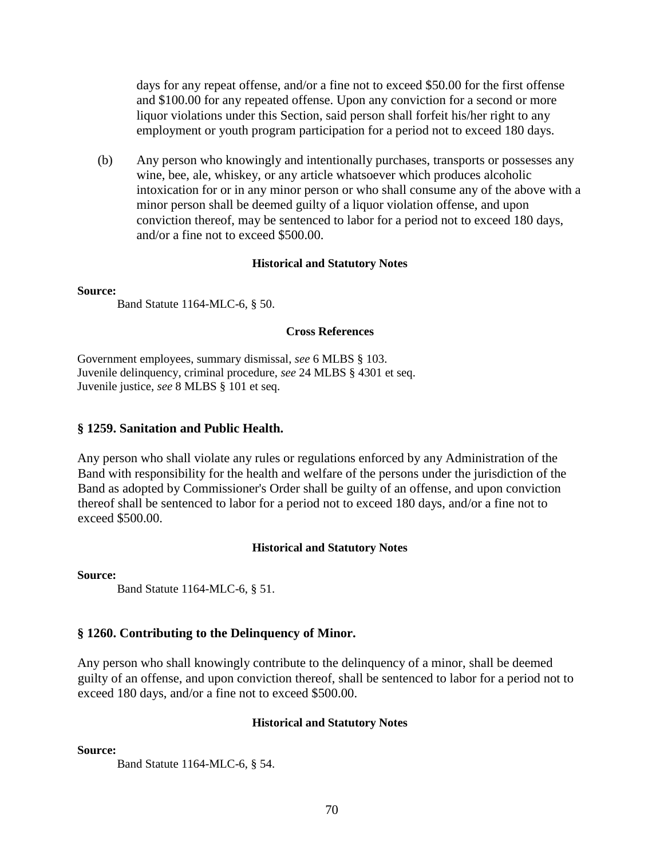days for any repeat offense, and/or a fine not to exceed \$50.00 for the first offense and \$100.00 for any repeated offense. Upon any conviction for a second or more liquor violations under this Section, said person shall forfeit his/her right to any employment or youth program participation for a period not to exceed 180 days.

(b) Any person who knowingly and intentionally purchases, transports or possesses any wine, bee, ale, whiskey, or any article whatsoever which produces alcoholic intoxication for or in any minor person or who shall consume any of the above with a minor person shall be deemed guilty of a liquor violation offense, and upon conviction thereof, may be sentenced to labor for a period not to exceed 180 days, and/or a fine not to exceed \$500.00.

#### **Historical and Statutory Notes**

#### **Source:**

Band Statute 1164-MLC-6, § 50.

### **Cross References**

Government employees, summary dismissal, *see* 6 MLBS § 103. Juvenile delinquency, criminal procedure, *see* 24 MLBS § 4301 et seq. Juvenile justice, *see* 8 MLBS § 101 et seq.

### **§ 1259. Sanitation and Public Health.**

Any person who shall violate any rules or regulations enforced by any Administration of the Band with responsibility for the health and welfare of the persons under the jurisdiction of the Band as adopted by Commissioner's Order shall be guilty of an offense, and upon conviction thereof shall be sentenced to labor for a period not to exceed 180 days, and/or a fine not to exceed \$500.00.

#### **Historical and Statutory Notes**

**Source:**

Band Statute 1164-MLC-6, § 51.

### **§ 1260. Contributing to the Delinquency of Minor.**

Any person who shall knowingly contribute to the delinquency of a minor, shall be deemed guilty of an offense, and upon conviction thereof, shall be sentenced to labor for a period not to exceed 180 days, and/or a fine not to exceed \$500.00.

#### **Historical and Statutory Notes**

**Source:**

Band Statute 1164-MLC-6, § 54.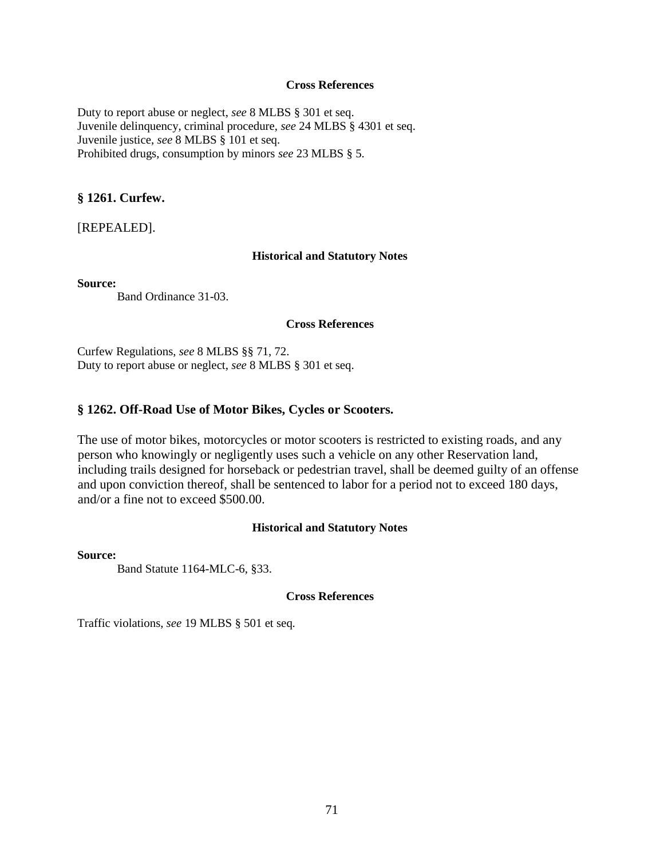#### **Cross References**

Duty to report abuse or neglect, *see* 8 MLBS § 301 et seq. Juvenile delinquency, criminal procedure, *see* 24 MLBS § 4301 et seq. Juvenile justice, *see* 8 MLBS § 101 et seq. Prohibited drugs, consumption by minors *see* 23 MLBS § 5.

#### **§ 1261. Curfew.**

[REPEALED].

#### **Historical and Statutory Notes**

**Source:**

Band Ordinance 31-03.

#### **Cross References**

Curfew Regulations, *see* 8 MLBS §§ 71, 72. Duty to report abuse or neglect, *see* 8 MLBS § 301 et seq.

#### **§ 1262. Off-Road Use of Motor Bikes, Cycles or Scooters.**

The use of motor bikes, motorcycles or motor scooters is restricted to existing roads, and any person who knowingly or negligently uses such a vehicle on any other Reservation land, including trails designed for horseback or pedestrian travel, shall be deemed guilty of an offense and upon conviction thereof, shall be sentenced to labor for a period not to exceed 180 days, and/or a fine not to exceed \$500.00.

#### **Historical and Statutory Notes**

#### **Source:**

Band Statute 1164-MLC-6, §33.

### **Cross References**

Traffic violations, *see* 19 MLBS § 501 et seq.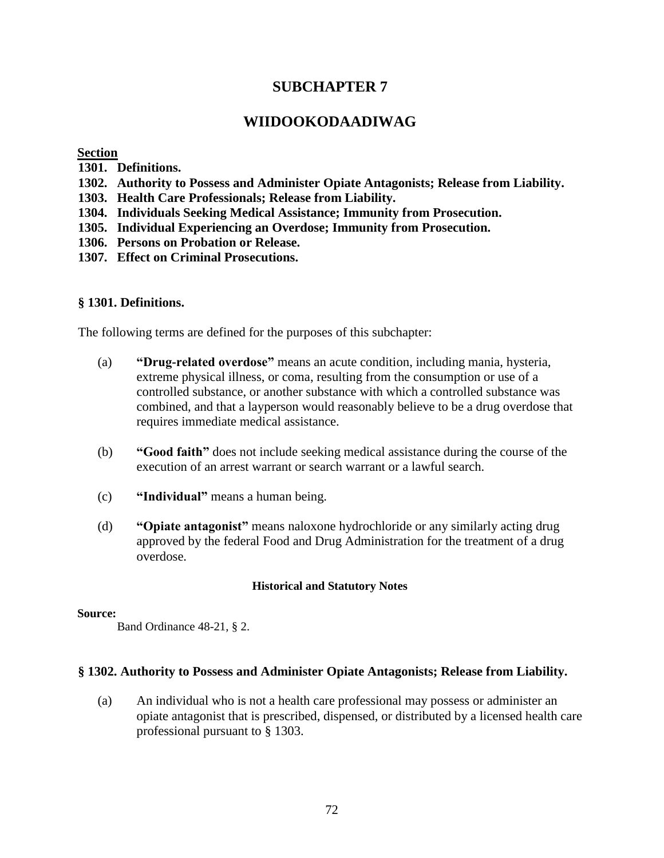# **SUBCHAPTER 7**

# **WIIDOOKODAADIWAG**

### **Section**

- **1301. Definitions.**
- **1302. Authority to Possess and Administer Opiate Antagonists; Release from Liability.**
- **1303. Health Care Professionals; Release from Liability.**
- **1304. Individuals Seeking Medical Assistance; Immunity from Prosecution.**
- **1305. Individual Experiencing an Overdose; Immunity from Prosecution.**
- **1306. Persons on Probation or Release.**
- **1307. Effect on Criminal Prosecutions.**

### **§ 1301. Definitions.**

The following terms are defined for the purposes of this subchapter:

- (a) **"Drug-related overdose"** means an acute condition, including mania, hysteria, extreme physical illness, or coma, resulting from the consumption or use of a controlled substance, or another substance with which a controlled substance was combined, and that a layperson would reasonably believe to be a drug overdose that requires immediate medical assistance.
- (b) **"Good faith"** does not include seeking medical assistance during the course of the execution of an arrest warrant or search warrant or a lawful search.
- (c) **"Individual"** means a human being.
- (d) **"Opiate antagonist"** means naloxone hydrochloride or any similarly acting drug approved by the federal Food and Drug Administration for the treatment of a drug overdose.

### **Historical and Statutory Notes**

#### **Source:**

Band Ordinance 48-21, § 2.

### **§ 1302. Authority to Possess and Administer Opiate Antagonists; Release from Liability.**

(a) An individual who is not a health care professional may possess or administer an opiate antagonist that is prescribed, dispensed, or distributed by a licensed health care professional pursuant to § 1303.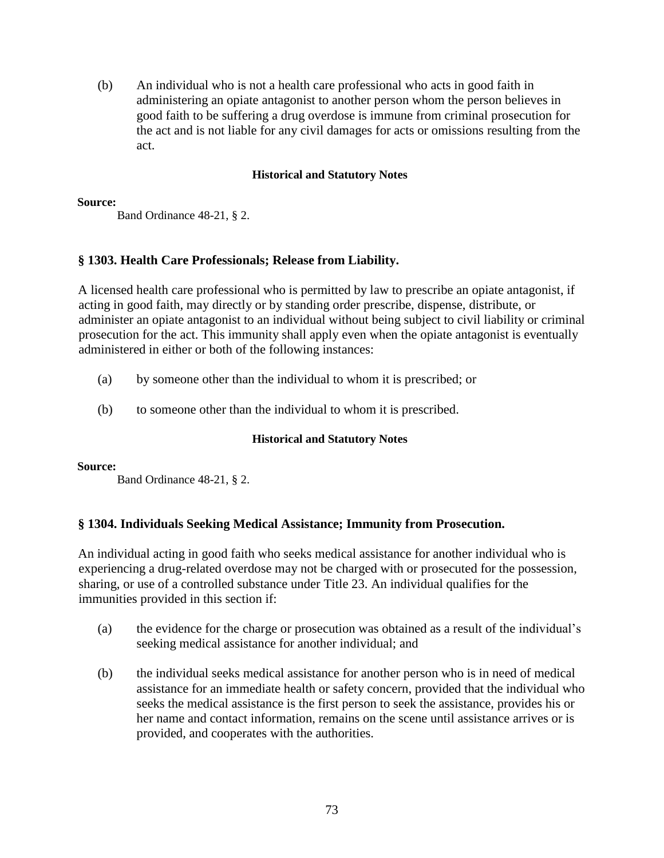(b) An individual who is not a health care professional who acts in good faith in administering an opiate antagonist to another person whom the person believes in good faith to be suffering a drug overdose is immune from criminal prosecution for the act and is not liable for any civil damages for acts or omissions resulting from the act.

## **Historical and Statutory Notes**

## **Source:**

Band Ordinance 48-21, § 2.

# **§ 1303. Health Care Professionals; Release from Liability.**

A licensed health care professional who is permitted by law to prescribe an opiate antagonist, if acting in good faith, may directly or by standing order prescribe, dispense, distribute, or administer an opiate antagonist to an individual without being subject to civil liability or criminal prosecution for the act. This immunity shall apply even when the opiate antagonist is eventually administered in either or both of the following instances:

- (a) by someone other than the individual to whom it is prescribed; or
- (b) to someone other than the individual to whom it is prescribed.

# **Historical and Statutory Notes**

# **Source:**

Band Ordinance 48-21, § 2.

# **§ 1304. Individuals Seeking Medical Assistance; Immunity from Prosecution.**

An individual acting in good faith who seeks medical assistance for another individual who is experiencing a drug-related overdose may not be charged with or prosecuted for the possession, sharing, or use of a controlled substance under Title 23. An individual qualifies for the immunities provided in this section if:

- (a) the evidence for the charge or prosecution was obtained as a result of the individual's seeking medical assistance for another individual; and
- (b) the individual seeks medical assistance for another person who is in need of medical assistance for an immediate health or safety concern, provided that the individual who seeks the medical assistance is the first person to seek the assistance, provides his or her name and contact information, remains on the scene until assistance arrives or is provided, and cooperates with the authorities.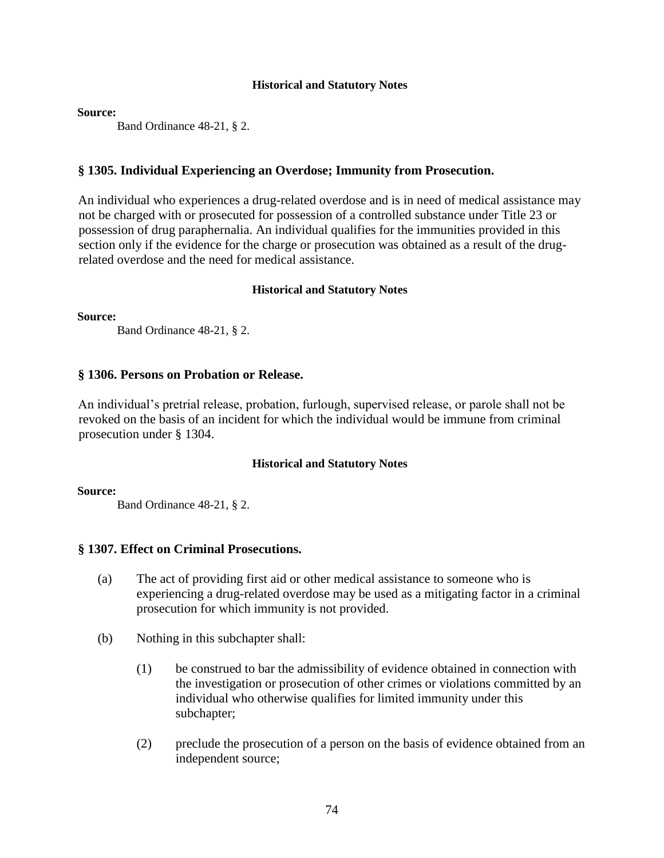**Source:**

Band Ordinance 48-21, § 2.

## **§ 1305. Individual Experiencing an Overdose; Immunity from Prosecution.**

An individual who experiences a drug-related overdose and is in need of medical assistance may not be charged with or prosecuted for possession of a controlled substance under Title 23 or possession of drug paraphernalia. An individual qualifies for the immunities provided in this section only if the evidence for the charge or prosecution was obtained as a result of the drugrelated overdose and the need for medical assistance.

### **Historical and Statutory Notes**

**Source:**

Band Ordinance 48-21, § 2.

## **§ 1306. Persons on Probation or Release.**

An individual's pretrial release, probation, furlough, supervised release, or parole shall not be revoked on the basis of an incident for which the individual would be immune from criminal prosecution under § 1304.

### **Historical and Statutory Notes**

**Source:**

Band Ordinance 48-21, § 2.

### **§ 1307. Effect on Criminal Prosecutions.**

- (a) The act of providing first aid or other medical assistance to someone who is experiencing a drug-related overdose may be used as a mitigating factor in a criminal prosecution for which immunity is not provided.
- (b) Nothing in this subchapter shall:
	- (1) be construed to bar the admissibility of evidence obtained in connection with the investigation or prosecution of other crimes or violations committed by an individual who otherwise qualifies for limited immunity under this subchapter;
	- (2) preclude the prosecution of a person on the basis of evidence obtained from an independent source;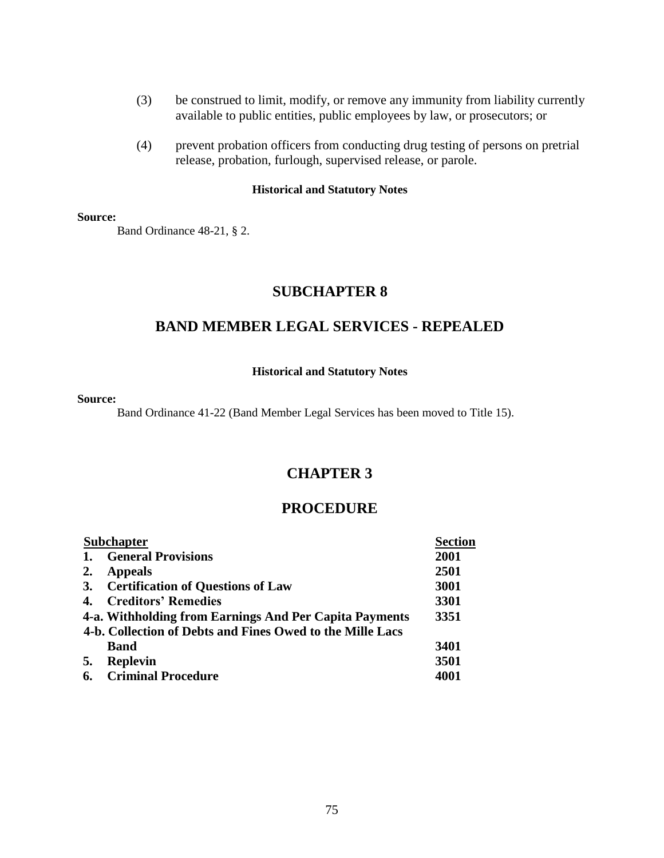- (3) be construed to limit, modify, or remove any immunity from liability currently available to public entities, public employees by law, or prosecutors; or
- (4) prevent probation officers from conducting drug testing of persons on pretrial release, probation, furlough, supervised release, or parole.

#### **Source:**

Band Ordinance 48-21, § 2.

# **SUBCHAPTER 8**

# **BAND MEMBER LEGAL SERVICES - REPEALED**

#### **Historical and Statutory Notes**

#### **Source:**

Band Ordinance 41-22 (Band Member Legal Services has been moved to Title 15).

# **CHAPTER 3**

# **PROCEDURE**

|    | <b>Subchapter</b>                                         | <b>Section</b> |
|----|-----------------------------------------------------------|----------------|
| 1. | <b>General Provisions</b>                                 | 2001           |
| 2. | <b>Appeals</b>                                            | 2501           |
| 3. | <b>Certification of Questions of Law</b>                  | 3001           |
| 4. | <b>Creditors' Remedies</b>                                | 3301           |
|    | 4-a. Withholding from Earnings And Per Capita Payments    | 3351           |
|    | 4-b. Collection of Debts and Fines Owed to the Mille Lacs |                |
|    | <b>Band</b>                                               | 3401           |
| 5. | <b>Replevin</b>                                           | 3501           |
| 6. | <b>Criminal Procedure</b>                                 | 4001           |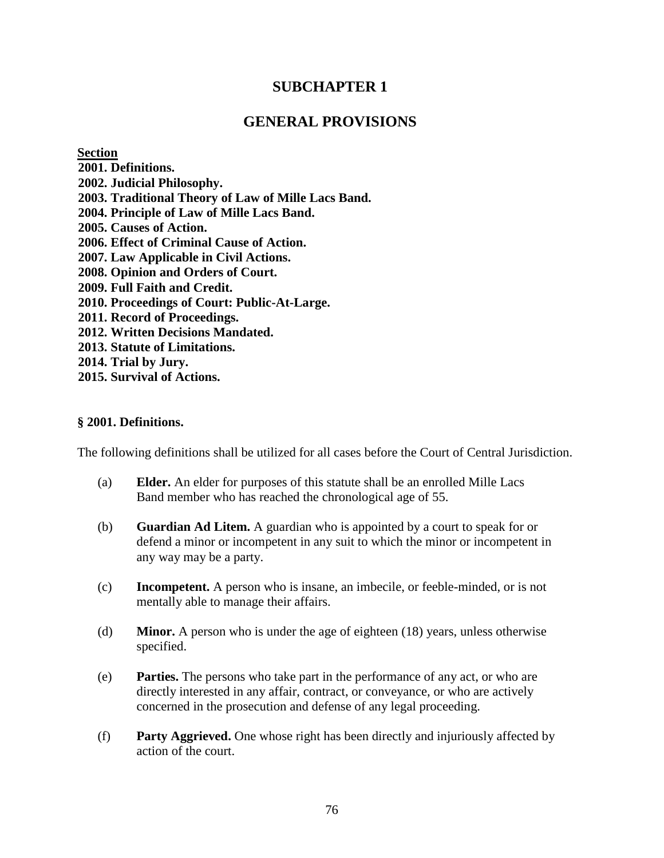# **SUBCHAPTER 1**

# **GENERAL PROVISIONS**

**Section** 

**2001. Definitions. 2002. Judicial Philosophy. 2003. Traditional Theory of Law of Mille Lacs Band. 2004. Principle of Law of Mille Lacs Band. 2005. Causes of Action. 2006. Effect of Criminal Cause of Action. 2007. Law Applicable in Civil Actions. 2008. Opinion and Orders of Court. 2009. Full Faith and Credit. 2010. Proceedings of Court: Public-At-Large. 2011. Record of Proceedings. 2012. Written Decisions Mandated. 2013. Statute of Limitations. 2014. Trial by Jury. 2015. Survival of Actions.** 

# **§ 2001. Definitions.**

The following definitions shall be utilized for all cases before the Court of Central Jurisdiction.

- (a) **Elder.** An elder for purposes of this statute shall be an enrolled Mille Lacs Band member who has reached the chronological age of 55.
- (b) **Guardian Ad Litem.** A guardian who is appointed by a court to speak for or defend a minor or incompetent in any suit to which the minor or incompetent in any way may be a party.
- (c) **Incompetent.** A person who is insane, an imbecile, or feeble-minded, or is not mentally able to manage their affairs.
- (d) **Minor.** A person who is under the age of eighteen (18) years, unless otherwise specified.
- (e) **Parties.** The persons who take part in the performance of any act, or who are directly interested in any affair, contract, or conveyance, or who are actively concerned in the prosecution and defense of any legal proceeding.
- (f) **Party Aggrieved.** One whose right has been directly and injuriously affected by action of the court.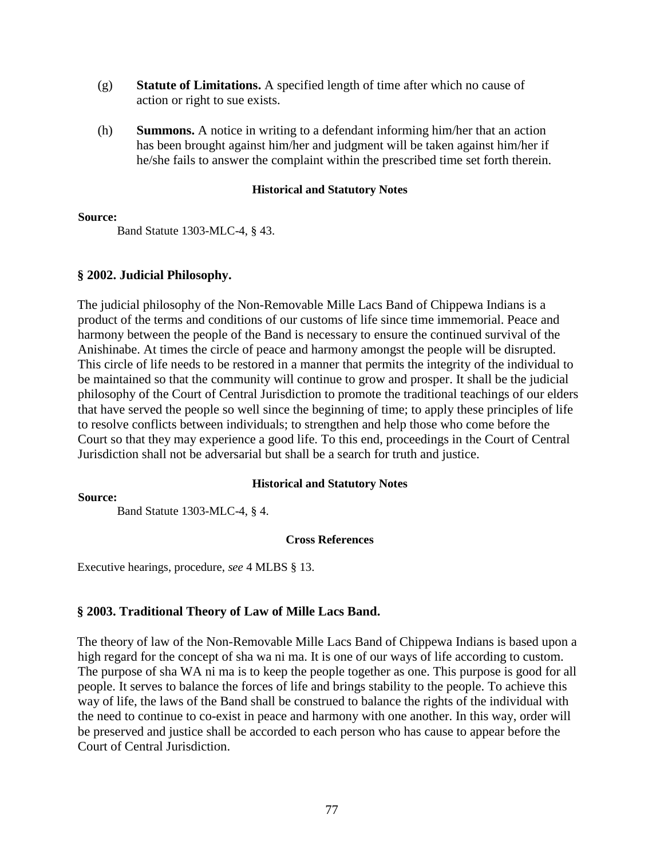- (g) **Statute of Limitations.** A specified length of time after which no cause of action or right to sue exists.
- (h) **Summons.** A notice in writing to a defendant informing him/her that an action has been brought against him/her and judgment will be taken against him/her if he/she fails to answer the complaint within the prescribed time set forth therein.

### **Source:**

Band Statute 1303-MLC-4, § 43.

# **§ 2002. Judicial Philosophy.**

The judicial philosophy of the Non-Removable Mille Lacs Band of Chippewa Indians is a product of the terms and conditions of our customs of life since time immemorial. Peace and harmony between the people of the Band is necessary to ensure the continued survival of the Anishinabe. At times the circle of peace and harmony amongst the people will be disrupted. This circle of life needs to be restored in a manner that permits the integrity of the individual to be maintained so that the community will continue to grow and prosper. It shall be the judicial philosophy of the Court of Central Jurisdiction to promote the traditional teachings of our elders that have served the people so well since the beginning of time; to apply these principles of life to resolve conflicts between individuals; to strengthen and help those who come before the Court so that they may experience a good life. To this end, proceedings in the Court of Central Jurisdiction shall not be adversarial but shall be a search for truth and justice.

### **Historical and Statutory Notes**

### **Source:**

Band Statute 1303-MLC-4, § 4.

### **Cross References**

Executive hearings, procedure, *see* 4 MLBS § 13.

# **§ 2003. Traditional Theory of Law of Mille Lacs Band.**

The theory of law of the Non-Removable Mille Lacs Band of Chippewa Indians is based upon a high regard for the concept of sha wa ni ma. It is one of our ways of life according to custom. The purpose of sha WA ni ma is to keep the people together as one. This purpose is good for all people. It serves to balance the forces of life and brings stability to the people. To achieve this way of life, the laws of the Band shall be construed to balance the rights of the individual with the need to continue to co-exist in peace and harmony with one another. In this way, order will be preserved and justice shall be accorded to each person who has cause to appear before the Court of Central Jurisdiction.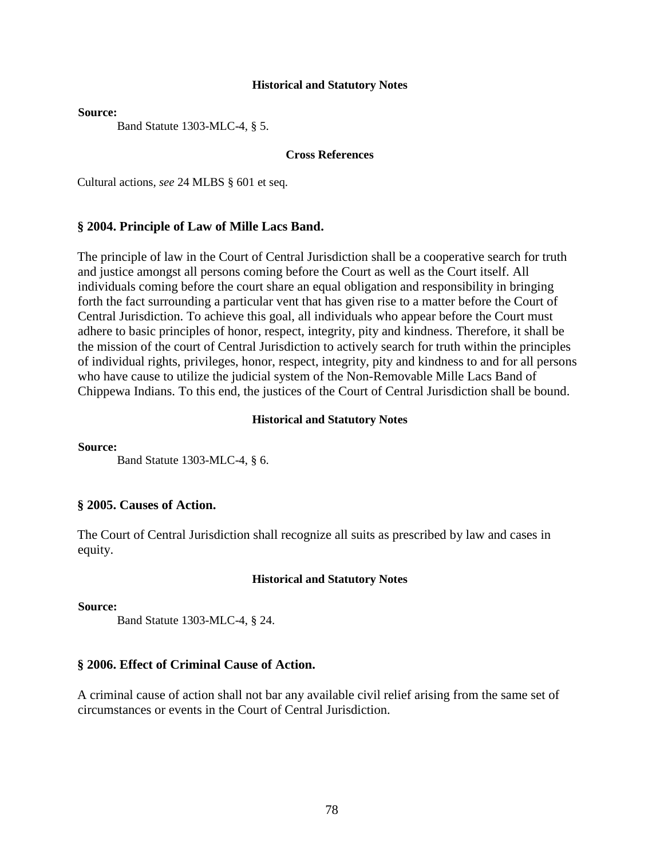**Source:**

Band Statute 1303-MLC-4, § 5.

#### **Cross References**

Cultural actions, *see* 24 MLBS § 601 et seq.

#### **§ 2004. Principle of Law of Mille Lacs Band.**

The principle of law in the Court of Central Jurisdiction shall be a cooperative search for truth and justice amongst all persons coming before the Court as well as the Court itself. All individuals coming before the court share an equal obligation and responsibility in bringing forth the fact surrounding a particular vent that has given rise to a matter before the Court of Central Jurisdiction. To achieve this goal, all individuals who appear before the Court must adhere to basic principles of honor, respect, integrity, pity and kindness. Therefore, it shall be the mission of the court of Central Jurisdiction to actively search for truth within the principles of individual rights, privileges, honor, respect, integrity, pity and kindness to and for all persons who have cause to utilize the judicial system of the Non-Removable Mille Lacs Band of Chippewa Indians. To this end, the justices of the Court of Central Jurisdiction shall be bound.

### **Historical and Statutory Notes**

**Source:**

Band Statute 1303-MLC-4, § 6.

#### **§ 2005. Causes of Action.**

The Court of Central Jurisdiction shall recognize all suits as prescribed by law and cases in equity.

#### **Historical and Statutory Notes**

**Source:**

Band Statute 1303-MLC-4, § 24.

#### **§ 2006. Effect of Criminal Cause of Action.**

A criminal cause of action shall not bar any available civil relief arising from the same set of circumstances or events in the Court of Central Jurisdiction.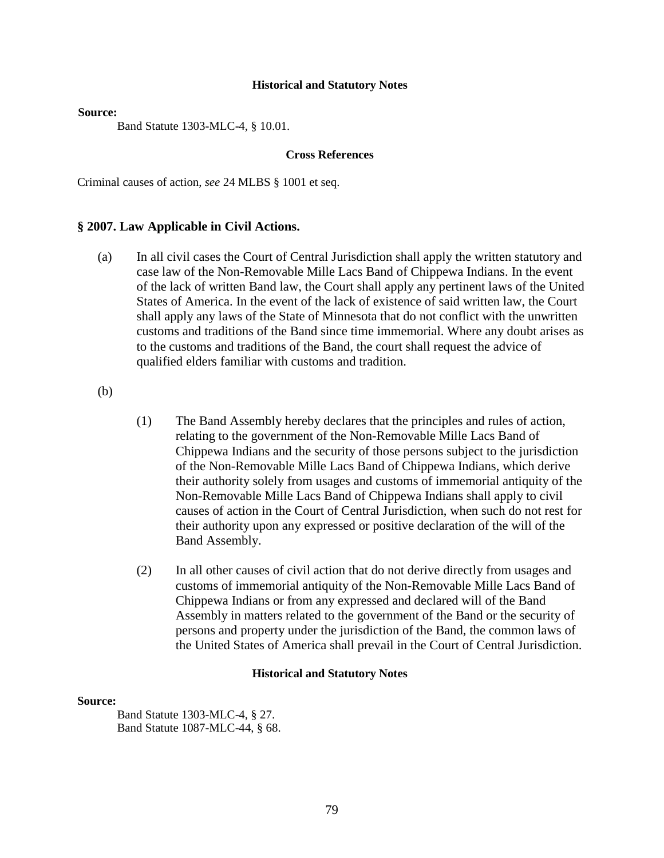#### **Source:**

Band Statute 1303-MLC-4, § 10.01.

### **Cross References**

Criminal causes of action, *see* 24 MLBS § 1001 et seq.

#### **§ 2007. Law Applicable in Civil Actions.**

(a) In all civil cases the Court of Central Jurisdiction shall apply the written statutory and case law of the Non-Removable Mille Lacs Band of Chippewa Indians. In the event of the lack of written Band law, the Court shall apply any pertinent laws of the United States of America. In the event of the lack of existence of said written law, the Court shall apply any laws of the State of Minnesota that do not conflict with the unwritten customs and traditions of the Band since time immemorial. Where any doubt arises as to the customs and traditions of the Band, the court shall request the advice of qualified elders familiar with customs and tradition.

(b)

- (1) The Band Assembly hereby declares that the principles and rules of action, relating to the government of the Non-Removable Mille Lacs Band of Chippewa Indians and the security of those persons subject to the jurisdiction of the Non-Removable Mille Lacs Band of Chippewa Indians, which derive their authority solely from usages and customs of immemorial antiquity of the Non-Removable Mille Lacs Band of Chippewa Indians shall apply to civil causes of action in the Court of Central Jurisdiction, when such do not rest for their authority upon any expressed or positive declaration of the will of the Band Assembly.
- (2) In all other causes of civil action that do not derive directly from usages and customs of immemorial antiquity of the Non-Removable Mille Lacs Band of Chippewa Indians or from any expressed and declared will of the Band Assembly in matters related to the government of the Band or the security of persons and property under the jurisdiction of the Band, the common laws of the United States of America shall prevail in the Court of Central Jurisdiction.

#### **Historical and Statutory Notes**

#### **Source:**

Band Statute 1303-MLC-4, § 27. Band Statute 1087-MLC-44, § 68.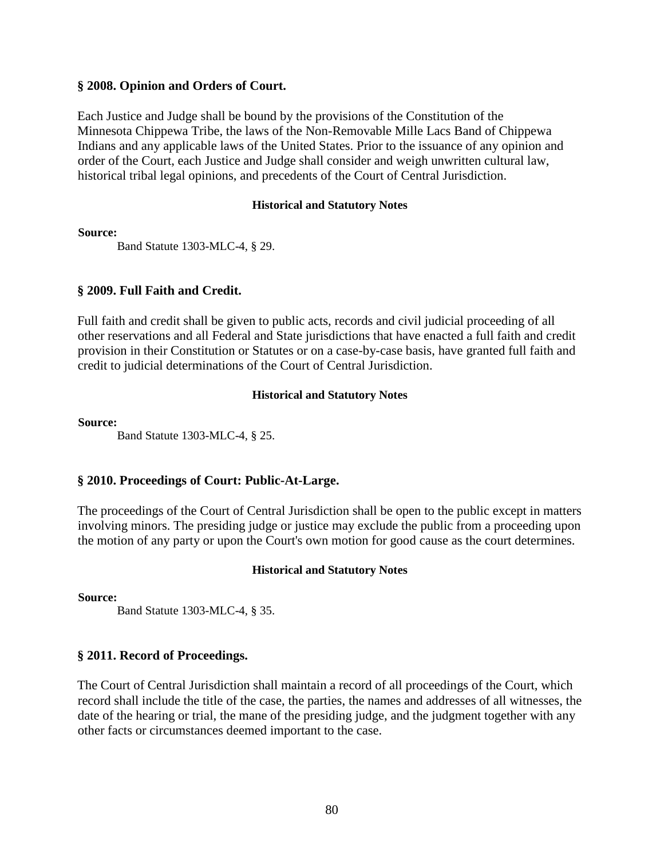## **§ 2008. Opinion and Orders of Court.**

Each Justice and Judge shall be bound by the provisions of the Constitution of the Minnesota Chippewa Tribe, the laws of the Non-Removable Mille Lacs Band of Chippewa Indians and any applicable laws of the United States. Prior to the issuance of any opinion and order of the Court, each Justice and Judge shall consider and weigh unwritten cultural law, historical tribal legal opinions, and precedents of the Court of Central Jurisdiction.

#### **Historical and Statutory Notes**

**Source:**

Band Statute 1303-MLC-4, § 29.

## **§ 2009. Full Faith and Credit.**

Full faith and credit shall be given to public acts, records and civil judicial proceeding of all other reservations and all Federal and State jurisdictions that have enacted a full faith and credit provision in their Constitution or Statutes or on a case-by-case basis, have granted full faith and credit to judicial determinations of the Court of Central Jurisdiction.

#### **Historical and Statutory Notes**

**Source:**

Band Statute 1303-MLC-4, § 25.

# **§ 2010. Proceedings of Court: Public-At-Large.**

The proceedings of the Court of Central Jurisdiction shall be open to the public except in matters involving minors. The presiding judge or justice may exclude the public from a proceeding upon the motion of any party or upon the Court's own motion for good cause as the court determines.

### **Historical and Statutory Notes**

**Source:**

Band Statute 1303-MLC-4, § 35.

# **§ 2011. Record of Proceedings.**

The Court of Central Jurisdiction shall maintain a record of all proceedings of the Court, which record shall include the title of the case, the parties, the names and addresses of all witnesses, the date of the hearing or trial, the mane of the presiding judge, and the judgment together with any other facts or circumstances deemed important to the case.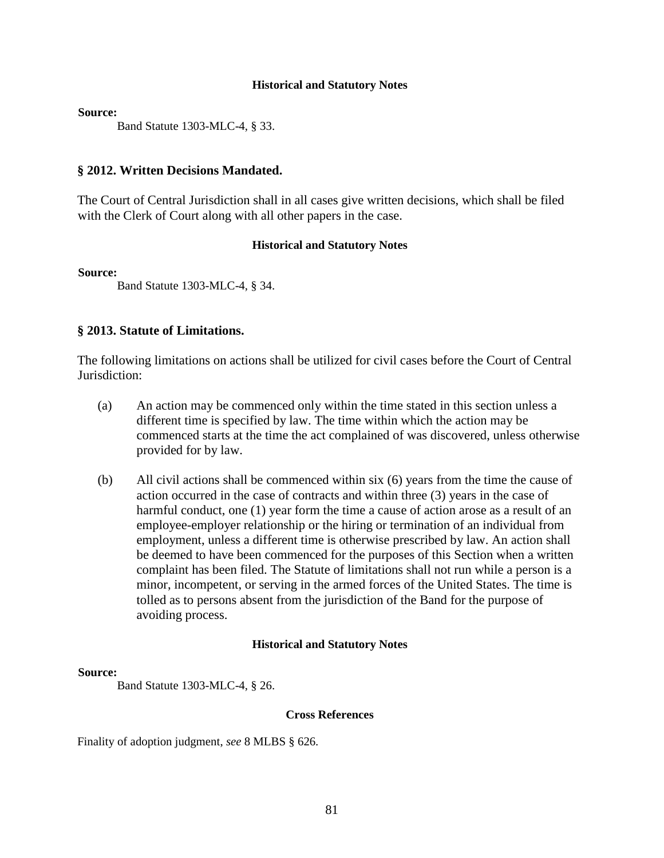**Source:**

Band Statute 1303-MLC-4, § 33.

## **§ 2012. Written Decisions Mandated.**

The Court of Central Jurisdiction shall in all cases give written decisions, which shall be filed with the Clerk of Court along with all other papers in the case.

### **Historical and Statutory Notes**

**Source:**

Band Statute 1303-MLC-4, § 34.

# **§ 2013. Statute of Limitations.**

The following limitations on actions shall be utilized for civil cases before the Court of Central Jurisdiction:

- (a) An action may be commenced only within the time stated in this section unless a different time is specified by law. The time within which the action may be commenced starts at the time the act complained of was discovered, unless otherwise provided for by law.
- (b) All civil actions shall be commenced within six (6) years from the time the cause of action occurred in the case of contracts and within three (3) years in the case of harmful conduct, one (1) year form the time a cause of action arose as a result of an employee-employer relationship or the hiring or termination of an individual from employment, unless a different time is otherwise prescribed by law. An action shall be deemed to have been commenced for the purposes of this Section when a written complaint has been filed. The Statute of limitations shall not run while a person is a minor, incompetent, or serving in the armed forces of the United States. The time is tolled as to persons absent from the jurisdiction of the Band for the purpose of avoiding process.

### **Historical and Statutory Notes**

### **Source:**

Band Statute 1303-MLC-4, § 26.

### **Cross References**

Finality of adoption judgment, *see* 8 MLBS § 626.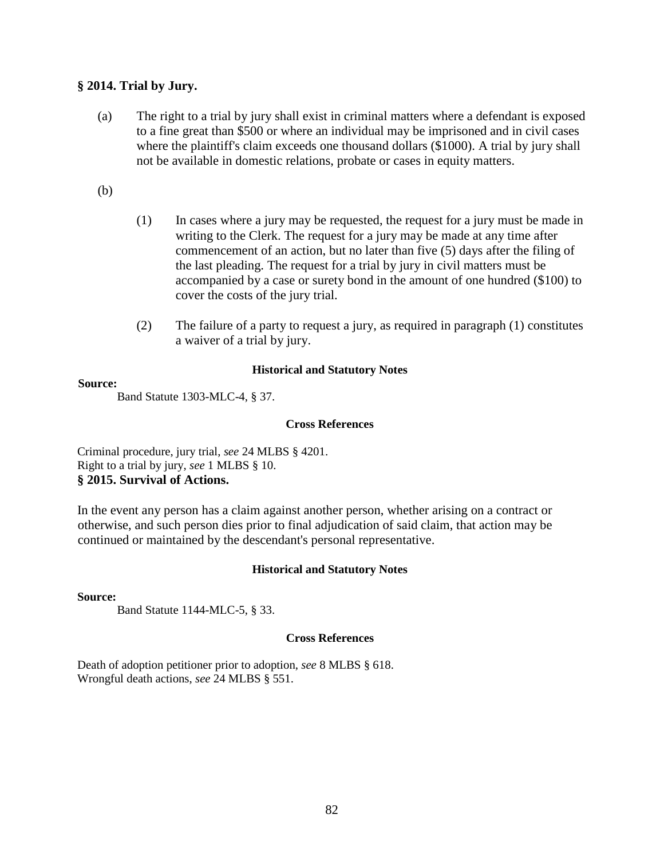# **§ 2014. Trial by Jury.**

(a) The right to a trial by jury shall exist in criminal matters where a defendant is exposed to a fine great than \$500 or where an individual may be imprisoned and in civil cases where the plaintiff's claim exceeds one thousand dollars (\$1000). A trial by jury shall not be available in domestic relations, probate or cases in equity matters.

(b)

- (1) In cases where a jury may be requested, the request for a jury must be made in writing to the Clerk. The request for a jury may be made at any time after commencement of an action, but no later than five (5) days after the filing of the last pleading. The request for a trial by jury in civil matters must be accompanied by a case or surety bond in the amount of one hundred (\$100) to cover the costs of the jury trial.
- (2) The failure of a party to request a jury, as required in paragraph (1) constitutes a waiver of a trial by jury.

## **Historical and Statutory Notes**

#### **Source:**

Band Statute 1303-MLC-4, § 37.

#### **Cross References**

Criminal procedure, jury trial, *see* 24 MLBS § 4201. Right to a trial by jury, *see* 1 MLBS § 10. **§ 2015. Survival of Actions.**

In the event any person has a claim against another person, whether arising on a contract or otherwise, and such person dies prior to final adjudication of said claim, that action may be continued or maintained by the descendant's personal representative.

### **Historical and Statutory Notes**

### **Source:**

Band Statute 1144-MLC-5, § 33.

### **Cross References**

Death of adoption petitioner prior to adoption, *see* 8 MLBS § 618. Wrongful death actions, *see* 24 MLBS § 551.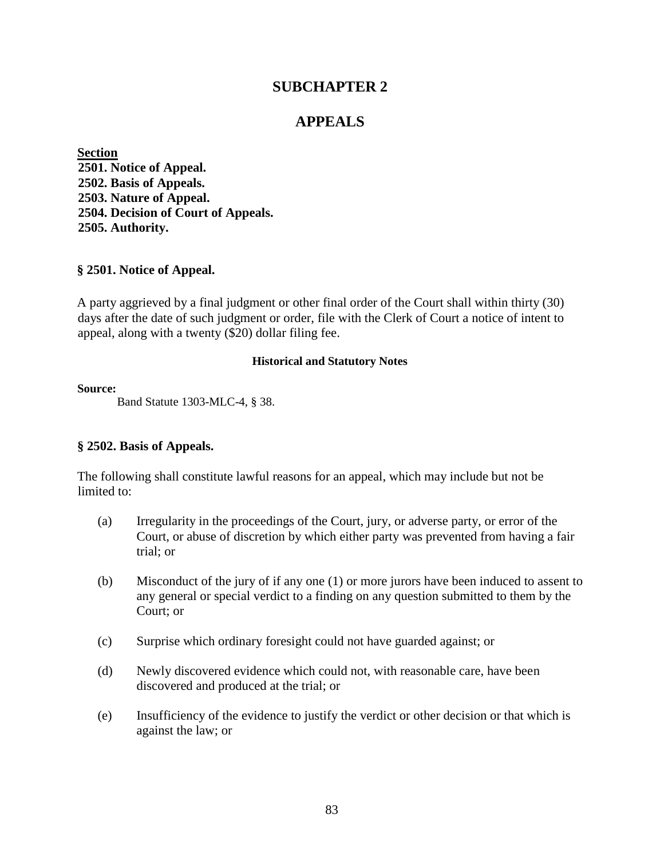# **SUBCHAPTER 2**

# **APPEALS**

**Section 2501. Notice of Appeal. 2502. Basis of Appeals. 2503. Nature of Appeal. 2504. Decision of Court of Appeals. 2505. Authority.** 

### **§ 2501. Notice of Appeal.**

A party aggrieved by a final judgment or other final order of the Court shall within thirty (30) days after the date of such judgment or order, file with the Clerk of Court a notice of intent to appeal, along with a twenty (\$20) dollar filing fee.

#### **Historical and Statutory Notes**

#### **Source:**

Band Statute 1303-MLC-4, § 38.

### **§ 2502. Basis of Appeals.**

The following shall constitute lawful reasons for an appeal, which may include but not be limited to:

- (a) Irregularity in the proceedings of the Court, jury, or adverse party, or error of the Court, or abuse of discretion by which either party was prevented from having a fair trial; or
- (b) Misconduct of the jury of if any one (1) or more jurors have been induced to assent to any general or special verdict to a finding on any question submitted to them by the Court; or
- (c) Surprise which ordinary foresight could not have guarded against; or
- (d) Newly discovered evidence which could not, with reasonable care, have been discovered and produced at the trial; or
- (e) Insufficiency of the evidence to justify the verdict or other decision or that which is against the law; or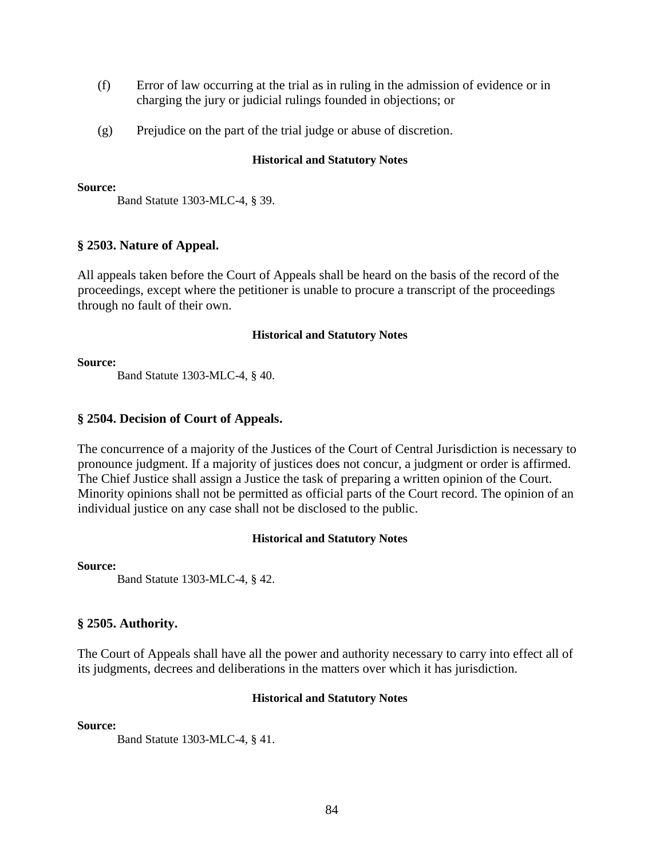- (f) Error of law occurring at the trial as in ruling in the admission of evidence or in charging the jury or judicial rulings founded in objections; or
- (g) Prejudice on the part of the trial judge or abuse of discretion.

#### **Source:**

Band Statute 1303-MLC-4, § 39.

# **§ 2503. Nature of Appeal.**

All appeals taken before the Court of Appeals shall be heard on the basis of the record of the proceedings, except where the petitioner is unable to procure a transcript of the proceedings through no fault of their own.

### **Historical and Statutory Notes**

#### **Source:**

Band Statute 1303-MLC-4, § 40.

## **§ 2504. Decision of Court of Appeals.**

The concurrence of a majority of the Justices of the Court of Central Jurisdiction is necessary to pronounce judgment. If a majority of justices does not concur, a judgment or order is affirmed. The Chief Justice shall assign a Justice the task of preparing a written opinion of the Court. Minority opinions shall not be permitted as official parts of the Court record. The opinion of an individual justice on any case shall not be disclosed to the public.

### **Historical and Statutory Notes**

### **Source:**

Band Statute 1303-MLC-4, § 42.

# **§ 2505. Authority.**

The Court of Appeals shall have all the power and authority necessary to carry into effect all of its judgments, decrees and deliberations in the matters over which it has jurisdiction.

### **Historical and Statutory Notes**

**Source:**

Band Statute 1303-MLC-4, § 41.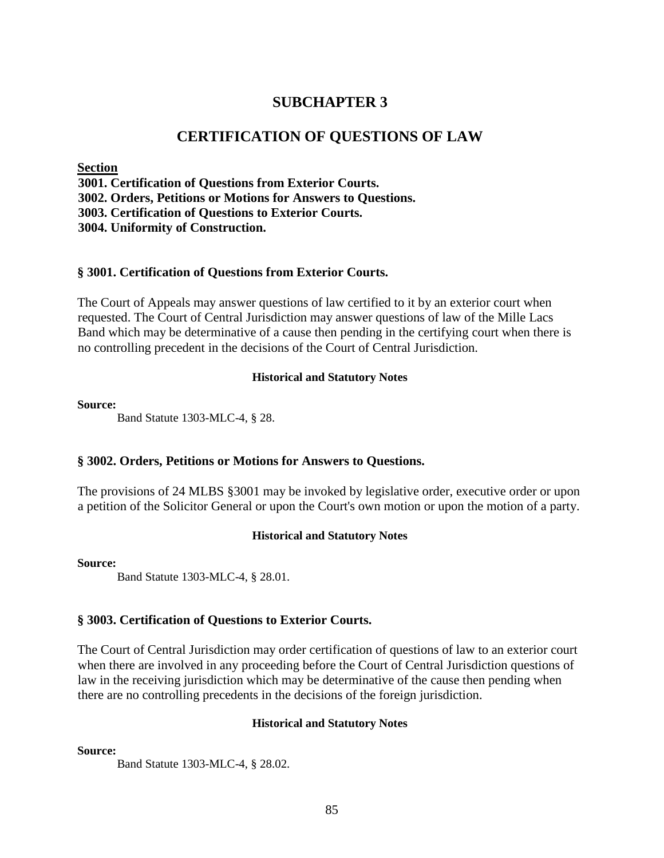# **SUBCHAPTER 3**

# **CERTIFICATION OF QUESTIONS OF LAW**

**Section** 

**3001. Certification of Questions from Exterior Courts.** 

**3002. Orders, Petitions or Motions for Answers to Questions.** 

**3003. Certification of Questions to Exterior Courts.** 

**3004. Uniformity of Construction.** 

# **§ 3001. Certification of Questions from Exterior Courts.**

The Court of Appeals may answer questions of law certified to it by an exterior court when requested. The Court of Central Jurisdiction may answer questions of law of the Mille Lacs Band which may be determinative of a cause then pending in the certifying court when there is no controlling precedent in the decisions of the Court of Central Jurisdiction.

## **Historical and Statutory Notes**

## **Source:**

Band Statute 1303-MLC-4, § 28.

# **§ 3002. Orders, Petitions or Motions for Answers to Questions.**

The provisions of 24 MLBS §3001 may be invoked by legislative order, executive order or upon a petition of the Solicitor General or upon the Court's own motion or upon the motion of a party.

# **Historical and Statutory Notes**

### **Source:**

Band Statute 1303-MLC-4, § 28.01.

# **§ 3003. Certification of Questions to Exterior Courts.**

The Court of Central Jurisdiction may order certification of questions of law to an exterior court when there are involved in any proceeding before the Court of Central Jurisdiction questions of law in the receiving jurisdiction which may be determinative of the cause then pending when there are no controlling precedents in the decisions of the foreign jurisdiction.

# **Historical and Statutory Notes**

**Source:**

Band Statute 1303-MLC-4, § 28.02.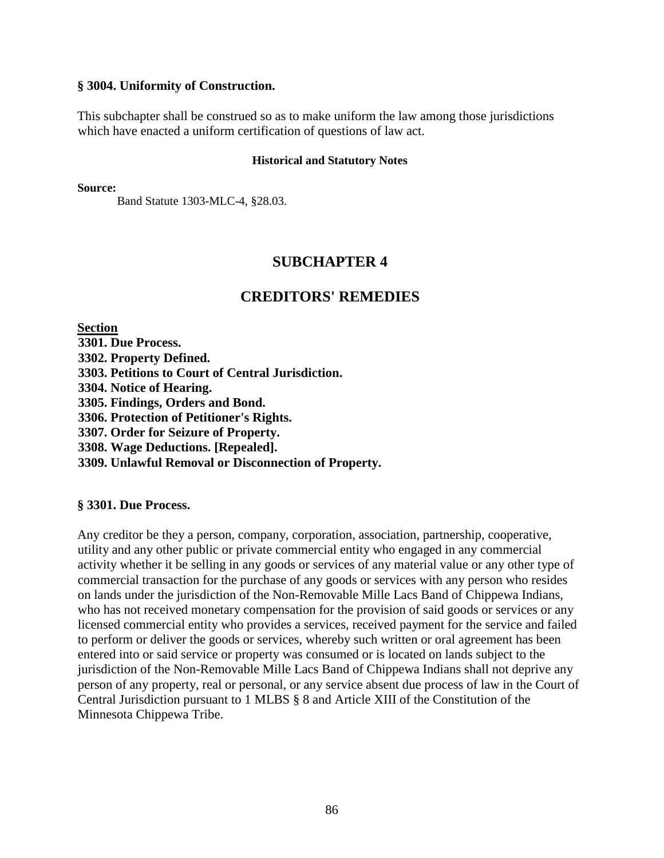## **§ 3004. Uniformity of Construction.**

This subchapter shall be construed so as to make uniform the law among those jurisdictions which have enacted a uniform certification of questions of law act.

#### **Historical and Statutory Notes**

**Source:**

Band Statute 1303-MLC-4, §28.03.

# **SUBCHAPTER 4**

# **CREDITORS' REMEDIES**

**Section** 

**3301. Due Process. 3302. Property Defined. 3303. Petitions to Court of Central Jurisdiction. 3304. Notice of Hearing. 3305. Findings, Orders and Bond. 3306. Protection of Petitioner's Rights. 3307. Order for Seizure of Property. 3308. Wage Deductions. [Repealed]. 3309. Unlawful Removal or Disconnection of Property.** 

## **§ 3301. Due Process.**

Any creditor be they a person, company, corporation, association, partnership, cooperative, utility and any other public or private commercial entity who engaged in any commercial activity whether it be selling in any goods or services of any material value or any other type of commercial transaction for the purchase of any goods or services with any person who resides on lands under the jurisdiction of the Non-Removable Mille Lacs Band of Chippewa Indians, who has not received monetary compensation for the provision of said goods or services or any licensed commercial entity who provides a services, received payment for the service and failed to perform or deliver the goods or services, whereby such written or oral agreement has been entered into or said service or property was consumed or is located on lands subject to the jurisdiction of the Non-Removable Mille Lacs Band of Chippewa Indians shall not deprive any person of any property, real or personal, or any service absent due process of law in the Court of Central Jurisdiction pursuant to 1 MLBS § 8 and Article XIII of the Constitution of the Minnesota Chippewa Tribe.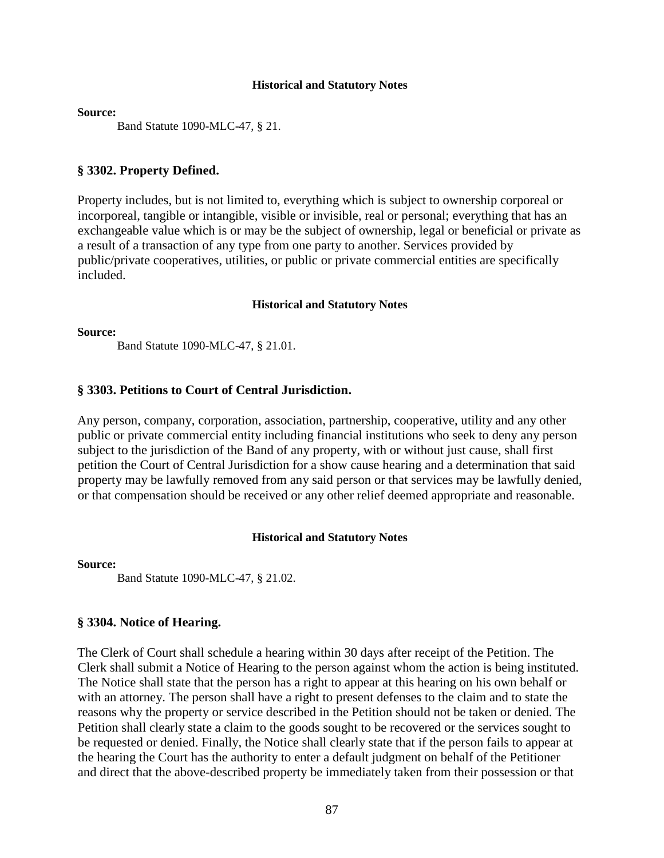**Source:** 

Band Statute 1090-MLC-47, § 21.

#### **§ 3302. Property Defined.**

Property includes, but is not limited to, everything which is subject to ownership corporeal or incorporeal, tangible or intangible, visible or invisible, real or personal; everything that has an exchangeable value which is or may be the subject of ownership, legal or beneficial or private as a result of a transaction of any type from one party to another. Services provided by public/private cooperatives, utilities, or public or private commercial entities are specifically included.

#### **Historical and Statutory Notes**

**Source:** 

Band Statute 1090-MLC-47, § 21.01.

#### **§ 3303. Petitions to Court of Central Jurisdiction.**

Any person, company, corporation, association, partnership, cooperative, utility and any other public or private commercial entity including financial institutions who seek to deny any person subject to the jurisdiction of the Band of any property, with or without just cause, shall first petition the Court of Central Jurisdiction for a show cause hearing and a determination that said property may be lawfully removed from any said person or that services may be lawfully denied, or that compensation should be received or any other relief deemed appropriate and reasonable.

#### **Historical and Statutory Notes**

**Source:** 

Band Statute 1090-MLC-47, § 21.02.

#### **§ 3304. Notice of Hearing.**

The Clerk of Court shall schedule a hearing within 30 days after receipt of the Petition. The Clerk shall submit a Notice of Hearing to the person against whom the action is being instituted. The Notice shall state that the person has a right to appear at this hearing on his own behalf or with an attorney. The person shall have a right to present defenses to the claim and to state the reasons why the property or service described in the Petition should not be taken or denied. The Petition shall clearly state a claim to the goods sought to be recovered or the services sought to be requested or denied. Finally, the Notice shall clearly state that if the person fails to appear at the hearing the Court has the authority to enter a default judgment on behalf of the Petitioner and direct that the above-described property be immediately taken from their possession or that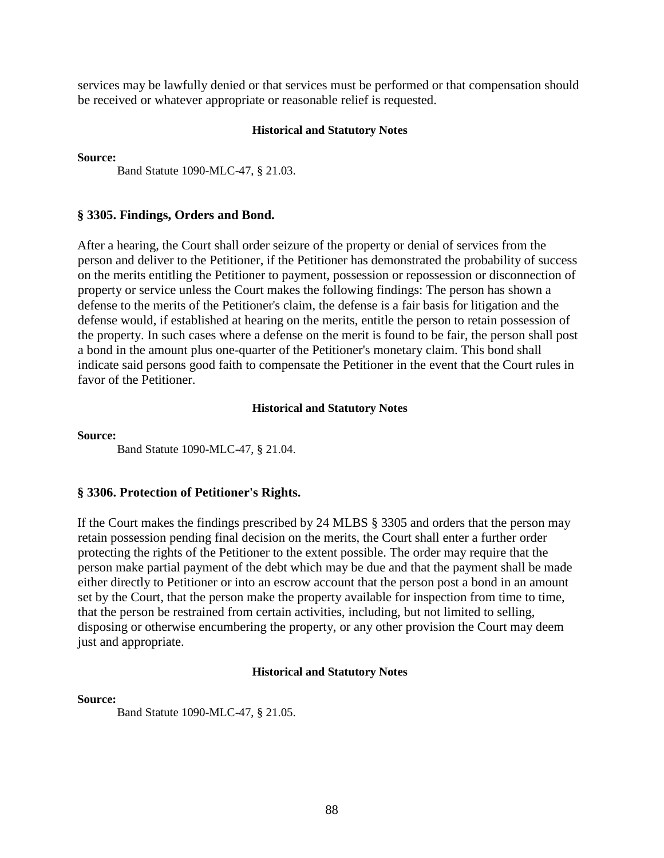services may be lawfully denied or that services must be performed or that compensation should be received or whatever appropriate or reasonable relief is requested.

#### **Historical and Statutory Notes**

**Source:** 

Band Statute 1090-MLC-47, § 21.03.

## **§ 3305. Findings, Orders and Bond.**

After a hearing, the Court shall order seizure of the property or denial of services from the person and deliver to the Petitioner, if the Petitioner has demonstrated the probability of success on the merits entitling the Petitioner to payment, possession or repossession or disconnection of property or service unless the Court makes the following findings: The person has shown a defense to the merits of the Petitioner's claim, the defense is a fair basis for litigation and the defense would, if established at hearing on the merits, entitle the person to retain possession of the property. In such cases where a defense on the merit is found to be fair, the person shall post a bond in the amount plus one-quarter of the Petitioner's monetary claim. This bond shall indicate said persons good faith to compensate the Petitioner in the event that the Court rules in favor of the Petitioner.

### **Historical and Statutory Notes**

**Source:** 

Band Statute 1090-MLC-47, § 21.04.

# **§ 3306. Protection of Petitioner's Rights.**

If the Court makes the findings prescribed by 24 MLBS § 3305 and orders that the person may retain possession pending final decision on the merits, the Court shall enter a further order protecting the rights of the Petitioner to the extent possible. The order may require that the person make partial payment of the debt which may be due and that the payment shall be made either directly to Petitioner or into an escrow account that the person post a bond in an amount set by the Court, that the person make the property available for inspection from time to time, that the person be restrained from certain activities, including, but not limited to selling, disposing or otherwise encumbering the property, or any other provision the Court may deem just and appropriate.

### **Historical and Statutory Notes**

#### **Source:**

Band Statute 1090-MLC-47, § 21.05.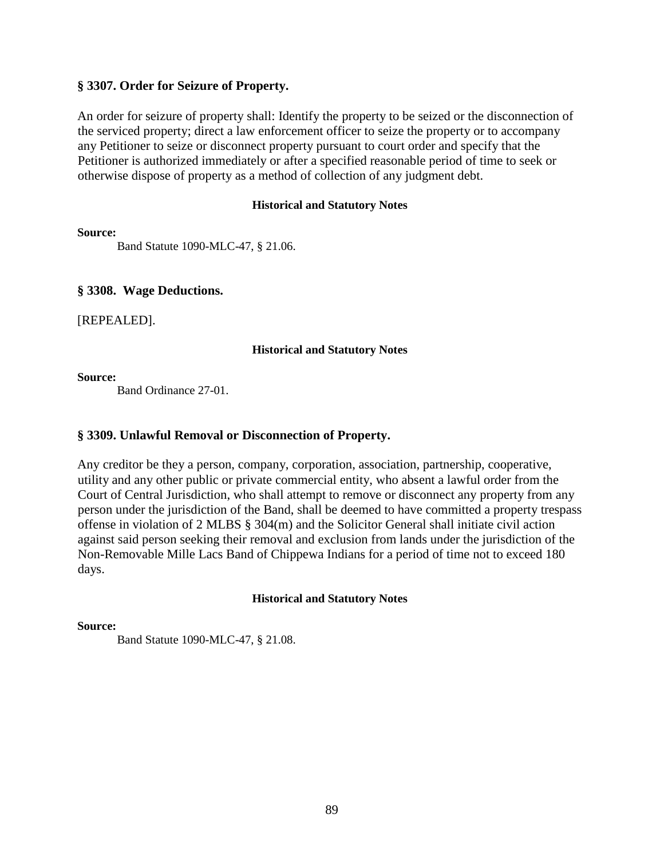# **§ 3307. Order for Seizure of Property.**

An order for seizure of property shall: Identify the property to be seized or the disconnection of the serviced property; direct a law enforcement officer to seize the property or to accompany any Petitioner to seize or disconnect property pursuant to court order and specify that the Petitioner is authorized immediately or after a specified reasonable period of time to seek or otherwise dispose of property as a method of collection of any judgment debt.

## **Historical and Statutory Notes**

**Source:** 

Band Statute 1090-MLC-47, § 21.06.

# **§ 3308. Wage Deductions.**

[REPEALED].

# **Historical and Statutory Notes**

**Source:** 

Band Ordinance 27-01.

# **§ 3309. Unlawful Removal or Disconnection of Property.**

Any creditor be they a person, company, corporation, association, partnership, cooperative, utility and any other public or private commercial entity, who absent a lawful order from the Court of Central Jurisdiction, who shall attempt to remove or disconnect any property from any person under the jurisdiction of the Band, shall be deemed to have committed a property trespass offense in violation of 2 MLBS § 304(m) and the Solicitor General shall initiate civil action against said person seeking their removal and exclusion from lands under the jurisdiction of the Non-Removable Mille Lacs Band of Chippewa Indians for a period of time not to exceed 180 days.

# **Historical and Statutory Notes**

### **Source:**

Band Statute 1090-MLC-47, § 21.08.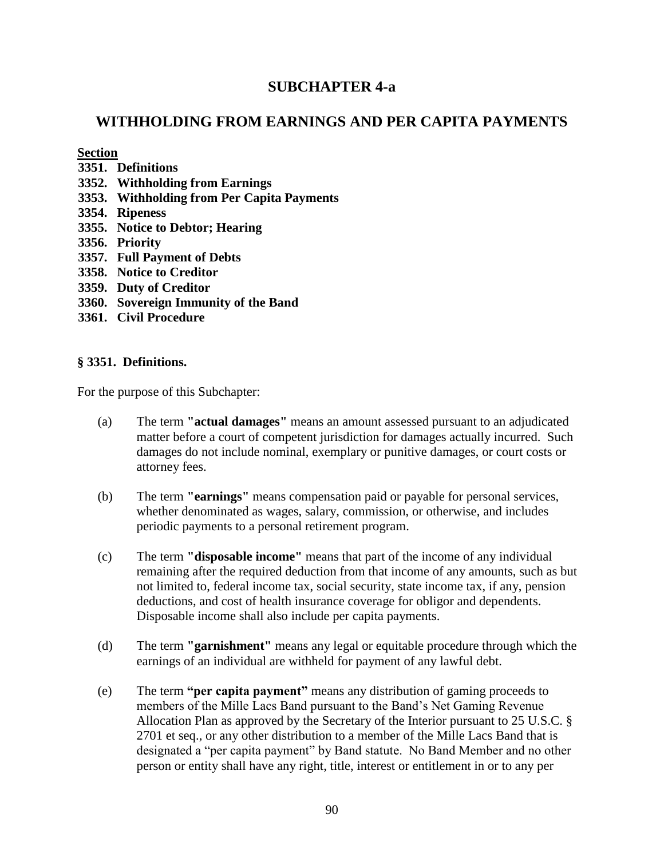# **SUBCHAPTER 4-a**

# **WITHHOLDING FROM EARNINGS AND PER CAPITA PAYMENTS**

## **Section**

- **3351. Definitions**
- **3352. Withholding from Earnings**
- **3353. Withholding from Per Capita Payments**
- **3354. Ripeness**
- **3355. Notice to Debtor; Hearing**
- **3356. Priority**
- **3357. Full Payment of Debts**
- **3358. Notice to Creditor**
- **3359. Duty of Creditor**
- **3360. Sovereign Immunity of the Band**
- **3361. Civil Procedure**

# **§ 3351. Definitions.**

For the purpose of this Subchapter:

- (a) The term **"actual damages"** means an amount assessed pursuant to an adjudicated matter before a court of competent jurisdiction for damages actually incurred. Such damages do not include nominal, exemplary or punitive damages, or court costs or attorney fees.
- (b) The term **"earnings"** means compensation paid or payable for personal services, whether denominated as wages, salary, commission, or otherwise, and includes periodic payments to a personal retirement program.
- (c) The term **"disposable income"** means that part of the income of any individual remaining after the required deduction from that income of any amounts, such as but not limited to, federal income tax, social security, state income tax, if any, pension deductions, and cost of health insurance coverage for obligor and dependents. Disposable income shall also include per capita payments.
- (d) The term **"garnishment"** means any legal or equitable procedure through which the earnings of an individual are withheld for payment of any lawful debt.
- (e) The term **"per capita payment"** means any distribution of gaming proceeds to members of the Mille Lacs Band pursuant to the Band's Net Gaming Revenue Allocation Plan as approved by the Secretary of the Interior pursuant to 25 U.S.C. § 2701 et seq., or any other distribution to a member of the Mille Lacs Band that is designated a "per capita payment" by Band statute. No Band Member and no other person or entity shall have any right, title, interest or entitlement in or to any per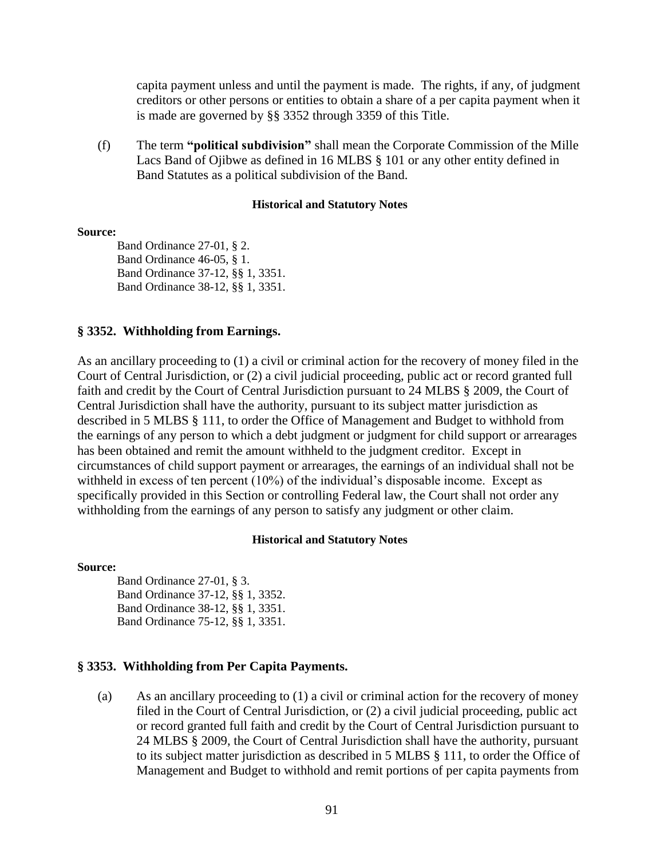capita payment unless and until the payment is made. The rights, if any, of judgment creditors or other persons or entities to obtain a share of a per capita payment when it is made are governed by §§ 3352 through 3359 of this Title.

(f) The term **"political subdivision"** shall mean the Corporate Commission of the Mille Lacs Band of Ojibwe as defined in 16 MLBS § 101 or any other entity defined in Band Statutes as a political subdivision of the Band.

#### **Historical and Statutory Notes**

#### **Source:**

Band Ordinance 27-01, § 2. Band Ordinance 46-05, § 1. Band Ordinance 37-12, §§ 1, 3351. Band Ordinance 38-12, §§ 1, 3351.

## **§ 3352. Withholding from Earnings.**

As an ancillary proceeding to (1) a civil or criminal action for the recovery of money filed in the Court of Central Jurisdiction, or (2) a civil judicial proceeding, public act or record granted full faith and credit by the Court of Central Jurisdiction pursuant to 24 MLBS § 2009, the Court of Central Jurisdiction shall have the authority, pursuant to its subject matter jurisdiction as described in 5 MLBS § 111, to order the Office of Management and Budget to withhold from the earnings of any person to which a debt judgment or judgment for child support or arrearages has been obtained and remit the amount withheld to the judgment creditor. Except in circumstances of child support payment or arrearages, the earnings of an individual shall not be withheld in excess of ten percent (10%) of the individual's disposable income. Except as specifically provided in this Section or controlling Federal law, the Court shall not order any withholding from the earnings of any person to satisfy any judgment or other claim.

### **Historical and Statutory Notes**

### **Source:**

Band Ordinance 27-01, § 3. Band Ordinance 37-12, §§ 1, 3352. Band Ordinance 38-12, §§ 1, 3351. Band Ordinance 75-12, §§ 1, 3351.

### **§ 3353. Withholding from Per Capita Payments.**

(a) As an ancillary proceeding to (1) a civil or criminal action for the recovery of money filed in the Court of Central Jurisdiction, or (2) a civil judicial proceeding, public act or record granted full faith and credit by the Court of Central Jurisdiction pursuant to 24 MLBS § 2009, the Court of Central Jurisdiction shall have the authority, pursuant to its subject matter jurisdiction as described in 5 MLBS § 111, to order the Office of Management and Budget to withhold and remit portions of per capita payments from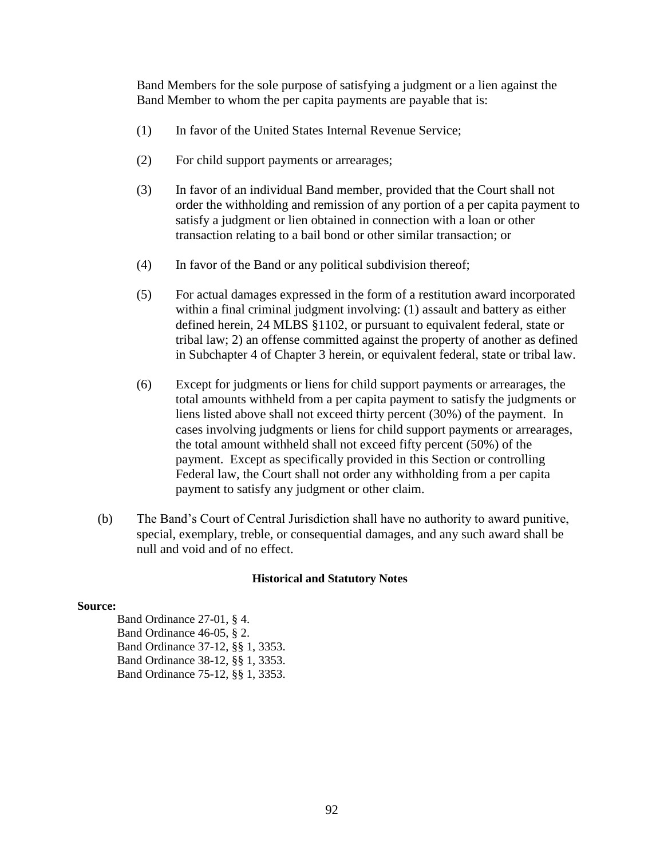Band Members for the sole purpose of satisfying a judgment or a lien against the Band Member to whom the per capita payments are payable that is:

- (1) In favor of the United States Internal Revenue Service;
- (2) For child support payments or arrearages;
- (3) In favor of an individual Band member, provided that the Court shall not order the withholding and remission of any portion of a per capita payment to satisfy a judgment or lien obtained in connection with a loan or other transaction relating to a bail bond or other similar transaction; or
- (4) In favor of the Band or any political subdivision thereof;
- (5) For actual damages expressed in the form of a restitution award incorporated within a final criminal judgment involving: (1) assault and battery as either defined herein, 24 MLBS §1102, or pursuant to equivalent federal, state or tribal law; 2) an offense committed against the property of another as defined in Subchapter 4 of Chapter 3 herein, or equivalent federal, state or tribal law.
- (6) Except for judgments or liens for child support payments or arrearages, the total amounts withheld from a per capita payment to satisfy the judgments or liens listed above shall not exceed thirty percent (30%) of the payment. In cases involving judgments or liens for child support payments or arrearages, the total amount withheld shall not exceed fifty percent (50%) of the payment. Except as specifically provided in this Section or controlling Federal law, the Court shall not order any withholding from a per capita payment to satisfy any judgment or other claim.
- (b) The Band's Court of Central Jurisdiction shall have no authority to award punitive, special, exemplary, treble, or consequential damages, and any such award shall be null and void and of no effect.

### **Historical and Statutory Notes**

### **Source:**

Band Ordinance 27-01, § 4. Band Ordinance 46-05, § 2. Band Ordinance 37-12, §§ 1, 3353. Band Ordinance 38-12, §§ 1, 3353. Band Ordinance 75-12, §§ 1, 3353.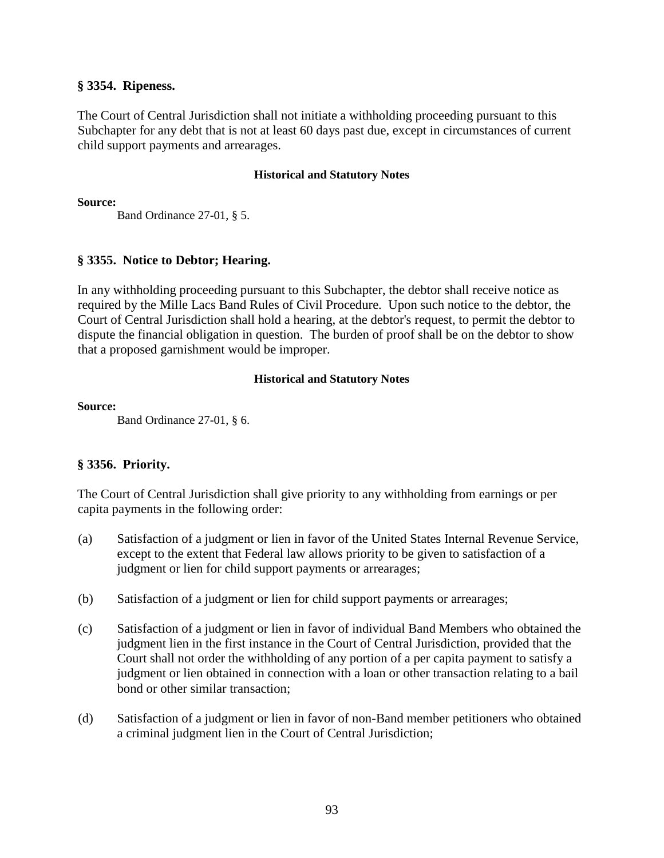# **§ 3354. Ripeness.**

The Court of Central Jurisdiction shall not initiate a withholding proceeding pursuant to this Subchapter for any debt that is not at least 60 days past due, except in circumstances of current child support payments and arrearages.

## **Historical and Statutory Notes**

**Source:**

Band Ordinance 27-01, § 5.

# **§ 3355. Notice to Debtor; Hearing.**

In any withholding proceeding pursuant to this Subchapter, the debtor shall receive notice as required by the Mille Lacs Band Rules of Civil Procedure. Upon such notice to the debtor, the Court of Central Jurisdiction shall hold a hearing, at the debtor's request, to permit the debtor to dispute the financial obligation in question. The burden of proof shall be on the debtor to show that a proposed garnishment would be improper.

# **Historical and Statutory Notes**

## **Source:**

Band Ordinance 27-01, § 6.

# **§ 3356. Priority.**

The Court of Central Jurisdiction shall give priority to any withholding from earnings or per capita payments in the following order:

- (a) Satisfaction of a judgment or lien in favor of the United States Internal Revenue Service, except to the extent that Federal law allows priority to be given to satisfaction of a judgment or lien for child support payments or arrearages;
- (b) Satisfaction of a judgment or lien for child support payments or arrearages;
- (c) Satisfaction of a judgment or lien in favor of individual Band Members who obtained the judgment lien in the first instance in the Court of Central Jurisdiction, provided that the Court shall not order the withholding of any portion of a per capita payment to satisfy a judgment or lien obtained in connection with a loan or other transaction relating to a bail bond or other similar transaction;
- (d) Satisfaction of a judgment or lien in favor of non-Band member petitioners who obtained a criminal judgment lien in the Court of Central Jurisdiction;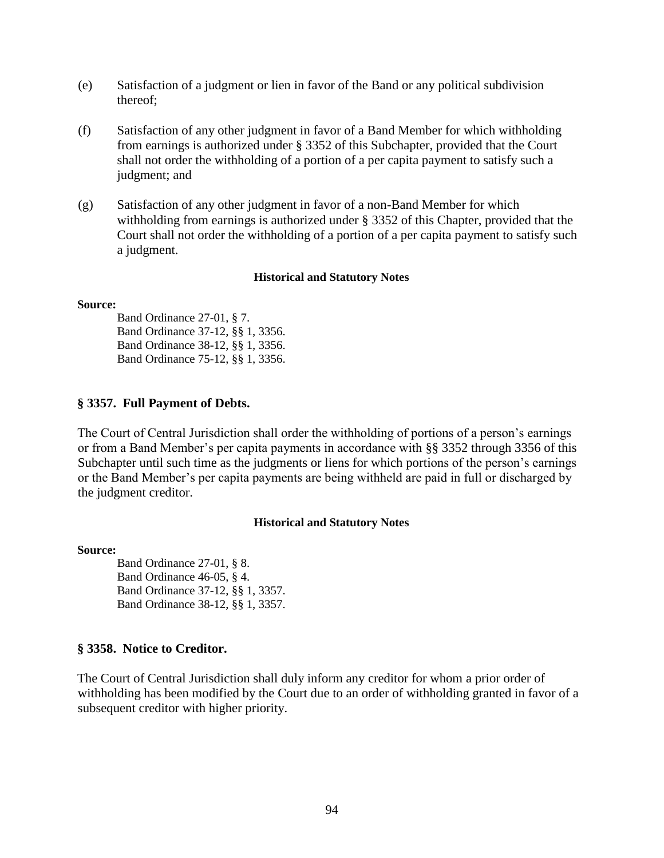- (e) Satisfaction of a judgment or lien in favor of the Band or any political subdivision thereof;
- (f) Satisfaction of any other judgment in favor of a Band Member for which withholding from earnings is authorized under § 3352 of this Subchapter, provided that the Court shall not order the withholding of a portion of a per capita payment to satisfy such a judgment; and
- (g) Satisfaction of any other judgment in favor of a non-Band Member for which withholding from earnings is authorized under § 3352 of this Chapter, provided that the Court shall not order the withholding of a portion of a per capita payment to satisfy such a judgment.

#### **Source:**

Band Ordinance 27-01, § 7. Band Ordinance 37-12, §§ 1, 3356. Band Ordinance 38-12, §§ 1, 3356. Band Ordinance 75-12, §§ 1, 3356.

### **§ 3357. Full Payment of Debts.**

The Court of Central Jurisdiction shall order the withholding of portions of a person's earnings or from a Band Member's per capita payments in accordance with §§ 3352 through 3356 of this Subchapter until such time as the judgments or liens for which portions of the person's earnings or the Band Member's per capita payments are being withheld are paid in full or discharged by the judgment creditor.

#### **Historical and Statutory Notes**

#### **Source:**

Band Ordinance 27-01, § 8. Band Ordinance 46-05, § 4. Band Ordinance 37-12, §§ 1, 3357. Band Ordinance 38-12, §§ 1, 3357.

# **§ 3358. Notice to Creditor.**

The Court of Central Jurisdiction shall duly inform any creditor for whom a prior order of withholding has been modified by the Court due to an order of withholding granted in favor of a subsequent creditor with higher priority.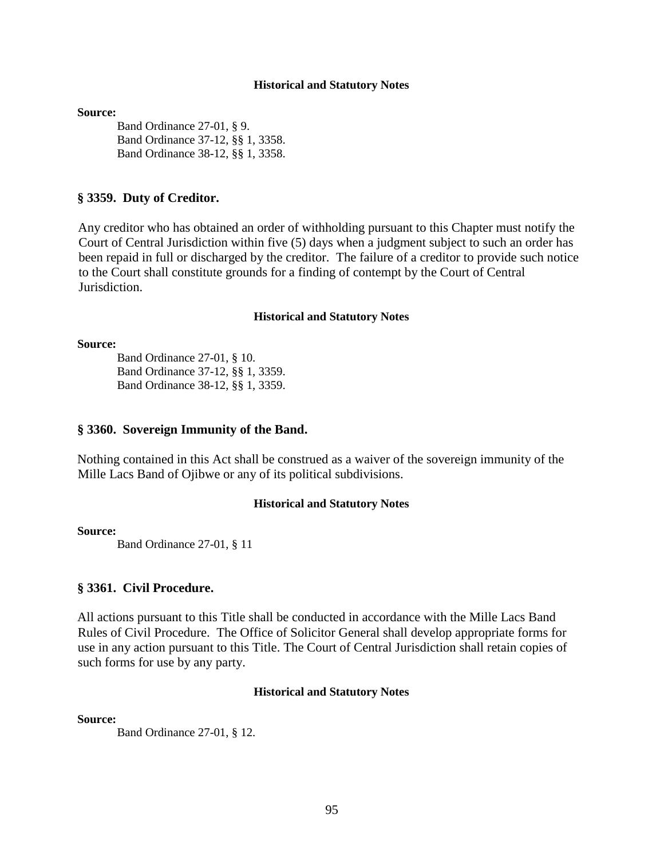#### **Source:**

Band Ordinance 27-01, § 9. Band Ordinance 37-12, §§ 1, 3358. Band Ordinance 38-12, §§ 1, 3358.

#### **§ 3359. Duty of Creditor.**

Any creditor who has obtained an order of withholding pursuant to this Chapter must notify the Court of Central Jurisdiction within five (5) days when a judgment subject to such an order has been repaid in full or discharged by the creditor. The failure of a creditor to provide such notice to the Court shall constitute grounds for a finding of contempt by the Court of Central Jurisdiction.

#### **Historical and Statutory Notes**

#### **Source:**

Band Ordinance 27-01, § 10. Band Ordinance 37-12, §§ 1, 3359. Band Ordinance 38-12, §§ 1, 3359.

#### **§ 3360. Sovereign Immunity of the Band.**

Nothing contained in this Act shall be construed as a waiver of the sovereign immunity of the Mille Lacs Band of Ojibwe or any of its political subdivisions.

#### **Historical and Statutory Notes**

### **Source:**

Band Ordinance 27-01, § 11

#### **§ 3361. Civil Procedure.**

All actions pursuant to this Title shall be conducted in accordance with the Mille Lacs Band Rules of Civil Procedure. The Office of Solicitor General shall develop appropriate forms for use in any action pursuant to this Title. The Court of Central Jurisdiction shall retain copies of such forms for use by any party.

#### **Historical and Statutory Notes**

**Source:**

Band Ordinance 27-01, § 12.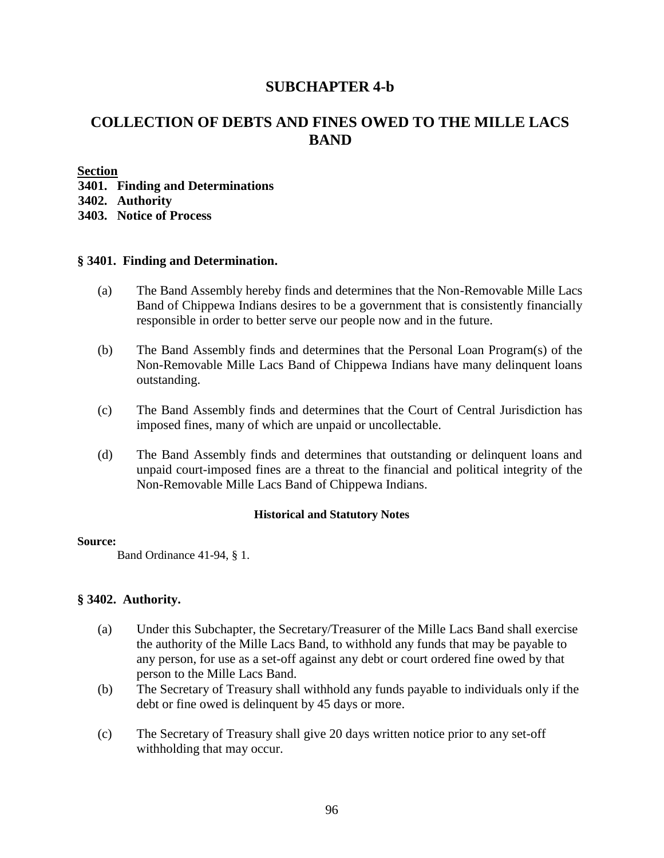# **SUBCHAPTER 4-b**

# **COLLECTION OF DEBTS AND FINES OWED TO THE MILLE LACS BAND**

**Section**

**3401. Finding and Determinations** 

**3402. Authority** 

**3403. Notice of Process** 

## **§ 3401. Finding and Determination.**

- (a) The Band Assembly hereby finds and determines that the Non-Removable Mille Lacs Band of Chippewa Indians desires to be a government that is consistently financially responsible in order to better serve our people now and in the future.
- (b) The Band Assembly finds and determines that the Personal Loan Program(s) of the Non-Removable Mille Lacs Band of Chippewa Indians have many delinquent loans outstanding.
- (c) The Band Assembly finds and determines that the Court of Central Jurisdiction has imposed fines, many of which are unpaid or uncollectable.
- (d) The Band Assembly finds and determines that outstanding or delinquent loans and unpaid court-imposed fines are a threat to the financial and political integrity of the Non-Removable Mille Lacs Band of Chippewa Indians.

### **Historical and Statutory Notes**

### **Source:**

Band Ordinance 41-94, § 1.

# **§ 3402. Authority.**

- (a) Under this Subchapter, the Secretary/Treasurer of the Mille Lacs Band shall exercise the authority of the Mille Lacs Band, to withhold any funds that may be payable to any person, for use as a set-off against any debt or court ordered fine owed by that person to the Mille Lacs Band.
- (b) The Secretary of Treasury shall withhold any funds payable to individuals only if the debt or fine owed is delinquent by 45 days or more.
- (c) The Secretary of Treasury shall give 20 days written notice prior to any set-off withholding that may occur.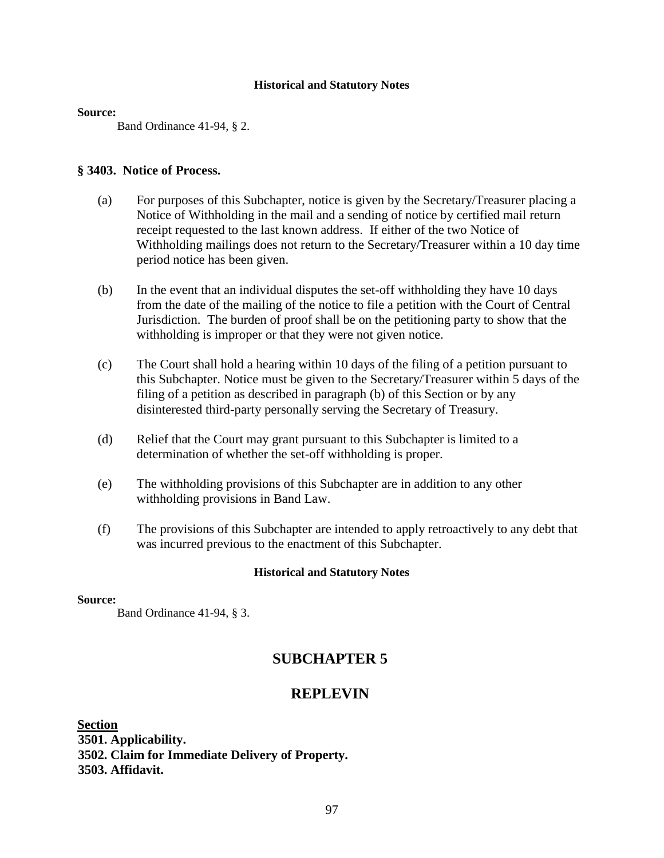#### **Source:**

Band Ordinance 41-94, § 2.

## **§ 3403. Notice of Process.**

- (a) For purposes of this Subchapter, notice is given by the Secretary/Treasurer placing a Notice of Withholding in the mail and a sending of notice by certified mail return receipt requested to the last known address. If either of the two Notice of Withholding mailings does not return to the Secretary/Treasurer within a 10 day time period notice has been given.
- (b) In the event that an individual disputes the set-off withholding they have 10 days from the date of the mailing of the notice to file a petition with the Court of Central Jurisdiction. The burden of proof shall be on the petitioning party to show that the withholding is improper or that they were not given notice.
- (c) The Court shall hold a hearing within 10 days of the filing of a petition pursuant to this Subchapter. Notice must be given to the Secretary/Treasurer within 5 days of the filing of a petition as described in paragraph (b) of this Section or by any disinterested third-party personally serving the Secretary of Treasury.
- (d) Relief that the Court may grant pursuant to this Subchapter is limited to a determination of whether the set-off withholding is proper.
- (e) The withholding provisions of this Subchapter are in addition to any other withholding provisions in Band Law.
- (f) The provisions of this Subchapter are intended to apply retroactively to any debt that was incurred previous to the enactment of this Subchapter.

### **Historical and Statutory Notes**

## **Source:**

Band Ordinance 41-94, § 3.

# **SUBCHAPTER 5**

# **REPLEVIN**

**Section 3501. Applicability. 3502. Claim for Immediate Delivery of Property. 3503. Affidavit.**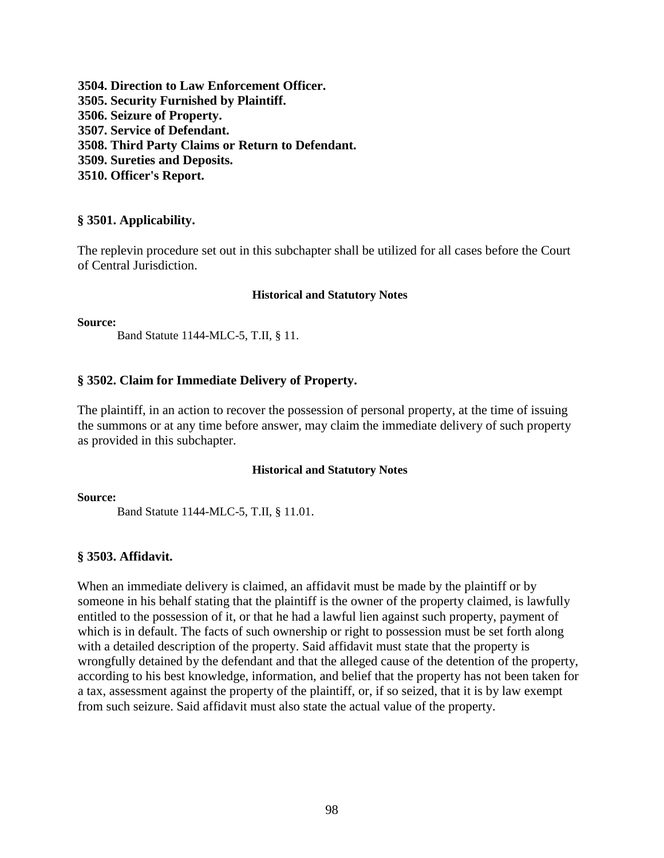**3504. Direction to Law Enforcement Officer. 3505. Security Furnished by Plaintiff. 3506. Seizure of Property. 3507. Service of Defendant. 3508. Third Party Claims or Return to Defendant. 3509. Sureties and Deposits. 3510. Officer's Report.** 

# **§ 3501. Applicability.**

The replevin procedure set out in this subchapter shall be utilized for all cases before the Court of Central Jurisdiction.

#### **Historical and Statutory Notes**

**Source:** 

Band Statute 1144-MLC-5, T.II, § 11.

## **§ 3502. Claim for Immediate Delivery of Property.**

The plaintiff, in an action to recover the possession of personal property, at the time of issuing the summons or at any time before answer, may claim the immediate delivery of such property as provided in this subchapter.

#### **Historical and Statutory Notes**

**Source:** 

Band Statute 1144-MLC-5, T.II, § 11.01.

# **§ 3503. Affidavit.**

When an immediate delivery is claimed, an affidavit must be made by the plaintiff or by someone in his behalf stating that the plaintiff is the owner of the property claimed, is lawfully entitled to the possession of it, or that he had a lawful lien against such property, payment of which is in default. The facts of such ownership or right to possession must be set forth along with a detailed description of the property. Said affidavit must state that the property is wrongfully detained by the defendant and that the alleged cause of the detention of the property, according to his best knowledge, information, and belief that the property has not been taken for a tax, assessment against the property of the plaintiff, or, if so seized, that it is by law exempt from such seizure. Said affidavit must also state the actual value of the property.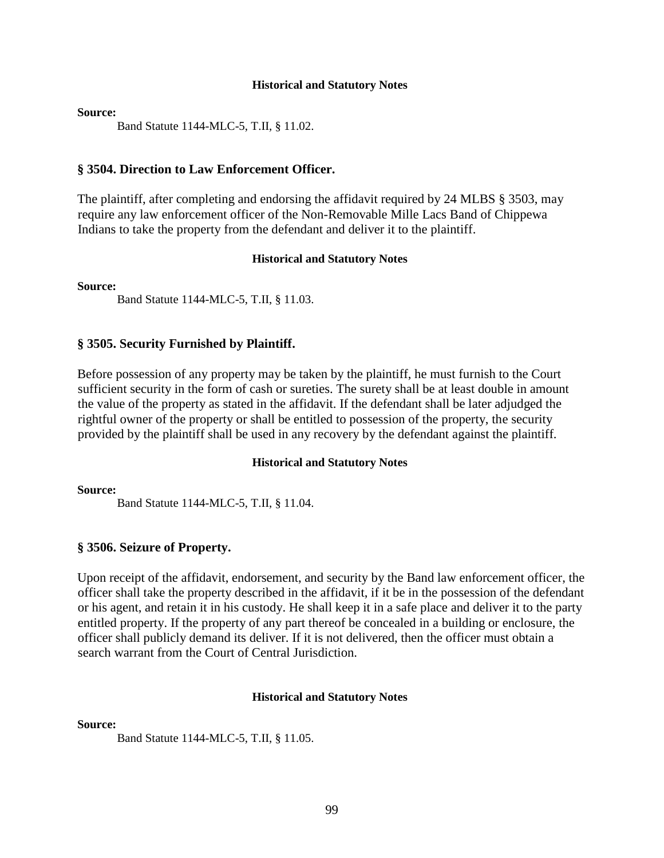#### **Source:**

Band Statute 1144-MLC-5, T.II, § 11.02.

## **§ 3504. Direction to Law Enforcement Officer.**

The plaintiff, after completing and endorsing the affidavit required by 24 MLBS § 3503, may require any law enforcement officer of the Non-Removable Mille Lacs Band of Chippewa Indians to take the property from the defendant and deliver it to the plaintiff.

#### **Historical and Statutory Notes**

**Source:** 

Band Statute 1144-MLC-5, T.II, § 11.03.

#### **§ 3505. Security Furnished by Plaintiff.**

Before possession of any property may be taken by the plaintiff, he must furnish to the Court sufficient security in the form of cash or sureties. The surety shall be at least double in amount the value of the property as stated in the affidavit. If the defendant shall be later adjudged the rightful owner of the property or shall be entitled to possession of the property, the security provided by the plaintiff shall be used in any recovery by the defendant against the plaintiff.

#### **Historical and Statutory Notes**

**Source:** 

Band Statute 1144-MLC-5, T.II, § 11.04.

### **§ 3506. Seizure of Property.**

Upon receipt of the affidavit, endorsement, and security by the Band law enforcement officer, the officer shall take the property described in the affidavit, if it be in the possession of the defendant or his agent, and retain it in his custody. He shall keep it in a safe place and deliver it to the party entitled property. If the property of any part thereof be concealed in a building or enclosure, the officer shall publicly demand its deliver. If it is not delivered, then the officer must obtain a search warrant from the Court of Central Jurisdiction.

#### **Historical and Statutory Notes**

#### **Source:**

Band Statute 1144-MLC-5, T.II, § 11.05.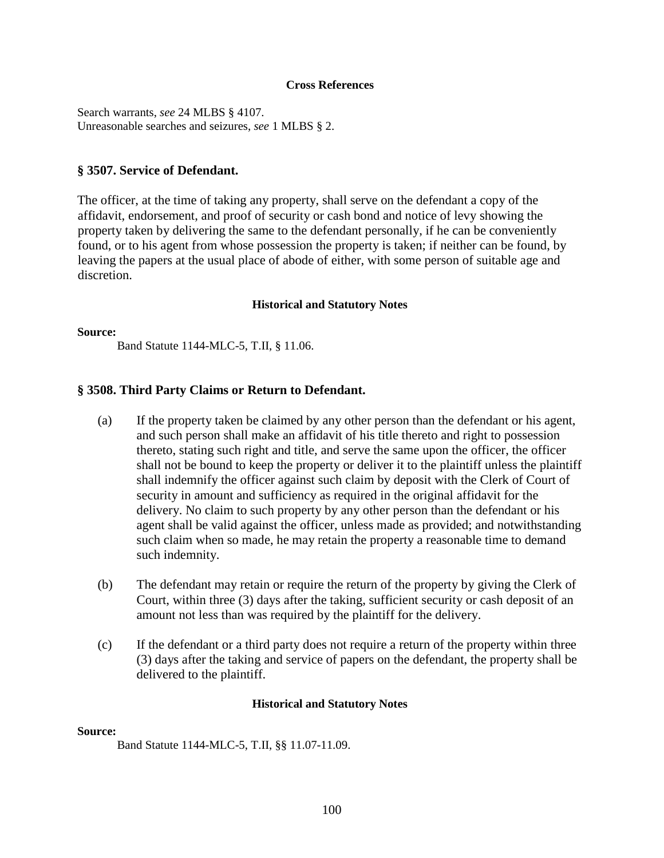#### **Cross References**

Search warrants, *see* 24 MLBS § 4107. Unreasonable searches and seizures, *see* 1 MLBS § 2.

## **§ 3507. Service of Defendant.**

The officer, at the time of taking any property, shall serve on the defendant a copy of the affidavit, endorsement, and proof of security or cash bond and notice of levy showing the property taken by delivering the same to the defendant personally, if he can be conveniently found, or to his agent from whose possession the property is taken; if neither can be found, by leaving the papers at the usual place of abode of either, with some person of suitable age and discretion.

### **Historical and Statutory Notes**

#### **Source:**

Band Statute 1144-MLC-5, T.II, § 11.06.

## **§ 3508. Third Party Claims or Return to Defendant.**

- (a) If the property taken be claimed by any other person than the defendant or his agent, and such person shall make an affidavit of his title thereto and right to possession thereto, stating such right and title, and serve the same upon the officer, the officer shall not be bound to keep the property or deliver it to the plaintiff unless the plaintiff shall indemnify the officer against such claim by deposit with the Clerk of Court of security in amount and sufficiency as required in the original affidavit for the delivery. No claim to such property by any other person than the defendant or his agent shall be valid against the officer, unless made as provided; and notwithstanding such claim when so made, he may retain the property a reasonable time to demand such indemnity.
- (b) The defendant may retain or require the return of the property by giving the Clerk of Court, within three (3) days after the taking, sufficient security or cash deposit of an amount not less than was required by the plaintiff for the delivery.
- (c) If the defendant or a third party does not require a return of the property within three (3) days after the taking and service of papers on the defendant, the property shall be delivered to the plaintiff.

### **Historical and Statutory Notes**

#### **Source:**

Band Statute 1144-MLC-5, T.II, §§ 11.07-11.09.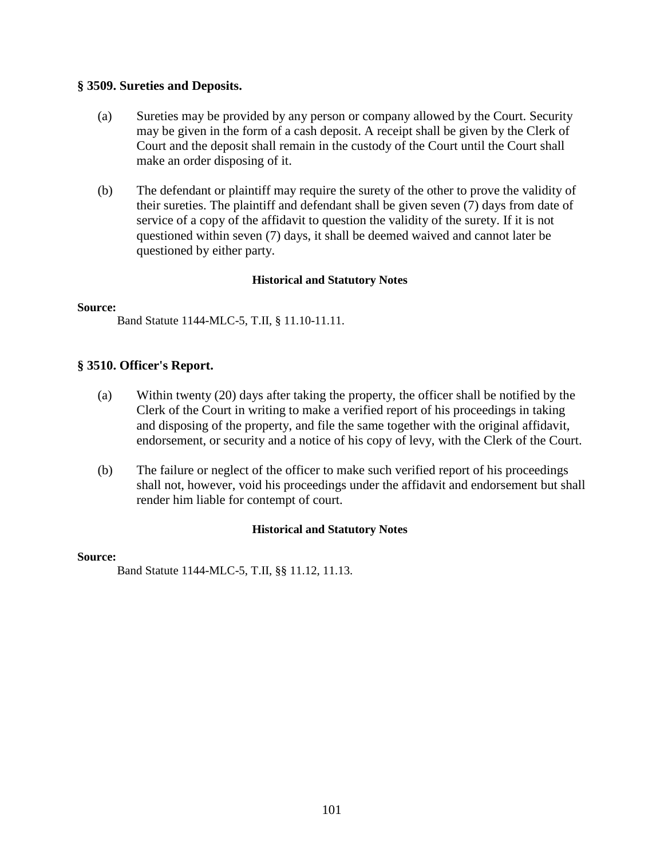# **§ 3509. Sureties and Deposits.**

- (a) Sureties may be provided by any person or company allowed by the Court. Security may be given in the form of a cash deposit. A receipt shall be given by the Clerk of Court and the deposit shall remain in the custody of the Court until the Court shall make an order disposing of it.
- (b) The defendant or plaintiff may require the surety of the other to prove the validity of their sureties. The plaintiff and defendant shall be given seven (7) days from date of service of a copy of the affidavit to question the validity of the surety. If it is not questioned within seven (7) days, it shall be deemed waived and cannot later be questioned by either party.

# **Historical and Statutory Notes**

### **Source:**

Band Statute 1144-MLC-5, T.II, § 11.10-11.11.

# **§ 3510. Officer's Report.**

- (a) Within twenty (20) days after taking the property, the officer shall be notified by the Clerk of the Court in writing to make a verified report of his proceedings in taking and disposing of the property, and file the same together with the original affidavit, endorsement, or security and a notice of his copy of levy, with the Clerk of the Court.
- (b) The failure or neglect of the officer to make such verified report of his proceedings shall not, however, void his proceedings under the affidavit and endorsement but shall render him liable for contempt of court.

# **Historical and Statutory Notes**

### **Source:**

Band Statute 1144-MLC-5, T.II, §§ 11.12, 11.13.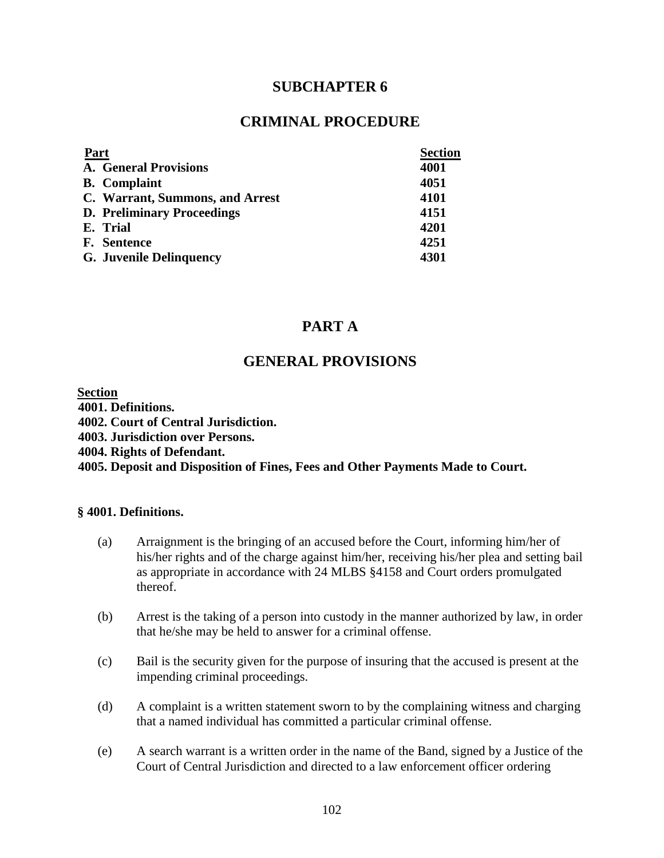# **SUBCHAPTER 6**

# **CRIMINAL PROCEDURE**

| Part                              | <b>Section</b> |
|-----------------------------------|----------------|
| <b>A. General Provisions</b>      | 4001           |
| <b>B.</b> Complaint               | 4051           |
| C. Warrant, Summons, and Arrest   | 4101           |
| <b>D. Preliminary Proceedings</b> | 4151           |
| E. Trial                          | 4201           |
| <b>F.</b> Sentence                | 4251           |
| <b>G.</b> Juvenile Delinquency    | 4301           |

# **PART A**

# **GENERAL PROVISIONS**

**Section 4001. Definitions. 4002. Court of Central Jurisdiction. 4003. Jurisdiction over Persons. 4004. Rights of Defendant. 4005. Deposit and Disposition of Fines, Fees and Other Payments Made to Court.** 

## **§ 4001. Definitions.**

- (a) Arraignment is the bringing of an accused before the Court, informing him/her of his/her rights and of the charge against him/her, receiving his/her plea and setting bail as appropriate in accordance with 24 MLBS §4158 and Court orders promulgated thereof.
- (b) Arrest is the taking of a person into custody in the manner authorized by law, in order that he/she may be held to answer for a criminal offense.
- (c) Bail is the security given for the purpose of insuring that the accused is present at the impending criminal proceedings.
- (d) A complaint is a written statement sworn to by the complaining witness and charging that a named individual has committed a particular criminal offense.
- (e) A search warrant is a written order in the name of the Band, signed by a Justice of the Court of Central Jurisdiction and directed to a law enforcement officer ordering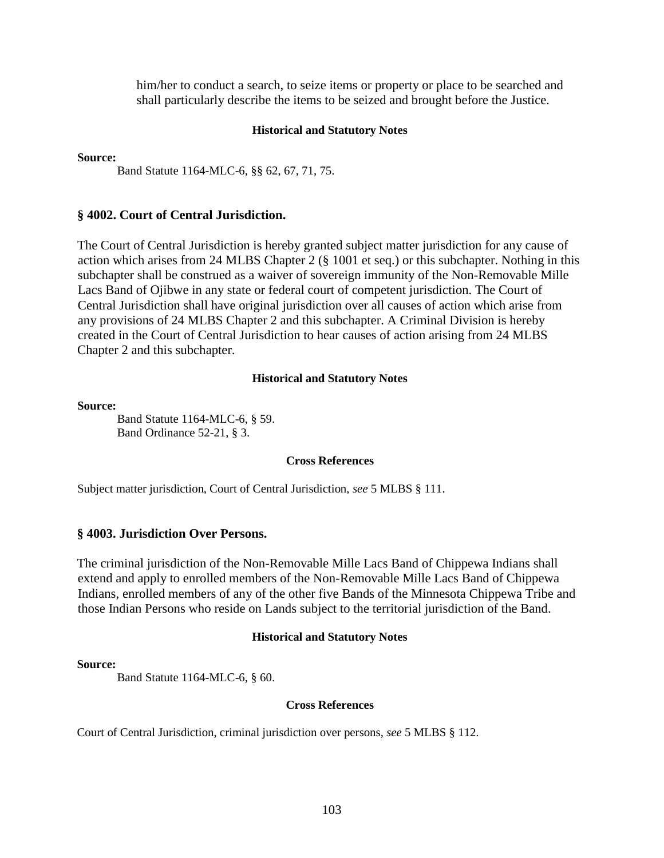him/her to conduct a search, to seize items or property or place to be searched and shall particularly describe the items to be seized and brought before the Justice.

#### **Historical and Statutory Notes**

#### **Source:**

Band Statute 1164-MLC-6, §§ 62, 67, 71, 75.

#### **§ 4002. Court of Central Jurisdiction.**

The Court of Central Jurisdiction is hereby granted subject matter jurisdiction for any cause of action which arises from 24 MLBS Chapter 2 (§ 1001 et seq.) or this subchapter. Nothing in this subchapter shall be construed as a waiver of sovereign immunity of the Non-Removable Mille Lacs Band of Ojibwe in any state or federal court of competent jurisdiction. The Court of Central Jurisdiction shall have original jurisdiction over all causes of action which arise from any provisions of 24 MLBS Chapter 2 and this subchapter. A Criminal Division is hereby created in the Court of Central Jurisdiction to hear causes of action arising from 24 MLBS Chapter 2 and this subchapter.

#### **Historical and Statutory Notes**

#### **Source:**

Band Statute 1164-MLC-6, § 59. Band Ordinance 52-21, § 3.

#### **Cross References**

Subject matter jurisdiction, Court of Central Jurisdiction, *see* 5 MLBS § 111.

#### **§ 4003. Jurisdiction Over Persons.**

The criminal jurisdiction of the Non-Removable Mille Lacs Band of Chippewa Indians shall extend and apply to enrolled members of the Non-Removable Mille Lacs Band of Chippewa Indians, enrolled members of any of the other five Bands of the Minnesota Chippewa Tribe and those Indian Persons who reside on Lands subject to the territorial jurisdiction of the Band.

#### **Historical and Statutory Notes**

#### **Source:**

Band Statute 1164-MLC-6, § 60.

#### **Cross References**

Court of Central Jurisdiction, criminal jurisdiction over persons, *see* 5 MLBS § 112.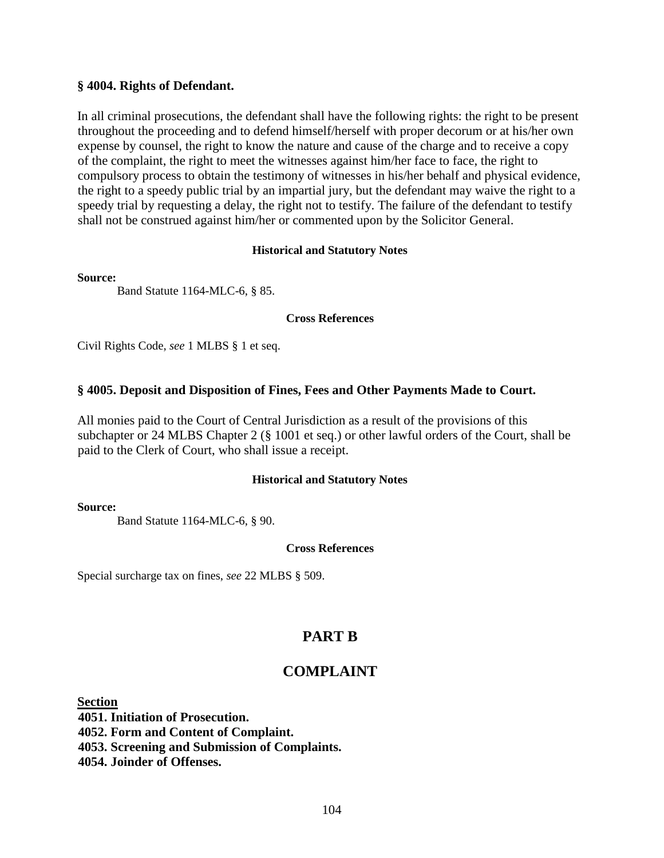## **§ 4004. Rights of Defendant.**

In all criminal prosecutions, the defendant shall have the following rights: the right to be present throughout the proceeding and to defend himself/herself with proper decorum or at his/her own expense by counsel, the right to know the nature and cause of the charge and to receive a copy of the complaint, the right to meet the witnesses against him/her face to face, the right to compulsory process to obtain the testimony of witnesses in his/her behalf and physical evidence, the right to a speedy public trial by an impartial jury, but the defendant may waive the right to a speedy trial by requesting a delay, the right not to testify. The failure of the defendant to testify shall not be construed against him/her or commented upon by the Solicitor General.

## **Historical and Statutory Notes**

### **Source:**

Band Statute 1164-MLC-6, § 85.

## **Cross References**

Civil Rights Code, *see* 1 MLBS § 1 et seq.

# **§ 4005. Deposit and Disposition of Fines, Fees and Other Payments Made to Court.**

All monies paid to the Court of Central Jurisdiction as a result of the provisions of this subchapter or 24 MLBS Chapter 2 (§ 1001 et seq.) or other lawful orders of the Court, shall be paid to the Clerk of Court, who shall issue a receipt.

# **Historical and Statutory Notes**

### **Source:**

Band Statute 1164-MLC-6, § 90.

# **Cross References**

Special surcharge tax on fines, *see* 22 MLBS § 509.

# **PART B**

# **COMPLAINT**

**Section**

**4051. Initiation of Prosecution. 4052. Form and Content of Complaint. 4053. Screening and Submission of Complaints. 4054. Joinder of Offenses.**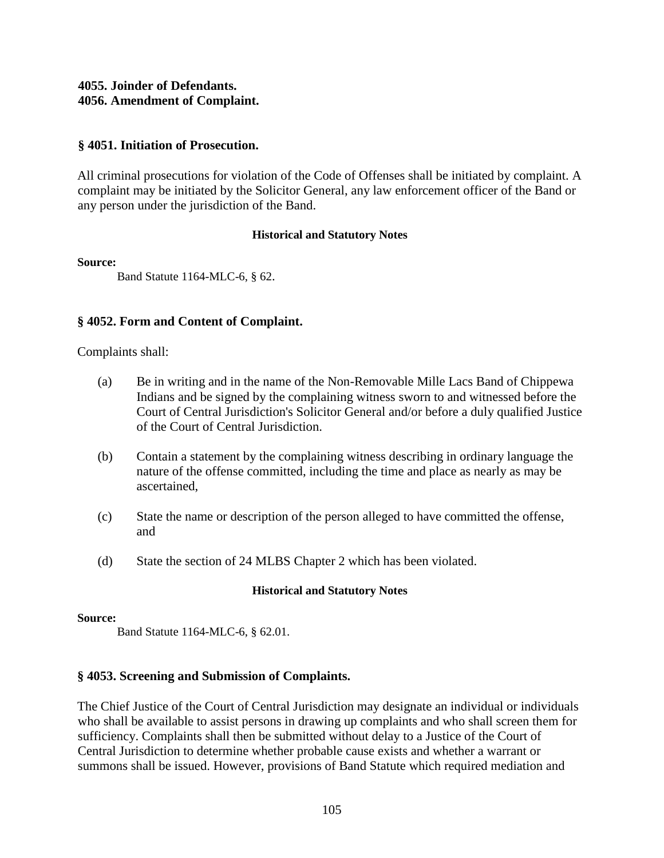# **4055. Joinder of Defendants. 4056. Amendment of Complaint.**

# **§ 4051. Initiation of Prosecution.**

All criminal prosecutions for violation of the Code of Offenses shall be initiated by complaint. A complaint may be initiated by the Solicitor General, any law enforcement officer of the Band or any person under the jurisdiction of the Band.

# **Historical and Statutory Notes**

## **Source:**

Band Statute 1164-MLC-6, § 62.

# **§ 4052. Form and Content of Complaint.**

Complaints shall:

- (a) Be in writing and in the name of the Non-Removable Mille Lacs Band of Chippewa Indians and be signed by the complaining witness sworn to and witnessed before the Court of Central Jurisdiction's Solicitor General and/or before a duly qualified Justice of the Court of Central Jurisdiction.
- (b) Contain a statement by the complaining witness describing in ordinary language the nature of the offense committed, including the time and place as nearly as may be ascertained,
- (c) State the name or description of the person alleged to have committed the offense, and
- (d) State the section of 24 MLBS Chapter 2 which has been violated.

# **Historical and Statutory Notes**

### **Source:**

Band Statute 1164-MLC-6, § 62.01.

# **§ 4053. Screening and Submission of Complaints.**

The Chief Justice of the Court of Central Jurisdiction may designate an individual or individuals who shall be available to assist persons in drawing up complaints and who shall screen them for sufficiency. Complaints shall then be submitted without delay to a Justice of the Court of Central Jurisdiction to determine whether probable cause exists and whether a warrant or summons shall be issued. However, provisions of Band Statute which required mediation and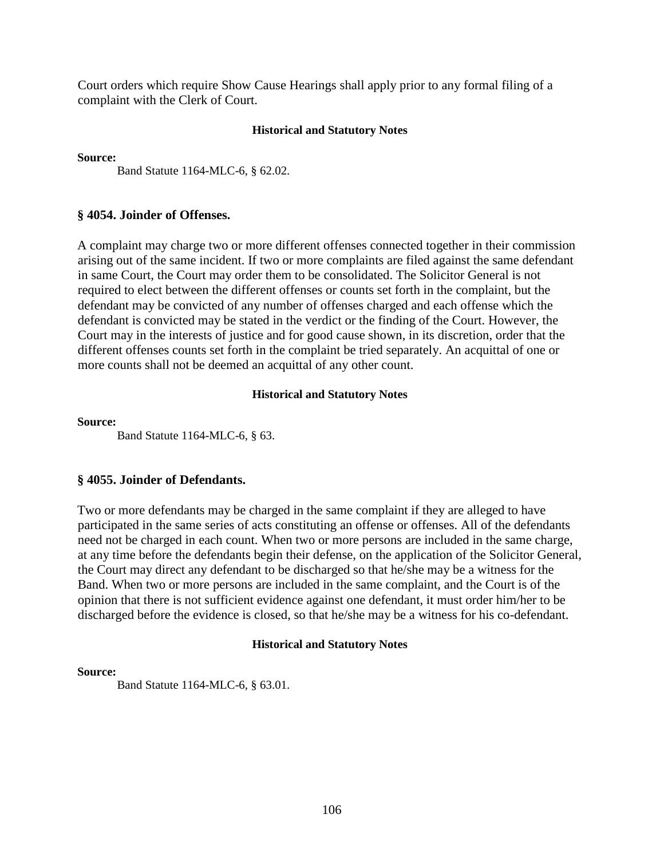Court orders which require Show Cause Hearings shall apply prior to any formal filing of a complaint with the Clerk of Court.

### **Historical and Statutory Notes**

**Source:** 

Band Statute 1164-MLC-6, § 62.02.

## **§ 4054. Joinder of Offenses.**

A complaint may charge two or more different offenses connected together in their commission arising out of the same incident. If two or more complaints are filed against the same defendant in same Court, the Court may order them to be consolidated. The Solicitor General is not required to elect between the different offenses or counts set forth in the complaint, but the defendant may be convicted of any number of offenses charged and each offense which the defendant is convicted may be stated in the verdict or the finding of the Court. However, the Court may in the interests of justice and for good cause shown, in its discretion, order that the different offenses counts set forth in the complaint be tried separately. An acquittal of one or more counts shall not be deemed an acquittal of any other count.

### **Historical and Statutory Notes**

#### **Source:**

Band Statute 1164-MLC-6, § 63.

# **§ 4055. Joinder of Defendants.**

Two or more defendants may be charged in the same complaint if they are alleged to have participated in the same series of acts constituting an offense or offenses. All of the defendants need not be charged in each count. When two or more persons are included in the same charge, at any time before the defendants begin their defense, on the application of the Solicitor General, the Court may direct any defendant to be discharged so that he/she may be a witness for the Band. When two or more persons are included in the same complaint, and the Court is of the opinion that there is not sufficient evidence against one defendant, it must order him/her to be discharged before the evidence is closed, so that he/she may be a witness for his co-defendant.

### **Historical and Statutory Notes**

### **Source:**

Band Statute 1164-MLC-6, § 63.01.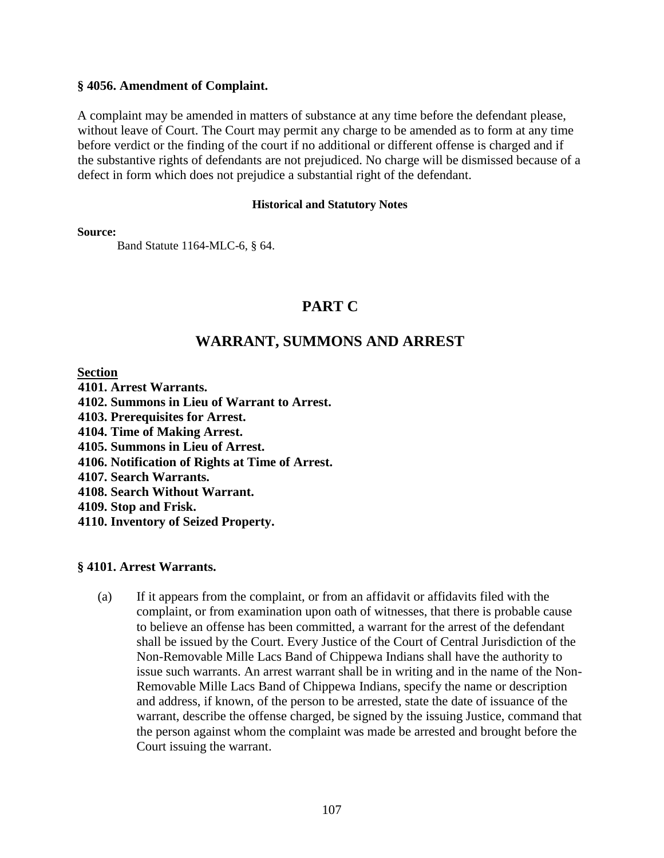## **§ 4056. Amendment of Complaint.**

A complaint may be amended in matters of substance at any time before the defendant please, without leave of Court. The Court may permit any charge to be amended as to form at any time before verdict or the finding of the court if no additional or different offense is charged and if the substantive rights of defendants are not prejudiced. No charge will be dismissed because of a defect in form which does not prejudice a substantial right of the defendant.

### **Historical and Statutory Notes**

**Source:** 

Band Statute 1164-MLC-6, § 64.

# **PART C**

# **WARRANT, SUMMONS AND ARREST**

**Section** 

- **4101. Arrest Warrants.**
- **4102. Summons in Lieu of Warrant to Arrest.**
- **4103. Prerequisites for Arrest.**
- **4104. Time of Making Arrest.**
- **4105. Summons in Lieu of Arrest.**
- **4106. Notification of Rights at Time of Arrest.**
- **4107. Search Warrants.**
- **4108. Search Without Warrant.**
- **4109. Stop and Frisk.**
- **4110. Inventory of Seized Property.**

### **§ 4101. Arrest Warrants.**

(a) If it appears from the complaint, or from an affidavit or affidavits filed with the complaint, or from examination upon oath of witnesses, that there is probable cause to believe an offense has been committed, a warrant for the arrest of the defendant shall be issued by the Court. Every Justice of the Court of Central Jurisdiction of the Non-Removable Mille Lacs Band of Chippewa Indians shall have the authority to issue such warrants. An arrest warrant shall be in writing and in the name of the Non-Removable Mille Lacs Band of Chippewa Indians, specify the name or description and address, if known, of the person to be arrested, state the date of issuance of the warrant, describe the offense charged, be signed by the issuing Justice, command that the person against whom the complaint was made be arrested and brought before the Court issuing the warrant.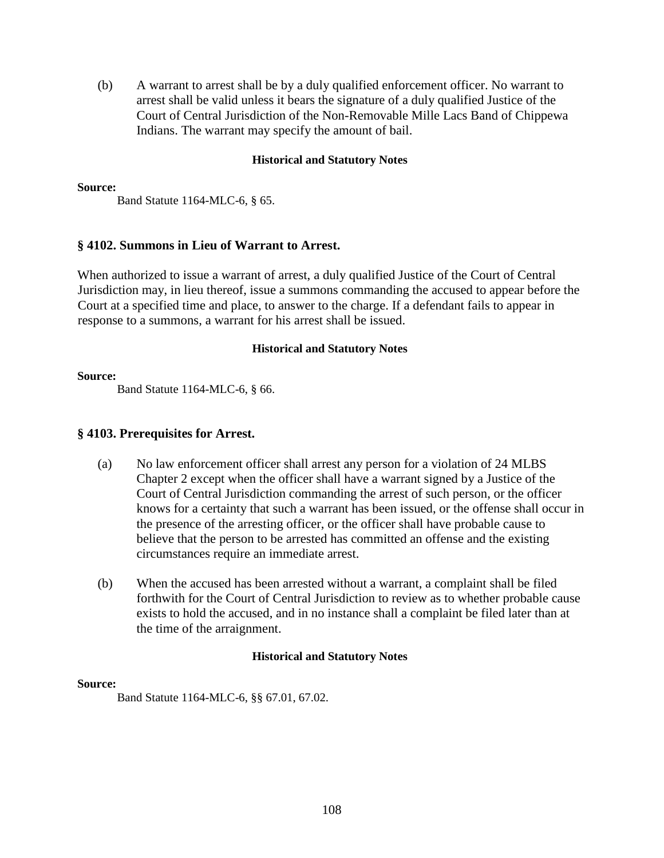(b) A warrant to arrest shall be by a duly qualified enforcement officer. No warrant to arrest shall be valid unless it bears the signature of a duly qualified Justice of the Court of Central Jurisdiction of the Non-Removable Mille Lacs Band of Chippewa Indians. The warrant may specify the amount of bail.

## **Historical and Statutory Notes**

#### **Source:**

Band Statute 1164-MLC-6, § 65.

# **§ 4102. Summons in Lieu of Warrant to Arrest.**

When authorized to issue a warrant of arrest, a duly qualified Justice of the Court of Central Jurisdiction may, in lieu thereof, issue a summons commanding the accused to appear before the Court at a specified time and place, to answer to the charge. If a defendant fails to appear in response to a summons, a warrant for his arrest shall be issued.

## **Historical and Statutory Notes**

#### **Source:**

Band Statute 1164-MLC-6, § 66.

## **§ 4103. Prerequisites for Arrest.**

- (a) No law enforcement officer shall arrest any person for a violation of 24 MLBS Chapter 2 except when the officer shall have a warrant signed by a Justice of the Court of Central Jurisdiction commanding the arrest of such person, or the officer knows for a certainty that such a warrant has been issued, or the offense shall occur in the presence of the arresting officer, or the officer shall have probable cause to believe that the person to be arrested has committed an offense and the existing circumstances require an immediate arrest.
- (b) When the accused has been arrested without a warrant, a complaint shall be filed forthwith for the Court of Central Jurisdiction to review as to whether probable cause exists to hold the accused, and in no instance shall a complaint be filed later than at the time of the arraignment.

### **Historical and Statutory Notes**

### **Source:**

Band Statute 1164-MLC-6, §§ 67.01, 67.02.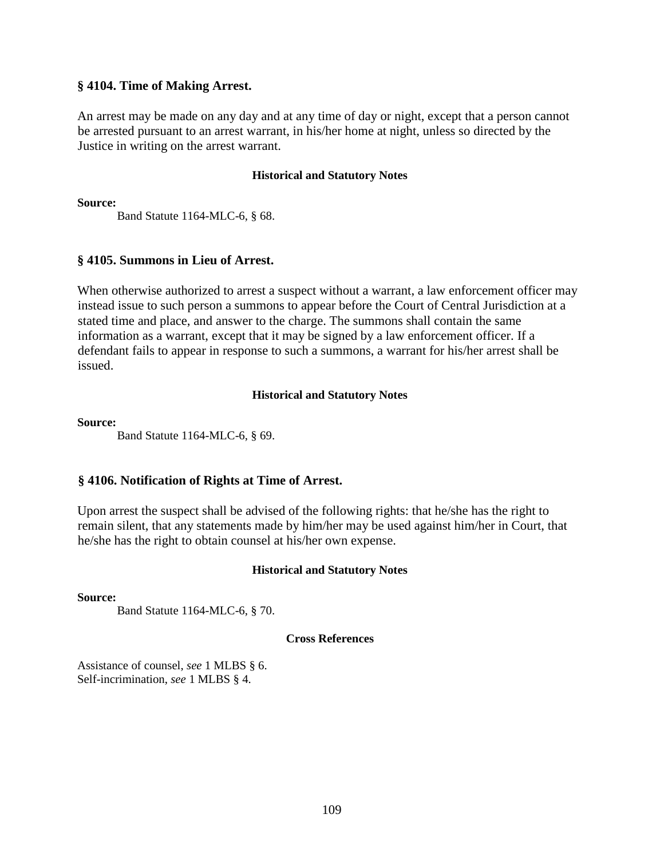## **§ 4104. Time of Making Arrest.**

An arrest may be made on any day and at any time of day or night, except that a person cannot be arrested pursuant to an arrest warrant, in his/her home at night, unless so directed by the Justice in writing on the arrest warrant.

## **Historical and Statutory Notes**

**Source:** 

Band Statute 1164-MLC-6, § 68.

# **§ 4105. Summons in Lieu of Arrest.**

When otherwise authorized to arrest a suspect without a warrant, a law enforcement officer may instead issue to such person a summons to appear before the Court of Central Jurisdiction at a stated time and place, and answer to the charge. The summons shall contain the same information as a warrant, except that it may be signed by a law enforcement officer. If a defendant fails to appear in response to such a summons, a warrant for his/her arrest shall be issued.

# **Historical and Statutory Notes**

## **Source:**

Band Statute 1164-MLC-6, § 69.

# **§ 4106. Notification of Rights at Time of Arrest.**

Upon arrest the suspect shall be advised of the following rights: that he/she has the right to remain silent, that any statements made by him/her may be used against him/her in Court, that he/she has the right to obtain counsel at his/her own expense.

# **Historical and Statutory Notes**

## **Source:**

Band Statute 1164-MLC-6, § 70.

## **Cross References**

Assistance of counsel, *see* 1 MLBS § 6. Self-incrimination, *see* 1 MLBS § 4.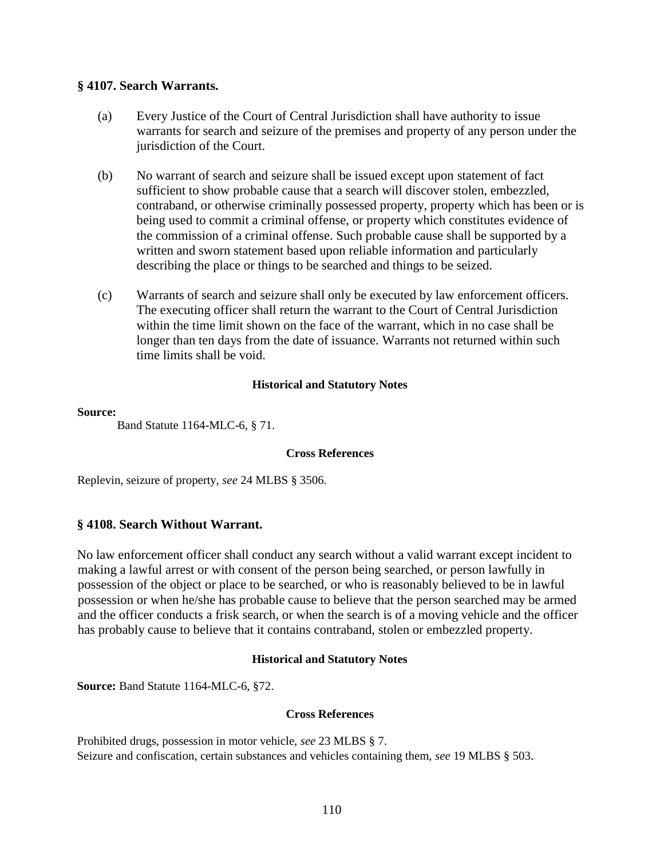## **§ 4107. Search Warrants.**

- (a) Every Justice of the Court of Central Jurisdiction shall have authority to issue warrants for search and seizure of the premises and property of any person under the jurisdiction of the Court.
- (b) No warrant of search and seizure shall be issued except upon statement of fact sufficient to show probable cause that a search will discover stolen, embezzled, contraband, or otherwise criminally possessed property, property which has been or is being used to commit a criminal offense, or property which constitutes evidence of the commission of a criminal offense. Such probable cause shall be supported by a written and sworn statement based upon reliable information and particularly describing the place or things to be searched and things to be seized.
- (c) Warrants of search and seizure shall only be executed by law enforcement officers. The executing officer shall return the warrant to the Court of Central Jurisdiction within the time limit shown on the face of the warrant, which in no case shall be longer than ten days from the date of issuance. Warrants not returned within such time limits shall be void.

## **Historical and Statutory Notes**

## **Source:**

Band Statute 1164-MLC-6, § 71.

## **Cross References**

Replevin, seizure of property, *see* 24 MLBS § 3506.

# **§ 4108. Search Without Warrant.**

No law enforcement officer shall conduct any search without a valid warrant except incident to making a lawful arrest or with consent of the person being searched, or person lawfully in possession of the object or place to be searched, or who is reasonably believed to be in lawful possession or when he/she has probable cause to believe that the person searched may be armed and the officer conducts a frisk search, or when the search is of a moving vehicle and the officer has probably cause to believe that it contains contraband, stolen or embezzled property.

# **Historical and Statutory Notes**

**Source:** Band Statute 1164-MLC-6, §72.

## **Cross References**

Prohibited drugs, possession in motor vehicle, *see* 23 MLBS § 7. Seizure and confiscation, certain substances and vehicles containing them, *see* 19 MLBS § 503.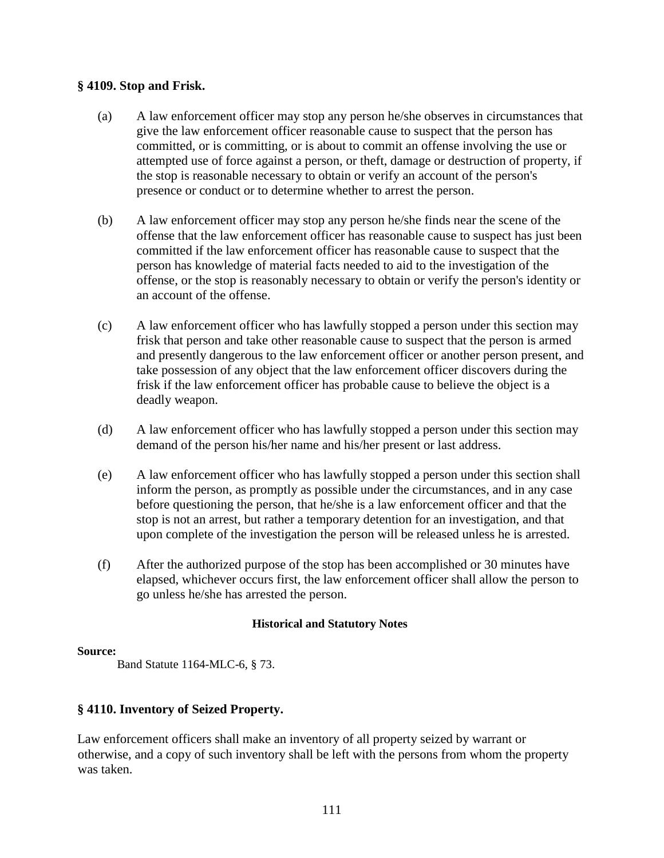# **§ 4109. Stop and Frisk.**

- (a) A law enforcement officer may stop any person he/she observes in circumstances that give the law enforcement officer reasonable cause to suspect that the person has committed, or is committing, or is about to commit an offense involving the use or attempted use of force against a person, or theft, damage or destruction of property, if the stop is reasonable necessary to obtain or verify an account of the person's presence or conduct or to determine whether to arrest the person.
- (b) A law enforcement officer may stop any person he/she finds near the scene of the offense that the law enforcement officer has reasonable cause to suspect has just been committed if the law enforcement officer has reasonable cause to suspect that the person has knowledge of material facts needed to aid to the investigation of the offense, or the stop is reasonably necessary to obtain or verify the person's identity or an account of the offense.
- (c) A law enforcement officer who has lawfully stopped a person under this section may frisk that person and take other reasonable cause to suspect that the person is armed and presently dangerous to the law enforcement officer or another person present, and take possession of any object that the law enforcement officer discovers during the frisk if the law enforcement officer has probable cause to believe the object is a deadly weapon.
- (d) A law enforcement officer who has lawfully stopped a person under this section may demand of the person his/her name and his/her present or last address.
- (e) A law enforcement officer who has lawfully stopped a person under this section shall inform the person, as promptly as possible under the circumstances, and in any case before questioning the person, that he/she is a law enforcement officer and that the stop is not an arrest, but rather a temporary detention for an investigation, and that upon complete of the investigation the person will be released unless he is arrested.
- (f) After the authorized purpose of the stop has been accomplished or 30 minutes have elapsed, whichever occurs first, the law enforcement officer shall allow the person to go unless he/she has arrested the person.

# **Historical and Statutory Notes**

## **Source:**

Band Statute 1164-MLC-6, § 73.

# **§ 4110. Inventory of Seized Property.**

Law enforcement officers shall make an inventory of all property seized by warrant or otherwise, and a copy of such inventory shall be left with the persons from whom the property was taken.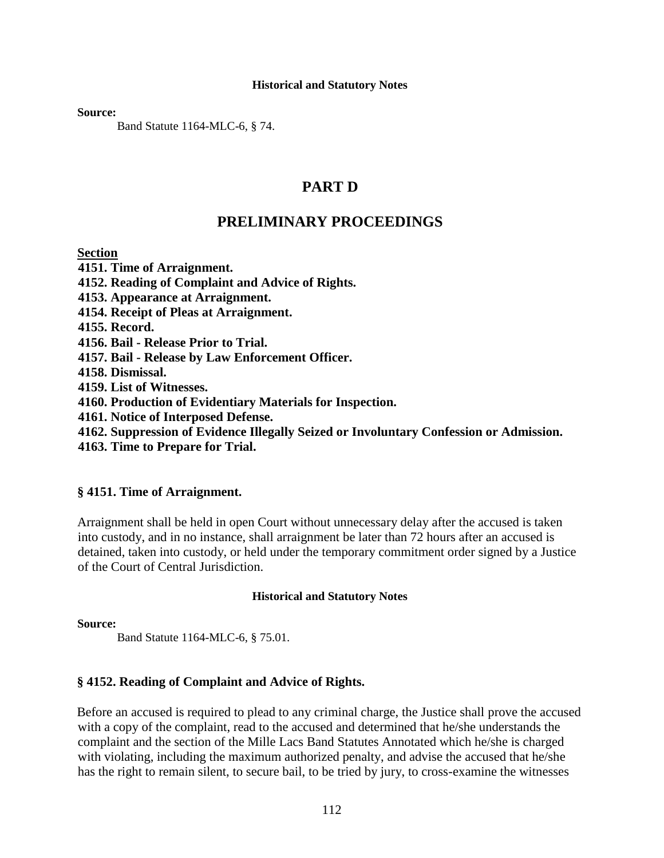**Source:** 

Band Statute 1164-MLC-6, § 74.

# **PART D**

# **PRELIMINARY PROCEEDINGS**

# **Section**

**4151. Time of Arraignment.** 

**4152. Reading of Complaint and Advice of Rights.** 

**4153. Appearance at Arraignment.** 

**4154. Receipt of Pleas at Arraignment.** 

**4155. Record.** 

**4156. Bail - Release Prior to Trial.** 

**4157. Bail - Release by Law Enforcement Officer.** 

**4158. Dismissal.** 

**4159. List of Witnesses.** 

**4160. Production of Evidentiary Materials for Inspection.** 

**4161. Notice of Interposed Defense.** 

**4162. Suppression of Evidence Illegally Seized or Involuntary Confession or Admission.**

**4163. Time to Prepare for Trial.** 

# **§ 4151. Time of Arraignment.**

Arraignment shall be held in open Court without unnecessary delay after the accused is taken into custody, and in no instance, shall arraignment be later than 72 hours after an accused is detained, taken into custody, or held under the temporary commitment order signed by a Justice of the Court of Central Jurisdiction.

# **Historical and Statutory Notes**

**Source:** 

Band Statute 1164-MLC-6, § 75.01.

# **§ 4152. Reading of Complaint and Advice of Rights.**

Before an accused is required to plead to any criminal charge, the Justice shall prove the accused with a copy of the complaint, read to the accused and determined that he/she understands the complaint and the section of the Mille Lacs Band Statutes Annotated which he/she is charged with violating, including the maximum authorized penalty, and advise the accused that he/she has the right to remain silent, to secure bail, to be tried by jury, to cross-examine the witnesses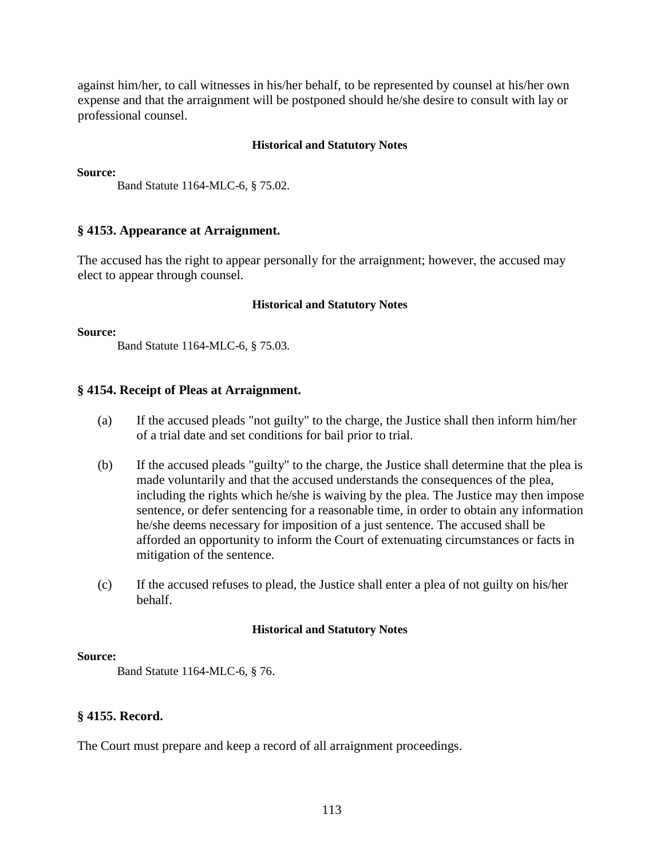against him/her, to call witnesses in his/her behalf, to be represented by counsel at his/her own expense and that the arraignment will be postponed should he/she desire to consult with lay or professional counsel.

## **Historical and Statutory Notes**

**Source:** 

Band Statute 1164-MLC-6, § 75.02.

## **§ 4153. Appearance at Arraignment.**

The accused has the right to appear personally for the arraignment; however, the accused may elect to appear through counsel.

### **Historical and Statutory Notes**

### **Source:**

Band Statute 1164-MLC-6, § 75.03.

## **§ 4154. Receipt of Pleas at Arraignment.**

- (a) If the accused pleads "not guilty" to the charge, the Justice shall then inform him/her of a trial date and set conditions for bail prior to trial.
- (b) If the accused pleads "guilty" to the charge, the Justice shall determine that the plea is made voluntarily and that the accused understands the consequences of the plea, including the rights which he/she is waiving by the plea. The Justice may then impose sentence, or defer sentencing for a reasonable time, in order to obtain any information he/she deems necessary for imposition of a just sentence. The accused shall be afforded an opportunity to inform the Court of extenuating circumstances or facts in mitigation of the sentence.
- (c) If the accused refuses to plead, the Justice shall enter a plea of not guilty on his/her behalf.

## **Historical and Statutory Notes**

## **Source:**

Band Statute 1164-MLC-6, § 76.

## **§ 4155. Record.**

The Court must prepare and keep a record of all arraignment proceedings.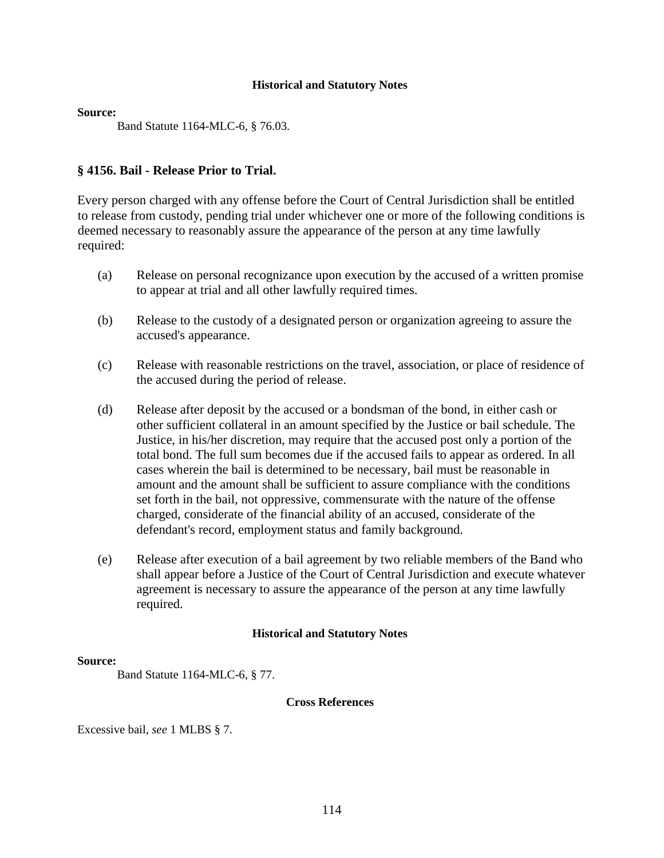**Source:** 

Band Statute 1164-MLC-6, § 76.03.

## **§ 4156. Bail - Release Prior to Trial.**

Every person charged with any offense before the Court of Central Jurisdiction shall be entitled to release from custody, pending trial under whichever one or more of the following conditions is deemed necessary to reasonably assure the appearance of the person at any time lawfully required:

- (a) Release on personal recognizance upon execution by the accused of a written promise to appear at trial and all other lawfully required times.
- (b) Release to the custody of a designated person or organization agreeing to assure the accused's appearance.
- (c) Release with reasonable restrictions on the travel, association, or place of residence of the accused during the period of release.
- (d) Release after deposit by the accused or a bondsman of the bond, in either cash or other sufficient collateral in an amount specified by the Justice or bail schedule. The Justice, in his/her discretion, may require that the accused post only a portion of the total bond. The full sum becomes due if the accused fails to appear as ordered. In all cases wherein the bail is determined to be necessary, bail must be reasonable in amount and the amount shall be sufficient to assure compliance with the conditions set forth in the bail, not oppressive, commensurate with the nature of the offense charged, considerate of the financial ability of an accused, considerate of the defendant's record, employment status and family background.
- (e) Release after execution of a bail agreement by two reliable members of the Band who shall appear before a Justice of the Court of Central Jurisdiction and execute whatever agreement is necessary to assure the appearance of the person at any time lawfully required.

## **Historical and Statutory Notes**

### **Source:**

Band Statute 1164-MLC-6, § 77.

### **Cross References**

Excessive bail, *see* 1 MLBS § 7.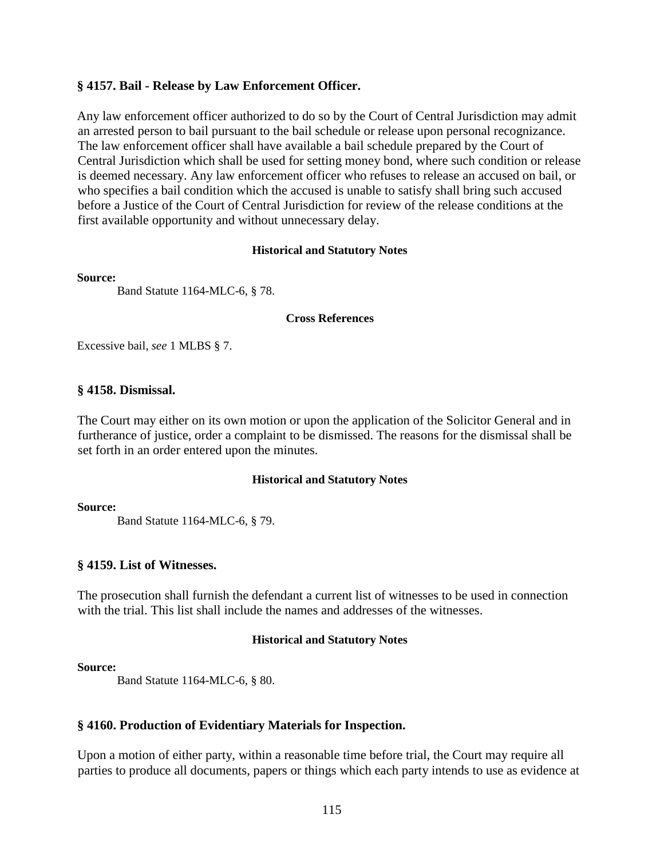## **§ 4157. Bail - Release by Law Enforcement Officer.**

Any law enforcement officer authorized to do so by the Court of Central Jurisdiction may admit an arrested person to bail pursuant to the bail schedule or release upon personal recognizance. The law enforcement officer shall have available a bail schedule prepared by the Court of Central Jurisdiction which shall be used for setting money bond, where such condition or release is deemed necessary. Any law enforcement officer who refuses to release an accused on bail, or who specifies a bail condition which the accused is unable to satisfy shall bring such accused before a Justice of the Court of Central Jurisdiction for review of the release conditions at the first available opportunity and without unnecessary delay.

### **Historical and Statutory Notes**

### **Source:**

Band Statute 1164-MLC-6, § 78.

### **Cross References**

Excessive bail, *see* 1 MLBS § 7.

## **§ 4158. Dismissal.**

The Court may either on its own motion or upon the application of the Solicitor General and in furtherance of justice, order a complaint to be dismissed. The reasons for the dismissal shall be set forth in an order entered upon the minutes.

## **Historical and Statutory Notes**

### **Source:**

Band Statute 1164-MLC-6, § 79.

## **§ 4159. List of Witnesses.**

The prosecution shall furnish the defendant a current list of witnesses to be used in connection with the trial. This list shall include the names and addresses of the witnesses.

### **Historical and Statutory Notes**

### **Source:**

Band Statute 1164-MLC-6, § 80.

## **§ 4160. Production of Evidentiary Materials for Inspection.**

Upon a motion of either party, within a reasonable time before trial, the Court may require all parties to produce all documents, papers or things which each party intends to use as evidence at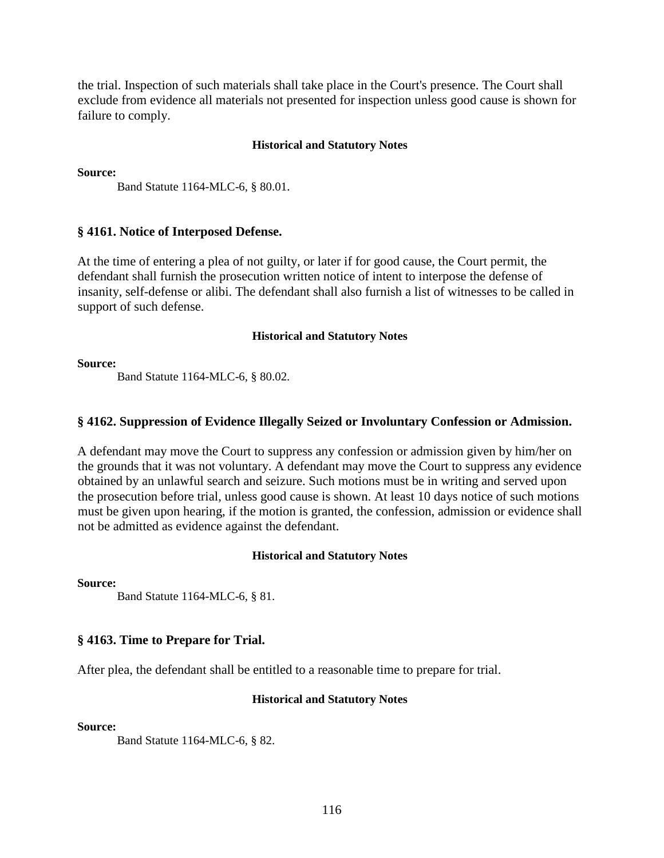the trial. Inspection of such materials shall take place in the Court's presence. The Court shall exclude from evidence all materials not presented for inspection unless good cause is shown for failure to comply.

### **Historical and Statutory Notes**

**Source:** 

Band Statute 1164-MLC-6, § 80.01.

## **§ 4161. Notice of Interposed Defense.**

At the time of entering a plea of not guilty, or later if for good cause, the Court permit, the defendant shall furnish the prosecution written notice of intent to interpose the defense of insanity, self-defense or alibi. The defendant shall also furnish a list of witnesses to be called in support of such defense.

### **Historical and Statutory Notes**

**Source:** 

Band Statute 1164-MLC-6, § 80.02.

## **§ 4162. Suppression of Evidence Illegally Seized or Involuntary Confession or Admission.**

A defendant may move the Court to suppress any confession or admission given by him/her on the grounds that it was not voluntary. A defendant may move the Court to suppress any evidence obtained by an unlawful search and seizure. Such motions must be in writing and served upon the prosecution before trial, unless good cause is shown. At least 10 days notice of such motions must be given upon hearing, if the motion is granted, the confession, admission or evidence shall not be admitted as evidence against the defendant.

## **Historical and Statutory Notes**

**Source:** 

Band Statute 1164-MLC-6, § 81.

## **§ 4163. Time to Prepare for Trial.**

After plea, the defendant shall be entitled to a reasonable time to prepare for trial.

### **Historical and Statutory Notes**

**Source:** 

Band Statute 1164-MLC-6, § 82.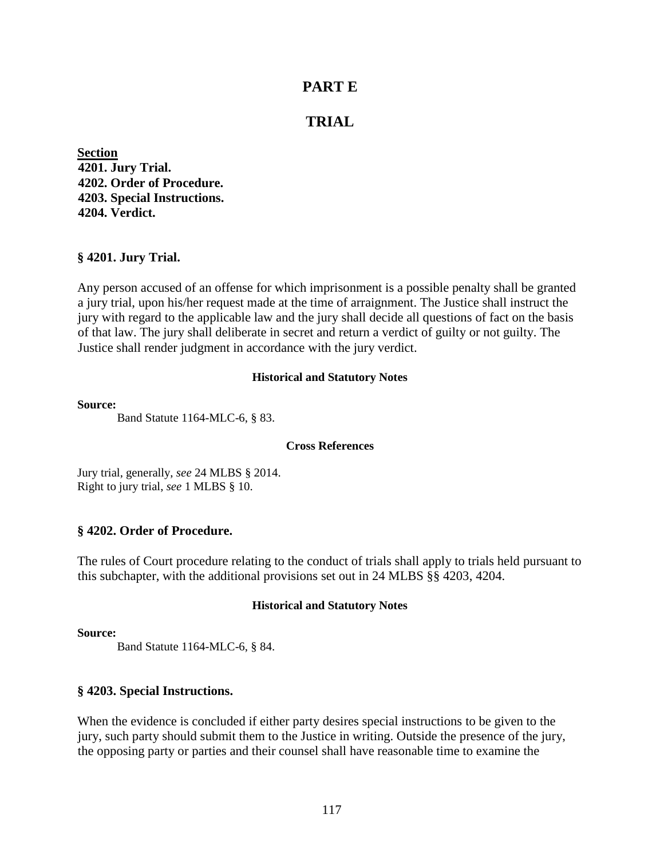# **PART E**

# **TRIAL**

**Section 4201. Jury Trial. 4202. Order of Procedure. 4203. Special Instructions. 4204. Verdict.** 

## **§ 4201. Jury Trial.**

Any person accused of an offense for which imprisonment is a possible penalty shall be granted a jury trial, upon his/her request made at the time of arraignment. The Justice shall instruct the jury with regard to the applicable law and the jury shall decide all questions of fact on the basis of that law. The jury shall deliberate in secret and return a verdict of guilty or not guilty. The Justice shall render judgment in accordance with the jury verdict.

### **Historical and Statutory Notes**

#### **Source:**

Band Statute 1164-MLC-6, § 83.

## **Cross References**

Jury trial, generally, *see* 24 MLBS § 2014. Right to jury trial, *see* 1 MLBS § 10.

## **§ 4202. Order of Procedure.**

The rules of Court procedure relating to the conduct of trials shall apply to trials held pursuant to this subchapter, with the additional provisions set out in 24 MLBS §§ 4203, 4204.

### **Historical and Statutory Notes**

### **Source:**

Band Statute 1164-MLC-6, § 84.

## **§ 4203. Special Instructions.**

When the evidence is concluded if either party desires special instructions to be given to the jury, such party should submit them to the Justice in writing. Outside the presence of the jury, the opposing party or parties and their counsel shall have reasonable time to examine the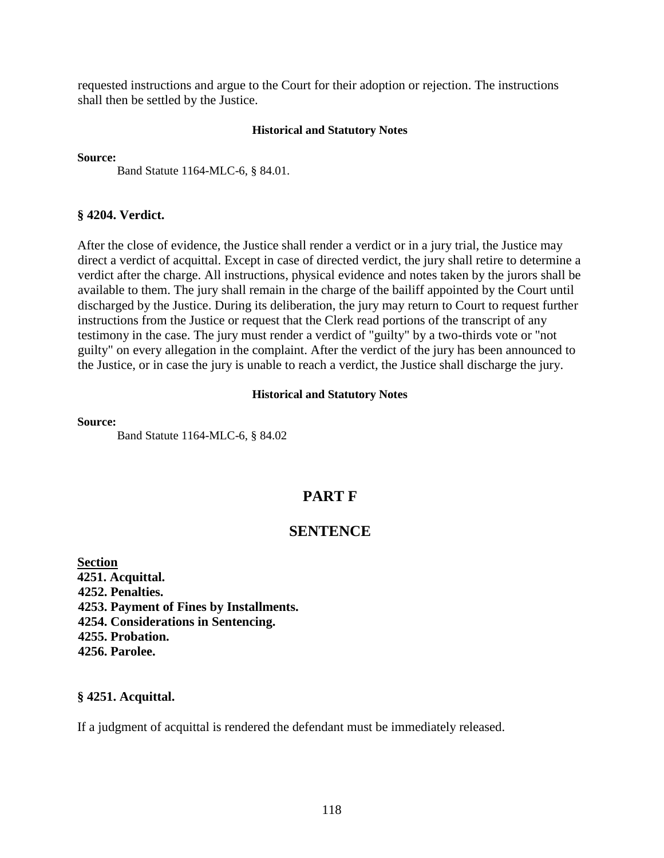requested instructions and argue to the Court for their adoption or rejection. The instructions shall then be settled by the Justice.

### **Historical and Statutory Notes**

**Source:** 

Band Statute 1164-MLC-6, § 84.01.

## **§ 4204. Verdict.**

After the close of evidence, the Justice shall render a verdict or in a jury trial, the Justice may direct a verdict of acquittal. Except in case of directed verdict, the jury shall retire to determine a verdict after the charge. All instructions, physical evidence and notes taken by the jurors shall be available to them. The jury shall remain in the charge of the bailiff appointed by the Court until discharged by the Justice. During its deliberation, the jury may return to Court to request further instructions from the Justice or request that the Clerk read portions of the transcript of any testimony in the case. The jury must render a verdict of "guilty" by a two-thirds vote or "not guilty" on every allegation in the complaint. After the verdict of the jury has been announced to the Justice, or in case the jury is unable to reach a verdict, the Justice shall discharge the jury.

## **Historical and Statutory Notes**

### **Source:**

Band Statute 1164-MLC-6, § 84.02

# **PART F**

# **SENTENCE**

**Section 4251. Acquittal. 4252. Penalties. 4253. Payment of Fines by Installments. 4254. Considerations in Sentencing. 4255. Probation. 4256. Parolee.** 

## **§ 4251. Acquittal.**

If a judgment of acquittal is rendered the defendant must be immediately released.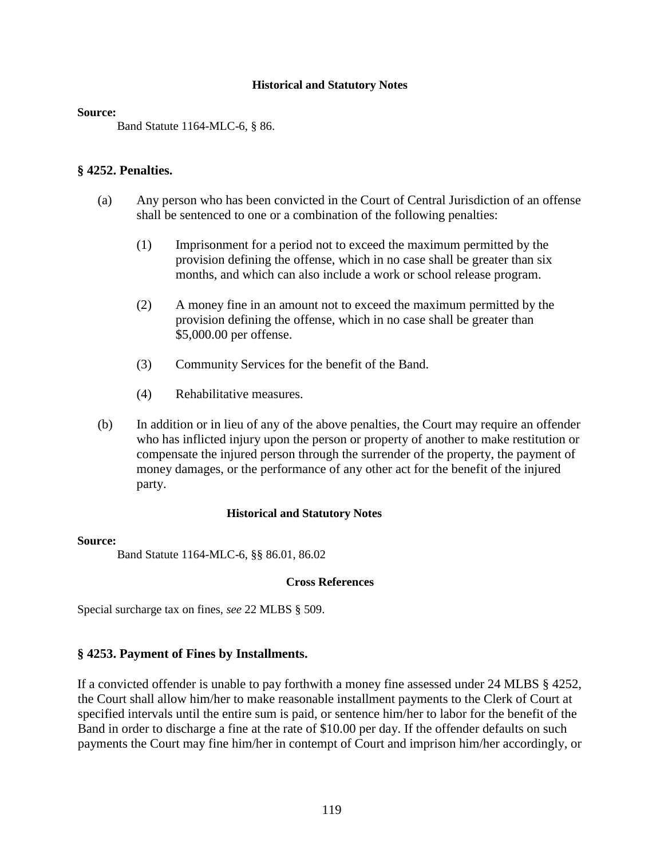### **Source:**

Band Statute 1164-MLC-6, § 86.

## **§ 4252. Penalties.**

- (a) Any person who has been convicted in the Court of Central Jurisdiction of an offense shall be sentenced to one or a combination of the following penalties:
	- (1) Imprisonment for a period not to exceed the maximum permitted by the provision defining the offense, which in no case shall be greater than six months, and which can also include a work or school release program.
	- (2) A money fine in an amount not to exceed the maximum permitted by the provision defining the offense, which in no case shall be greater than \$5,000.00 per offense.
	- (3) Community Services for the benefit of the Band.
	- (4) Rehabilitative measures.
- (b) In addition or in lieu of any of the above penalties, the Court may require an offender who has inflicted injury upon the person or property of another to make restitution or compensate the injured person through the surrender of the property, the payment of money damages, or the performance of any other act for the benefit of the injured party.

## **Historical and Statutory Notes**

### **Source:**

Band Statute 1164-MLC-6, §§ 86.01, 86.02

## **Cross References**

Special surcharge tax on fines, *see* 22 MLBS § 509.

## **§ 4253. Payment of Fines by Installments.**

If a convicted offender is unable to pay forthwith a money fine assessed under 24 MLBS § 4252, the Court shall allow him/her to make reasonable installment payments to the Clerk of Court at specified intervals until the entire sum is paid, or sentence him/her to labor for the benefit of the Band in order to discharge a fine at the rate of \$10.00 per day. If the offender defaults on such payments the Court may fine him/her in contempt of Court and imprison him/her accordingly, or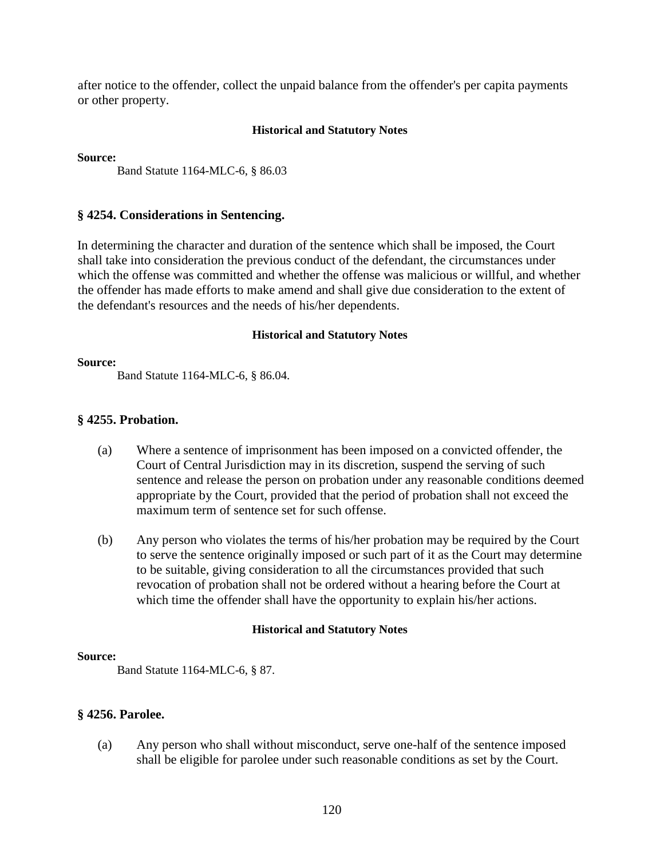after notice to the offender, collect the unpaid balance from the offender's per capita payments or other property.

## **Historical and Statutory Notes**

**Source:** 

Band Statute 1164-MLC-6, § 86.03

## **§ 4254. Considerations in Sentencing.**

In determining the character and duration of the sentence which shall be imposed, the Court shall take into consideration the previous conduct of the defendant, the circumstances under which the offense was committed and whether the offense was malicious or willful, and whether the offender has made efforts to make amend and shall give due consideration to the extent of the defendant's resources and the needs of his/her dependents.

## **Historical and Statutory Notes**

### **Source:**

Band Statute 1164-MLC-6, § 86.04.

## **§ 4255. Probation.**

- (a) Where a sentence of imprisonment has been imposed on a convicted offender, the Court of Central Jurisdiction may in its discretion, suspend the serving of such sentence and release the person on probation under any reasonable conditions deemed appropriate by the Court, provided that the period of probation shall not exceed the maximum term of sentence set for such offense.
- (b) Any person who violates the terms of his/her probation may be required by the Court to serve the sentence originally imposed or such part of it as the Court may determine to be suitable, giving consideration to all the circumstances provided that such revocation of probation shall not be ordered without a hearing before the Court at which time the offender shall have the opportunity to explain his/her actions.

## **Historical and Statutory Notes**

## **Source:**

Band Statute 1164-MLC-6, § 87.

# **§ 4256. Parolee.**

(a) Any person who shall without misconduct, serve one-half of the sentence imposed shall be eligible for parolee under such reasonable conditions as set by the Court.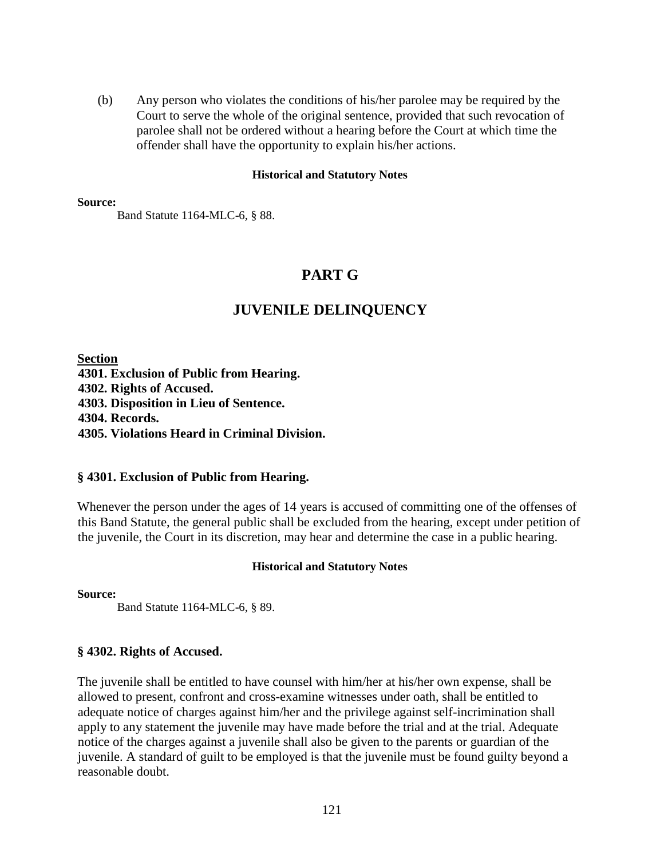(b) Any person who violates the conditions of his/her parolee may be required by the Court to serve the whole of the original sentence, provided that such revocation of parolee shall not be ordered without a hearing before the Court at which time the offender shall have the opportunity to explain his/her actions.

## **Historical and Statutory Notes**

### **Source:**

Band Statute 1164-MLC-6, § 88.

# **PART G**

# **JUVENILE DELINQUENCY**

**Section 4301. Exclusion of Public from Hearing. 4302. Rights of Accused. 4303. Disposition in Lieu of Sentence. 4304. Records. 4305. Violations Heard in Criminal Division.** 

# **§ 4301. Exclusion of Public from Hearing.**

Whenever the person under the ages of 14 years is accused of committing one of the offenses of this Band Statute, the general public shall be excluded from the hearing, except under petition of the juvenile, the Court in its discretion, may hear and determine the case in a public hearing.

# **Historical and Statutory Notes**

**Source:** 

Band Statute 1164-MLC-6, § 89.

# **§ 4302. Rights of Accused.**

The juvenile shall be entitled to have counsel with him/her at his/her own expense, shall be allowed to present, confront and cross-examine witnesses under oath, shall be entitled to adequate notice of charges against him/her and the privilege against self-incrimination shall apply to any statement the juvenile may have made before the trial and at the trial. Adequate notice of the charges against a juvenile shall also be given to the parents or guardian of the juvenile. A standard of guilt to be employed is that the juvenile must be found guilty beyond a reasonable doubt.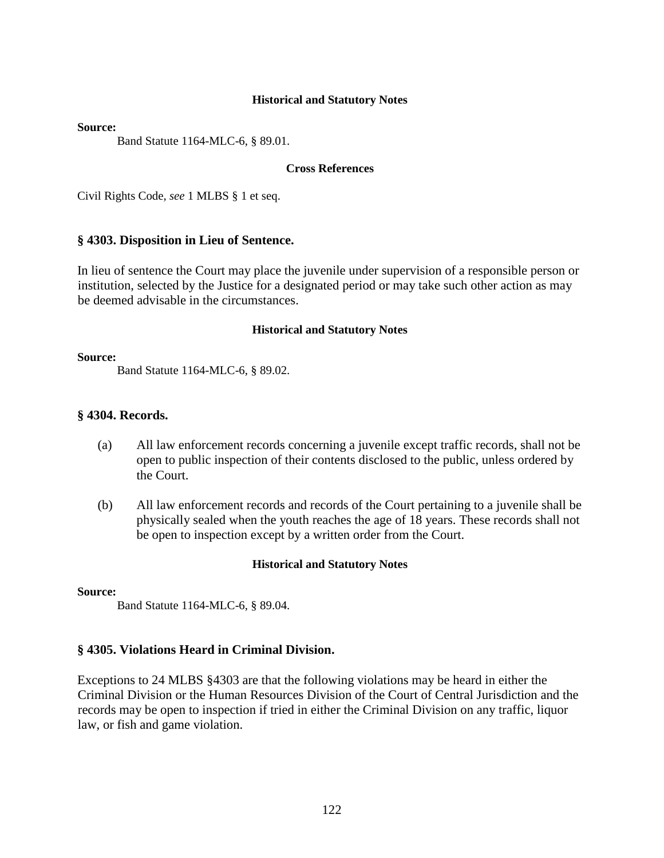### **Source:**

Band Statute 1164-MLC-6, § 89.01.

## **Cross References**

Civil Rights Code, *see* 1 MLBS § 1 et seq.

## **§ 4303. Disposition in Lieu of Sentence.**

In lieu of sentence the Court may place the juvenile under supervision of a responsible person or institution, selected by the Justice for a designated period or may take such other action as may be deemed advisable in the circumstances.

### **Historical and Statutory Notes**

### **Source:**

Band Statute 1164-MLC-6, § 89.02.

## **§ 4304. Records.**

- (a) All law enforcement records concerning a juvenile except traffic records, shall not be open to public inspection of their contents disclosed to the public, unless ordered by the Court.
- (b) All law enforcement records and records of the Court pertaining to a juvenile shall be physically sealed when the youth reaches the age of 18 years. These records shall not be open to inspection except by a written order from the Court.

## **Historical and Statutory Notes**

### **Source:**

Band Statute 1164-MLC-6, § 89.04.

## **§ 4305. Violations Heard in Criminal Division.**

Exceptions to 24 MLBS §4303 are that the following violations may be heard in either the Criminal Division or the Human Resources Division of the Court of Central Jurisdiction and the records may be open to inspection if tried in either the Criminal Division on any traffic, liquor law, or fish and game violation.